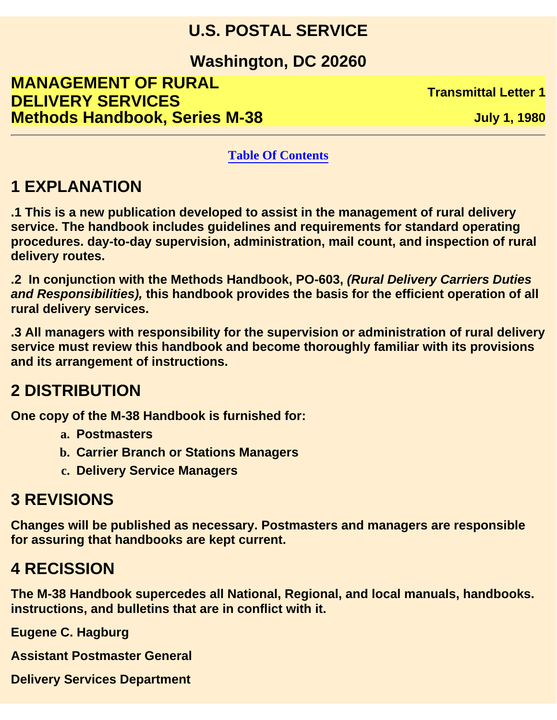#### **U.S. POSTAL SERVICE**

**Washington, DC 20260**

**MANAGEMENT OF RURAL DELIVERY SERVICES TRANSPORT IN A SERVICES Methods Handbook, Series M-38 July 1, 1980** 

#### **Table Of Contents**

#### **1 EXPLANATION**

**.1 This is a new publication developed to assist in the management of rural delivery service. The handbook includes guidelines and requirements for standard operating procedures. day-to-day supervision, administration, mail count, and inspection of rural delivery routes.**

**.2 In conjunction with the Methods Handbook, PO-603,** *(Rural Delivery Carriers Duties and Responsibilities),* **this handbook provides the basis for the efficient operation of all rural delivery services.**

**.3 All managers with responsibility for the supervision or administration of rural delivery service must review this handbook and become thoroughly familiar with its provisions and its arrangement of instructions.**

#### **2 DISTRIBUTION**

**One copy of the M-38 Handbook is furnished for:**

- **a. Postmasters**
- **b. Carrier Branch or Stations Managers**
- **c. Delivery Service Managers**

#### **3 REVISIONS**

**Changes will be published as necessary. Postmasters and managers are responsible for assuring that handbooks are kept current.**

#### **4 RECISSION**

**The M-38 Handbook supercedes all National, Regional, and local manuals, handbooks. instructions, and bulletins that are in conflict with it.**

**Eugene C. Hagburg**

**Assistant Postmaster General**

**Delivery Services Department**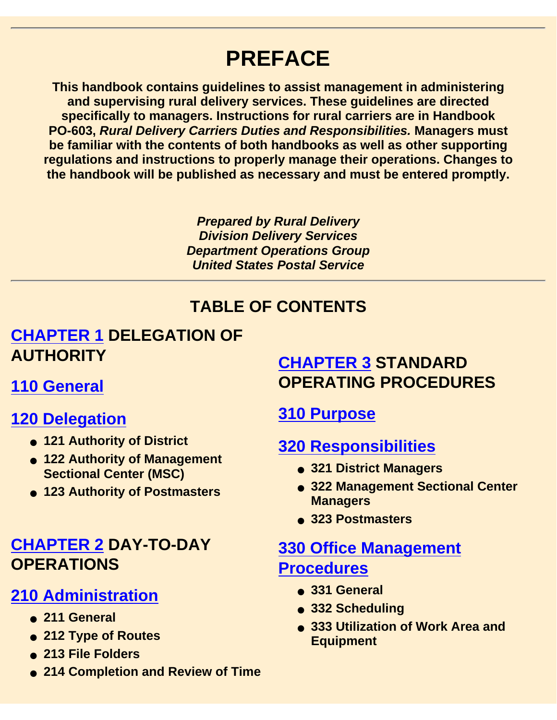# **PREFACE**

**This handbook contains guidelines to assist management in administering and supervising rural delivery services. These guidelines are directed specifically to managers. Instructions for rural carriers are in Handbook PO-603,** *Rural Delivery Carriers Duties and Responsibilities.* **Managers must be familiar with the contents of both handbooks as well as other supporting regulations and instructions to properly manage their operations. Changes to the handbook will be published as necessary and must be entered promptly.**

> *Prepared by Rural Delivery Division Delivery Services Department Operations Group United States Postal Service*

#### **TABLE OF CONTENTS**

#### **CHAPTER 1 DELEGATION OF AUTHORITY**

**110 General**

#### **120 Delegation**

- **121 Authority of District**
- **122 Authority of Management Sectional Center (MSC)**
- **123 Authority of Postmasters**

#### **CHAPTER 2 DAY-TO-DAY OPERATIONS**

#### **210 Administration**

- **211 General**
- **212 Type of Routes**
- **213 File Folders**
- **214 Completion and Review of Time**

#### **CHAPTER 3 STANDARD OPERATING PROCEDURES**

#### **310 Purpose**

#### **320 Responsibilities**

- **321 District Managers**
- **322 Management Sectional Center Managers**
- **323 Postmasters**

#### **330 Office Management Procedures**

- **331 General**
- **332 Scheduling**
- 333 Utilization of Work Area and **Equipment**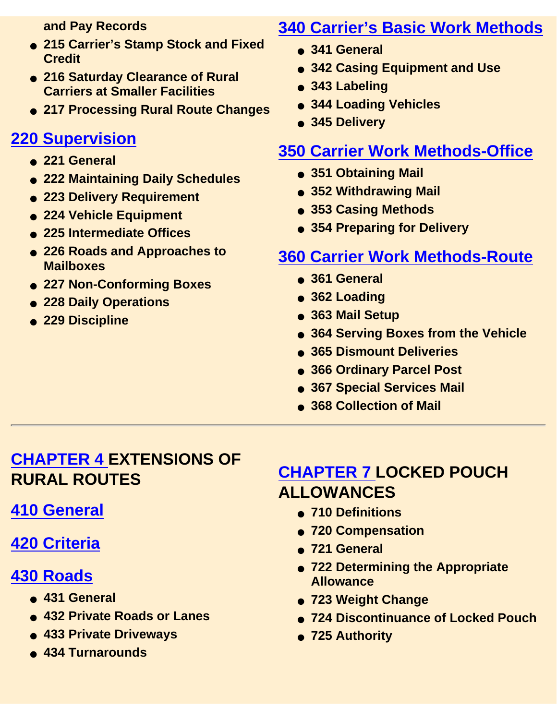**and Pay Records**

- **215 Carrier's Stamp Stock and Fixed Credit**
- **216 Saturday Clearance of Rural Carriers at Smaller Facilities**
- **217 Processing Rural Route Changes**

#### **220 Supervision**

- **221 General**
- **222 Maintaining Daily Schedules**
- **223 Delivery Requirement**
- **224 Vehicle Equipment**
- **225 Intermediate Offices**
- **226 Roads and Approaches to Mailboxes**
- **227 Non-Conforming Boxes**
- **228 Daily Operations**
- **229 Discipline**

#### **340 Carrier's Basic Work Methods**

- **341 General**
- **342 Casing Equipment and Use**
- **343 Labeling**
- **344 Loading Vehicles**
- **345 Delivery**

#### **350 Carrier Work Methods-Office**

- **351 Obtaining Mail**
- **352 Withdrawing Mail**
- **353 Casing Methods**
- **354 Preparing for Delivery**

#### **360 Carrier Work Methods-Route**

- **361 General**
- **362 Loading**
- **363 Mail Setup**
- **364 Serving Boxes from the Vehicle**
- **365 Dismount Deliveries**
- **366 Ordinary Parcel Post**
- **367 Special Services Mail**
- **368 Collection of Mail**

#### **CHAPTER 4 EXTENSIONS OF RURAL ROUTES**

#### **410 General**

#### **420 Criteria**

#### **430 Roads**

- **431 General**
- **432 Private Roads or Lanes**
- **433 Private Driveways**
- **434 Turnarounds**

#### **CHAPTER 7 LOCKED POUCH ALLOWANCES**

- **710 Definitions**
- **720 Compensation**
- **721 General**
- **722 Determining the Appropriate Allowance**
- **723 Weight Change**
- **724 Discontinuance of Locked Pouch**
- **725 Authority**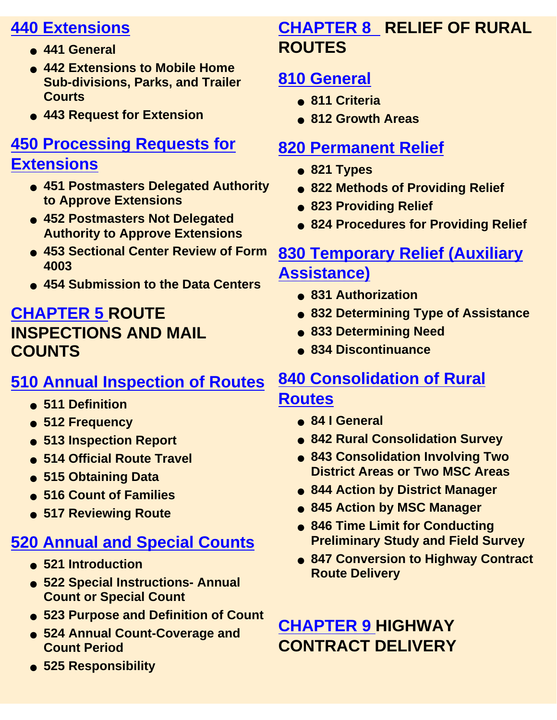#### **440 Extensions**

- **441 General**
- **442 Extensions to Mobile Home Sub-divisions, Parks, and Trailer Courts**
- **443 Request for Extension**

# **450 Processing Requests for**

#### **Extensions**

- **451 Postmasters Delegated Authority to Approve Extensions**
- **452 Postmasters Not Delegated Authority to Approve Extensions**
- **453 Sectional Center Review of Form 4003**
- **454 Submission to the Data Centers**

#### **CHAPTER 5 ROUTE INSPECTIONS AND MAIL COUNTS**

#### **510 Annual Inspection of Routes**

- **511 Definition**
- **512 Frequency**
- **513 Inspection Report**
- **514 Official Route Travel**
- **515 Obtaining Data**
- **516 Count of Families**
- **517 Reviewing Route**

## **520 Annual and Special Counts**

- **521 Introduction**
- **522 Special Instructions- Annual Count or Special Count**
- **523 Purpose and Definition of Count**
- 524 Annual Count-Coverage and **Count Period**
- **525 Responsibility**

#### **CHAPTER 8 RELIEF OF RURAL ROUTES**

#### **810 General**

- **811 Criteria**
- **812 Growth Areas**

#### **820 Permanent Relief**

- **821 Types**
- **822 Methods of Providing Relief**
- **823 Providing Relief**
- **824 Procedures for Providing Relief**

#### **830 Temporary Relief (Auxiliary Assistance)**

- **831 Authorization**
- **832 Determining Type of Assistance**
- **833 Determining Need**
- **834 Discontinuance**

#### **840 Consolidation of Rural Routes**

- **84 I General**
- **842 Rural Consolidation Survey**
- 843 Consolidation Involving Two **District Areas or Two MSC Areas**
- **844 Action by District Manager**
- **845 Action by MSC Manager**
- **846 Time Limit for Conducting Preliminary Study and Field Survey**
- 847 Conversion to Highway Contract **Route Delivery**

### **CHAPTER 9 HIGHWAY CONTRACT DELIVERY**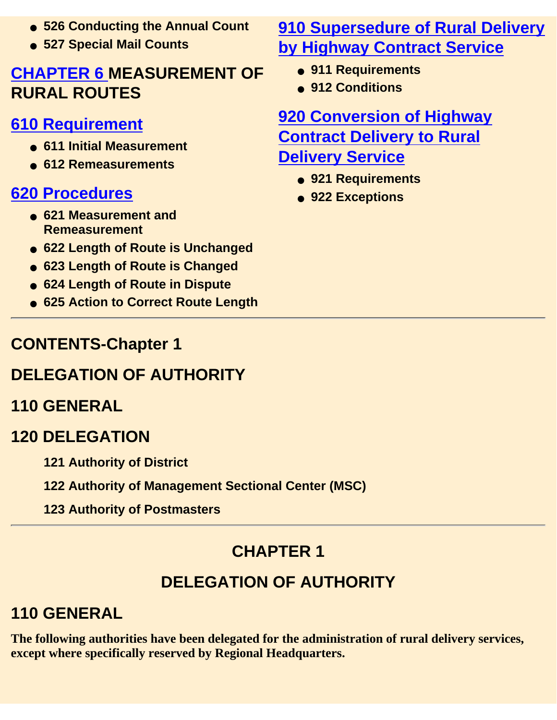- **526 Conducting the Annual Count**
- **527 Special Mail Counts**

#### **CHAPTER 6 MEASUREMENT OF RURAL ROUTES**

#### **610 Requirement**

- **611 Initial Measurement**
- **612 Remeasurements**

#### **620 Procedures**

- **621 Measurement and Remeasurement**
- **622 Length of Route is Unchanged**
- **623 Length of Route is Changed**
- **624 Length of Route in Dispute**
- **625 Action to Correct Route Length**

#### **910 Supersedure of Rural Delivery by Highway Contract Service**

- **911 Requirements**
- **912 Conditions**

**920 Conversion of Highway Contract Delivery to Rural Delivery Service**

- **921 Requirements**
- **922 Exceptions**

### **CONTENTS-Chapter 1**

## **DELEGATION OF AUTHORITY**

### **110 GENERAL**

#### **120 DELEGATION**

- **121 Authority of District**
- **122 Authority of Management Sectional Center (MSC)**
- **123 Authority of Postmasters**

## **CHAPTER 1**

## **DELEGATION OF AUTHORITY**

## **110 GENERAL**

**The following authorities have been delegated for the administration of rural delivery services, except where specifically reserved by Regional Headquarters.**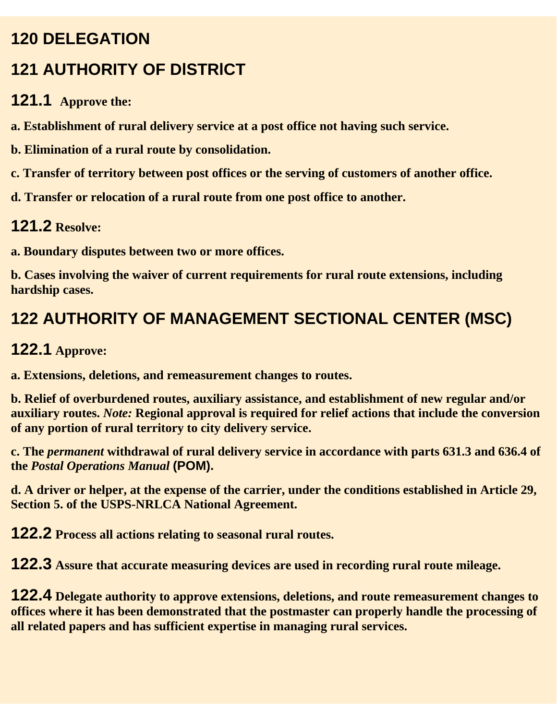#### **120 DELEGATION**

## **121 AUTHORITY OF DlSTRlCT**

#### **121.1 Approve the:**

**a. Establishment of rural delivery service at a post office not having such service.**

**b. Elimination of a rural route by consolidation.**

**c. Transfer of territory between post offices or the serving of customers of another office.**

**d. Transfer or relocation of a rural route from one post office to another.**

#### **121.2 Resolve:**

**a. Boundary disputes between two or more offices.**

**b. Cases involving the waiver of current requirements for rural route extensions, including hardship cases.**

## **122 AUTHORlTY OF MANAGEMENT SECTIONAL CENTER (MSC)**

#### **122.1 Approve:**

**a. Extensions, deletions, and remeasurement changes to routes.**

**b. Relief of overburdened routes, auxiliary assistance, and establishment of new regular and/or auxiliary routes.** *Note:* **Regional approval is required for relief actions that include the conversion of any portion of rural territory to city delivery service.**

**c. The** *permanent* **withdrawal of rural delivery service in accordance with parts 631.3 and 636.4 of the** *Postal Operations Manual* **(POM).**

**d. A driver or helper, at the expense of the carrier, under the conditions established in Article 29, Section 5. of the USPS-NRLCA National Agreement.**

**122.2 Process all actions relating to seasonal rural routes.**

**122.3 Assure that accurate measuring devices are used in recording rural route mileage.**

**122.4 Delegate authority to approve extensions, deletions, and route remeasurement changes to offices where it has been demonstrated that the postmaster can properly handle the processing of all related papers and has sufficient expertise in managing rural services.**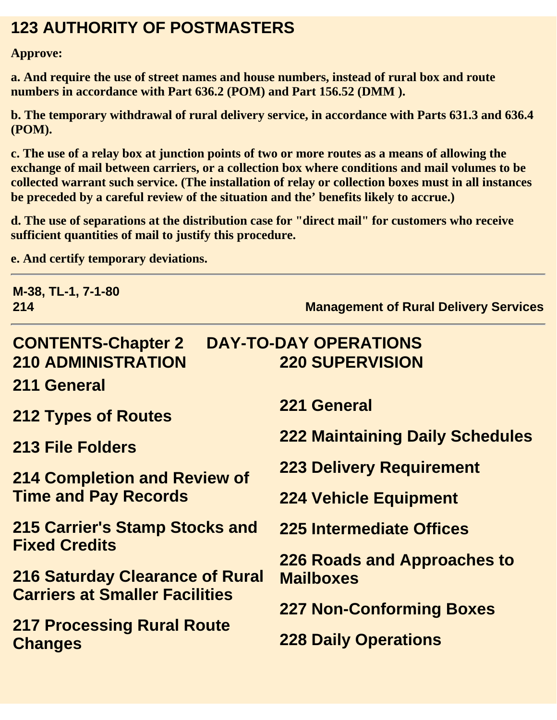#### **123 AUTHORITY OF POSTMASTERS**

**Approve:**

**a. And require the use of street names and house numbers, instead of rural box and route numbers in accordance with Part 636.2 (POM) and Part 156.52 (DMM ).**

**b. The temporary withdrawal of rural delivery service, in accordance with Parts 631.3 and 636.4 (POM).**

**c. The use of a relay box at junction points of two or more routes as a means of allowing the exchange of mail between carriers, or a collection box where conditions and mail volumes to be collected warrant such service. (The installation of relay or collection boxes must in all instances be preceded by a careful review of the situation and the' benefits likely to accrue.)**

**d. The use of separations at the distribution case for "direct mail" for customers who receive sufficient quantities of mail to justify this procedure.**

**e. And certify temporary deviations.**

| M-38, TL-1, 7-1-80<br>214                                 | <b>Management of Rural Delivery Services</b> |  |
|-----------------------------------------------------------|----------------------------------------------|--|
| <b>DAY-TO-DAY OPERATIONS</b><br><b>CONTENTS-Chapter 2</b> |                                              |  |
| <b>210 ADMINISTRATION</b>                                 | <b>220 SUPERVISION</b>                       |  |
| 211 General                                               |                                              |  |
| <b>212 Types of Routes</b>                                | 221 General                                  |  |
| <b>213 File Folders</b>                                   | <b>222 Maintaining Daily Schedules</b>       |  |
| <b>214 Completion and Review of</b>                       | <b>223 Delivery Requirement</b>              |  |
| <b>Time and Pay Records</b>                               | <b>224 Vehicle Equipment</b>                 |  |
| 215 Carrier's Stamp Stocks and                            | 225 Intermediate Offices                     |  |
| <b>Fixed Credits</b>                                      | 226 Roads and Approaches to                  |  |
| <b>216 Saturday Clearance of Rural</b>                    | <b>Mailboxes</b>                             |  |
| <b>Carriers at Smaller Facilities</b>                     | <b>227 Non-Conforming Boxes</b>              |  |
| <b>217 Processing Rural Route</b>                         |                                              |  |
| <b>Changes</b>                                            | <b>228 Daily Operations</b>                  |  |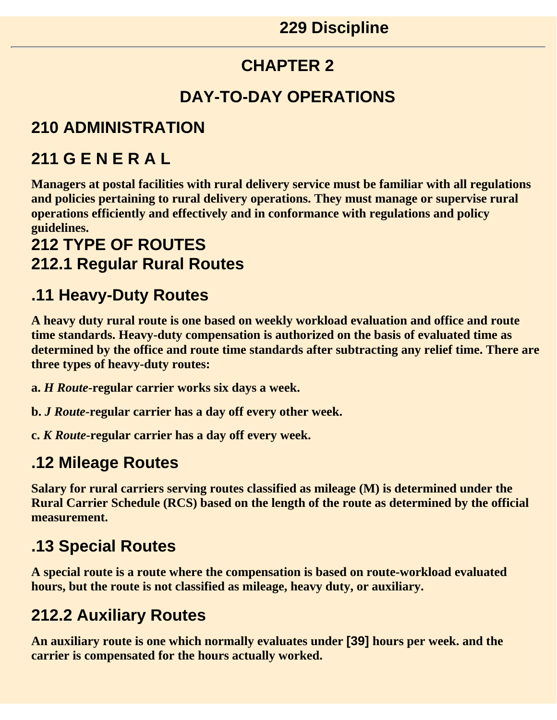#### **CHAPTER 2**

#### **DAY-TO-DAY OPERATIONS**

#### **210 ADMINISTRATION**

#### **211 G E N E R A L**

**Managers at postal facilities with rural delivery service must be familiar with all regulations and policies pertaining to rural delivery operations. They must manage or supervise rural operations efficiently and effectively and in conformance with regulations and policy guidelines.** 

#### **212 TYPE OF ROUTES 212.1 Regular Rural Routes**

#### **.11 Heavy-Duty Routes**

**A heavy duty rural route is one based on weekly workload evaluation and office and route time standards. Heavy-duty compensation is authorized on the basis of evaluated time as determined by the office and route time standards after subtracting any relief time. There are three types of heavy-duty routes:**

**a.** *H Route***-regular carrier works six days a week.**

**b.** *J Route***-regular carrier has a day off every other week.**

**c.** *K Route***-regular carrier has a day off every week.**

#### **.12 Mileage Routes**

**Salary for rural carriers serving routes classified as mileage (M) is determined under the Rural Carrier Schedule (RCS) based on the length of the route as determined by the official measurement.**

#### **.13 Special Routes**

**A special route is a route where the compensation is based on route-workload evaluated hours, but the route is not classified as mileage, heavy duty, or auxiliary.**

#### **212.2 Auxiliary Routes**

**An auxiliary route is one which normally evaluates under [39] hours per week. and the carrier is compensated for the hours actually worked.**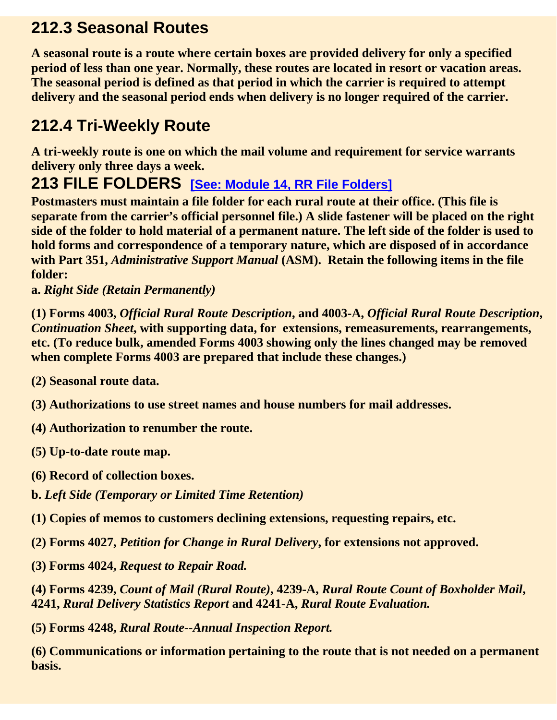#### **212.3 Seasonal Routes**

**A seasonal route is a route where certain boxes are provided delivery for only a specified period of less than one year. Normally, these routes are located in resort or vacation areas. The seasonal period is defined as that period in which the carrier is required to attempt delivery and the seasonal period ends when delivery is no longer required of the carrier.**

#### **212.4 Tri-Weekly Route**

**A tri-weekly route is one on which the mail volume and requirement for service warrants delivery only three days a week.**

#### **213 FILE FOLDERS [See: Module 14, RR File Folders]**

**Postmasters must maintain a file folder for each rural route at their office. (This file is separate from the carrier's official personnel file.) A slide fastener will be placed on the right side of the folder to hold material of a permanent nature. The left side of the folder is used to hold forms and correspondence of a temporary nature, which are disposed of in accordance with Part 351,** *Administrative Support Manual* **(ASM). Retain the following items in the file folder:**

**a.** *Right Side (Retain Permanently)*

**(1) Forms 4003,** *Official Rural Route Description***, and 4003-A,** *Official Rural Route Description***,** *Continuation Sheet***, with supporting data, for extensions, remeasurements, rearrangements, etc. (To reduce bulk, amended Forms 4003 showing only the lines changed may be removed when complete Forms 4003 are prepared that include these changes.)**

**(2) Seasonal route data.**

- **(3) Authorizations to use street names and house numbers for mail addresses.**
- **(4) Authorization to renumber the route.**

**(5) Up-to-date route map.**

**(6) Record of collection boxes.**

**b.** *Left Side (Temporary or Limited Time Retention)*

**(1) Copies of memos to customers declining extensions, requesting repairs, etc.**

**(2) Forms 4027,** *Petition for Change in Rural Delivery***, for extensions not approved.**

**(3) Forms 4024,** *Request to Repair Road.*

**(4) Forms 4239,** *Count of Mail (Rural Route)***, 4239-A,** *Rural Route Count of Boxholder Mail***, 4241,** *Rural Delivery Statistics Report* **and 4241-A,** *Rural Route Evaluation.*

**(5) Forms 4248,** *Rural Route--Annual Inspection Report.*

**(6) Communications or information pertaining to the route that is not needed on a permanent basis.**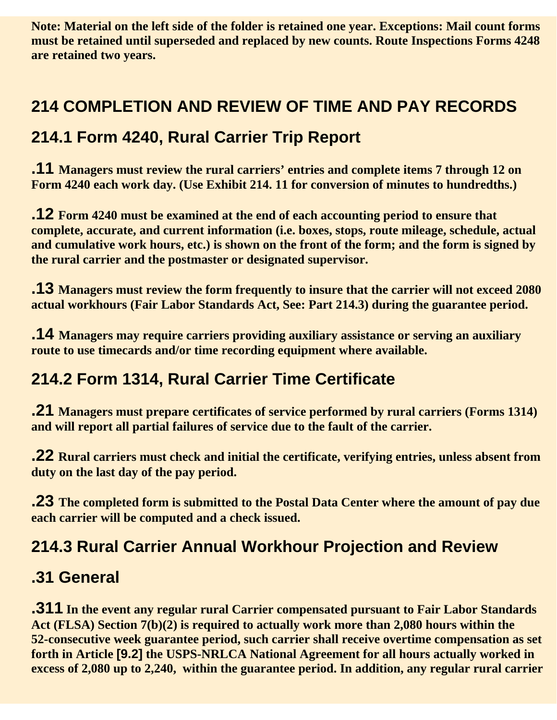**Note: Material on the left side of the folder is retained one year. Exceptions: Mail count forms must be retained until superseded and replaced by new counts. Route Inspections Forms 4248 are retained two years.**

#### **214 COMPLETION AND REVIEW OF TIME AND PAY RECORDS**

#### **214.1 Form 4240, Rural Carrier Trip Report**

**.11 Managers must review the rural carriers' entries and complete items 7 through 12 on Form 4240 each work day. (Use Exhibit 214. 11 for conversion of minutes to hundredths.)**

**.12 Form 4240 must be examined at the end of each accounting period to ensure that complete, accurate, and current information (i.e. boxes, stops, route mileage, schedule, actual and cumulative work hours, etc.) is shown on the front of the form; and the form is signed by the rural carrier and the postmaster or designated supervisor.**

**.13 Managers must review the form frequently to insure that the carrier will not exceed 2080 actual workhours (Fair Labor Standards Act, See: Part 214.3) during the guarantee period.**

**.14 Managers may require carriers providing auxiliary assistance or serving an auxiliary route to use timecards and/or time recording equipment where available.**

#### **214.2 Form 1314, Rural Carrier Time Certificate**

**.21 Managers must prepare certificates of service performed by rural carriers (Forms 1314) and will report all partial failures of service due to the fault of the carrier.**

**.22 Rural carriers must check and initial the certificate, verifying entries, unless absent from duty on the last day of the pay period.**

**.23 The completed form is submitted to the Postal Data Center where the amount of pay due each carrier will be computed and a check issued.**

#### **214.3 Rural Carrier Annual Workhour Projection and Review**

#### **.31 General**

**.311 In the event any regular rural Carrier compensated pursuant to Fair Labor Standards Act (FLSA) Section 7(b)(2) is required to actually work more than 2,080 hours within the 52-consecutive week guarantee period, such carrier shall receive overtime compensation as set forth in Article [9.2] the USPS-NRLCA National Agreement for all hours actually worked in excess of 2,080 up to 2,240, within the guarantee period. In addition, any regular rural carrier**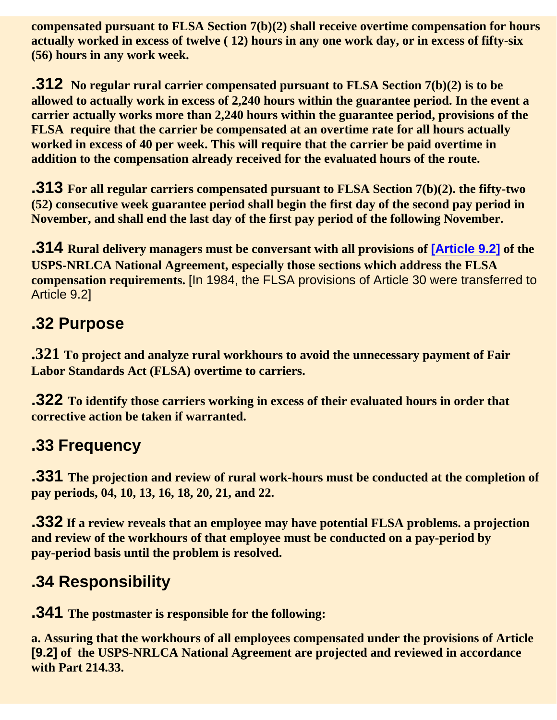**compensated pursuant to FLSA Section 7(b)(2) shall receive overtime compensation for hours actually worked in excess of twelve ( 12) hours in any one work day, or in excess of fifty-six (56) hours in any work week.**

**.312 No regular rural carrier compensated pursuant to FLSA Section 7(b)(2) is to be allowed to actually work in excess of 2,240 hours within the guarantee period. In the event a carrier actually works more than 2,240 hours within the guarantee period, provisions of the FLSA require that the carrier be compensated at an overtime rate for all hours actually worked in excess of 40 per week. This will require that the carrier be paid overtime in addition to the compensation already received for the evaluated hours of the route.**

**.313 For all regular carriers compensated pursuant to FLSA Section 7(b)(2). the fifty-two (52) consecutive week guarantee period shall begin the first day of the second pay period in November, and shall end the last day of the first pay period of the following November.**

**.314 Rural delivery managers must be conversant with all provisions of [Article 9.2] of the USPS-NRLCA National Agreement, especially those sections which address the FLSA compensation requirements.** [In 1984, the FLSA provisions of Article 30 were transferred to Article 9.2]

#### **.32 Purpose**

**.321 To project and analyze rural workhours to avoid the unnecessary payment of Fair Labor Standards Act (FLSA) overtime to carriers.**

**.322 To identify those carriers working in excess of their evaluated hours in order that corrective action be taken if warranted.**

#### **.33 Frequency**

**.331 The projection and review of rural work-hours must be conducted at the completion of pay periods, 04, 10, 13, 16, 18, 20, 21, and 22.** 

**.332 If a review reveals that an employee may have potential FLSA problems. a projection and review of the workhours of that employee must be conducted on a pay-period by pay-period basis until the problem is resolved.**

#### **.34 Responsibility**

**.341 The postmaster is responsible for the following:**

**a. Assuring that the workhours of all employees compensated under the provisions of Article [9.2] of the USPS-NRLCA National Agreement are projected and reviewed in accordance with Part 214.33.**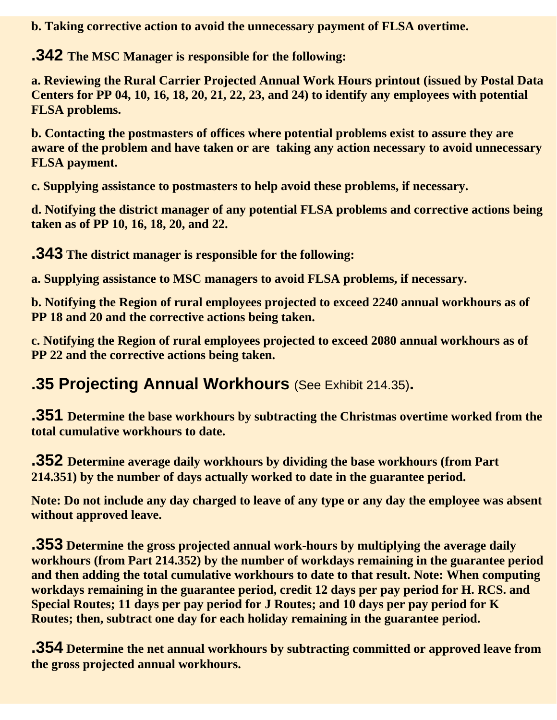**b. Taking corrective action to avoid the unnecessary payment of FLSA overtime.**

**.342 The MSC Manager is responsible for the following:**

**a. Reviewing the Rural Carrier Projected Annual Work Hours printout (issued by Postal Data Centers for PP 04, 10, 16, 18, 20, 21, 22, 23, and 24) to identify any employees with potential FLSA problems.**

**b. Contacting the postmasters of offices where potential problems exist to assure they are aware of the problem and have taken or are taking any action necessary to avoid unnecessary FLSA payment.**

**c. Supplying assistance to postmasters to help avoid these problems, if necessary.**

**d. Notifying the district manager of any potential FLSA problems and corrective actions being taken as of PP 10, 16, 18, 20, and 22.**

**.343 The district manager is responsible for the following:**

**a. Supplying assistance to MSC managers to avoid FLSA problems, if necessary.**

**b. Notifying the Region of rural employees projected to exceed 2240 annual workhours as of PP 18 and 20 and the corrective actions being taken.**

**c. Notifying the Region of rural employees projected to exceed 2080 annual workhours as of PP 22 and the corrective actions being taken.**

#### **.35 Projecting Annual Workhours** (See Exhibit 214.35)**.**

**.351 Determine the base workhours by subtracting the Christmas overtime worked from the total cumulative workhours to date.**

**.352 Determine average daily workhours by dividing the base workhours (from Part 214.351) by the number of days actually worked to date in the guarantee period.**

**Note: Do not include any day charged to leave of any type or any day the employee was absent without approved leave.**

**.353 Determine the gross projected annual work-hours by multiplying the average daily workhours (from Part 214.352) by the number of workdays remaining in the guarantee period and then adding the total cumulative workhours to date to that result. Note: When computing workdays remaining in the guarantee period, credit 12 days per pay period for H. RCS. and Special Routes; 11 days per pay period for J Routes; and 10 days per pay period for K Routes; then, subtract one day for each holiday remaining in the guarantee period.**

**.354 Determine the net annual workhours by subtracting committed or approved leave from the gross projected annual workhours.**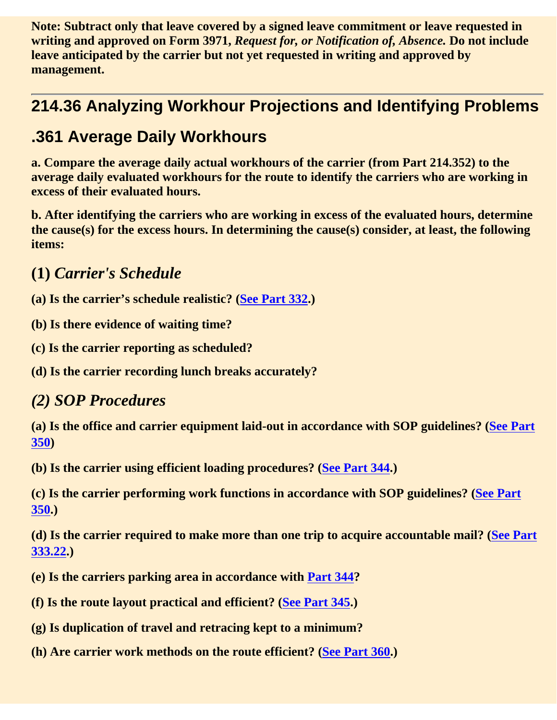**Note: Subtract only that leave covered by a signed leave commitment or leave requested in writing and approved on Form 3971,** *Request for, or Notification of, Absence.* **Do not include leave anticipated by the carrier but not yet requested in writing and approved by management.**

#### **214.36 Analyzing Workhour Projections and Identifying Problems**

#### **.361 Average Daily Workhours**

**a. Compare the average daily actual workhours of the carrier (from Part 214.352) to the average daily evaluated workhours for the route to identify the carriers who are working in excess of their evaluated hours.**

**b. After identifying the carriers who are working in excess of the evaluated hours, determine the cause(s) for the excess hours. In determining the cause(s) consider, at least, the following items:**

**(1)** *Carrier's Schedule* 

**(a) Is the carrier's schedule realistic? (See Part 332.)**

**(b) Is there evidence of waiting time?**

**(c) Is the carrier reporting as scheduled?**

**(d) Is the carrier recording lunch breaks accurately?**

#### *(2) SOP Procedures*

**(a) Is the office and carrier equipment laid-out in accordance with SOP guidelines? (See Part 350)**

**(b) Is the carrier using efficient loading procedures? (See Part 344.)**

**(c) Is the carrier performing work functions in accordance with SOP guidelines? (See Part 350.)**

**(d) Is the carrier required to make more than one trip to acquire accountable mail? (See Part 333.22.)**

- **(e) Is the carriers parking area in accordance with Part 344?**
- **(f) Is the route layout practical and efficient? (See Part 345.)**
- **(g) Is duplication of travel and retracing kept to a minimum?**
- **(h) Are carrier work methods on the route efficient? (See Part 360.)**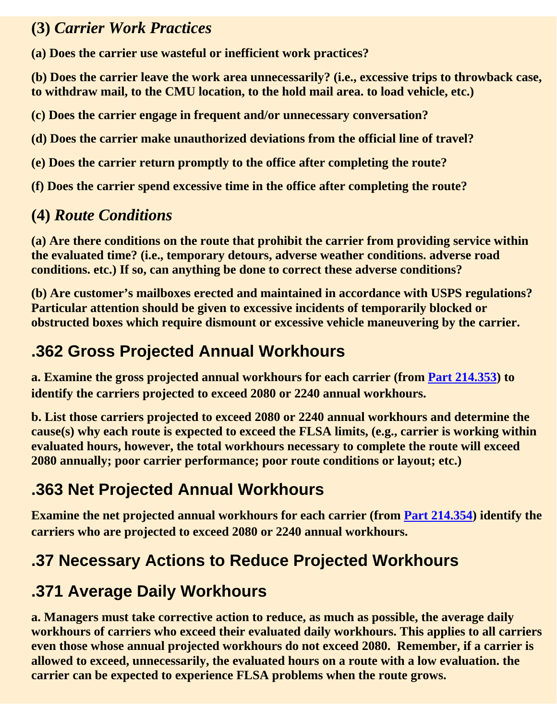#### **(3)** *Carrier Work Practices*

**(a) Does the carrier use wasteful or inefficient work practices?**

**(b) Does the carrier leave the work area unnecessarily? (i.e., excessive trips to throwback case, to withdraw mail, to the CMU location, to the hold mail area. to load vehicle, etc.)**

**(c) Does the carrier engage in frequent and/or unnecessary conversation?**

**(d) Does the carrier make unauthorized deviations from the official line of travel?**

**(e) Does the carrier return promptly to the office after completing the route?**

**(f) Does the carrier spend excessive time in the office after completing the route?**

#### **(4)** *Route Conditions*

**(a) Are there conditions on the route that prohibit the carrier from providing service within the evaluated time? (i.e., temporary detours, adverse weather conditions. adverse road conditions. etc.) If so, can anything be done to correct these adverse conditions?**

**(b) Are customer's mailboxes erected and maintained in accordance with USPS regulations? Particular attention should be given to excessive incidents of temporarily blocked or obstructed boxes which require dismount or excessive vehicle maneuvering by the carrier.**

#### **.362 Gross Projected Annual Workhours**

**a. Examine the gross projected annual workhours for each carrier (from Part 214.353) to identify the carriers projected to exceed 2080 or 2240 annual workhours.**

**b. List those carriers projected to exceed 2080 or 2240 annual workhours and determine the cause(s) why each route is expected to exceed the FLSA limits, (e.g., carrier is working within evaluated hours, however, the total workhours necessary to complete the route will exceed 2080 annually; poor carrier performance; poor route conditions or layout; etc.)**

#### **.363 Net Projected Annual Workhours**

**Examine the net projected annual workhours for each carrier (from Part 214.354) identify the carriers who are projected to exceed 2080 or 2240 annual workhours.**

#### **.37 Necessary Actions to Reduce Projected Workhours**

#### **.371 Average Daily Workhours**

**a. Managers must take corrective action to reduce, as much as possible, the average daily workhours of carriers who exceed their evaluated daily workhours. This applies to all carriers even those whose annual projected workhours do not exceed 2080. Remember, if a carrier is allowed to exceed, unnecessarily, the evaluated hours on a route with a low evaluation. the carrier can be expected to experience FLSA problems when the route grows.**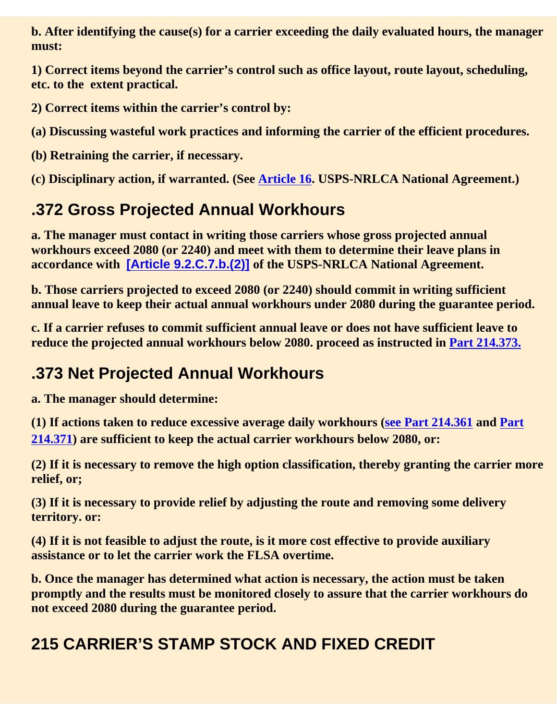**b. After identifying the cause(s) for a carrier exceeding the daily evaluated hours, the manager must:**

**1) Correct items beyond the carrier's control such as office layout, route layout, scheduling, etc. to the extent practical.**

**2) Correct items within the carrier's control by:**

**(a) Discussing wasteful work practices and informing the carrier of the efficient procedures.**

**(b) Retraining the carrier, if necessary.**

**(c) Disciplinary action, if warranted. (See Article 16. USPS-NRLCA National Agreement.)**

#### **.372 Gross Projected Annual Workhours**

**a. The manager must contact in writing those carriers whose gross projected annual workhours exceed 2080 (or 2240) and meet with them to determine their leave plans in accordance with [Article 9.2.C.7.b.(2)] of the USPS-NRLCA National Agreement.**

**b. Those carriers projected to exceed 2080 (or 2240) should commit in writing sufficient annual leave to keep their actual annual workhours under 2080 during the guarantee period.**

**c. If a carrier refuses to commit sufficient annual leave or does not have sufficient leave to reduce the projected annual workhours below 2080. proceed as instructed in Part 214.373.**

#### **.373 Net Projected Annual Workhours**

**a. The manager should determine:**

**(1) If actions taken to reduce excessive average daily workhours (see Part 214.361 and Part 214.371) are sufficient to keep the actual carrier workhours below 2080, or:**

**(2) If it is necessary to remove the high option classification, thereby granting the carrier more relief, or;**

**(3) If it is necessary to provide relief by adjusting the route and removing some delivery territory. or:**

**(4) If it is not feasible to adjust the route, is it more cost effective to provide auxiliary assistance or to let the carrier work the FLSA overtime.**

**b. Once the manager has determined what action is necessary, the action must be taken promptly and the results must be monitored closely to assure that the carrier workhours do not exceed 2080 during the guarantee period.**

#### **215 CARRIER'S STAMP STOCK AND FIXED CREDIT**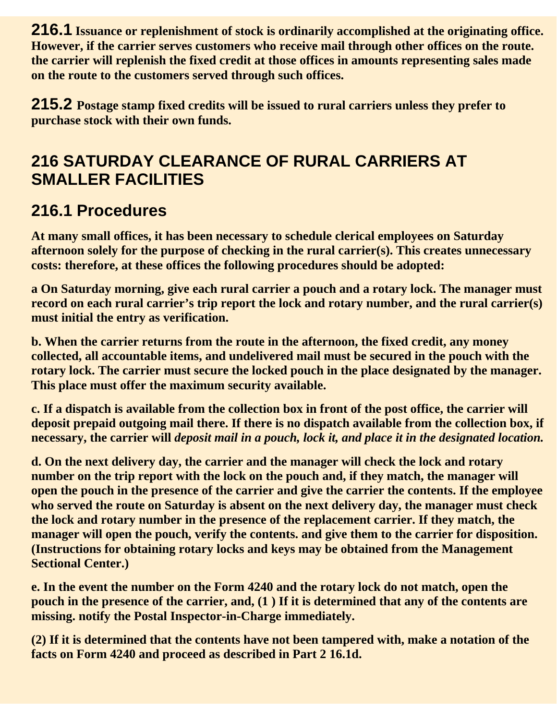**216.1 Issuance or replenishment of stock is ordinarily accomplished at the originating office. However, if the carrier serves customers who receive mail through other offices on the route. the carrier will replenish the fixed credit at those offices in amounts representing sales made on the route to the customers served through such offices.**

**215.2 Postage stamp fixed credits will be issued to rural carriers unless they prefer to purchase stock with their own funds.**

#### **216 SATURDAY CLEARANCE OF RURAL CARRIERS AT SMALLER FACILITIES**

#### **216.1 Procedures**

**At many small offices, it has been necessary to schedule clerical employees on Saturday afternoon solely for the purpose of checking in the rural carrier(s). This creates unnecessary costs: therefore, at these offices the following procedures should be adopted:**

**a On Saturday morning, give each rural carrier a pouch and a rotary lock. The manager must record on each rural carrier's trip report the lock and rotary number, and the rural carrier(s) must initial the entry as verification.**

**b. When the carrier returns from the route in the afternoon, the fixed credit, any money collected, all accountable items, and undelivered mail must be secured in the pouch with the rotary lock. The carrier must secure the locked pouch in the place designated by the manager. This place must offer the maximum security available.**

**c. If a dispatch is available from the collection box in front of the post office, the carrier will deposit prepaid outgoing mail there. If there is no dispatch available from the collection box, if necessary, the carrier will** *deposit mail in a pouch, lock it, and place it in the designated location.*

**d. On the next delivery day, the carrier and the manager will check the lock and rotary number on the trip report with the lock on the pouch and, if they match, the manager will open the pouch in the presence of the carrier and give the carrier the contents. If the employee who served the route on Saturday is absent on the next delivery day, the manager must check the lock and rotary number in the presence of the replacement carrier. If they match, the manager will open the pouch, verify the contents. and give them to the carrier for disposition. (Instructions for obtaining rotary locks and keys may be obtained from the Management Sectional Center.)**

**e. In the event the number on the Form 4240 and the rotary lock do not match, open the pouch in the presence of the carrier, and, (1 ) If it is determined that any of the contents are missing. notify the Postal Inspector-in-Charge immediately.**

**(2) If it is determined that the contents have not been tampered with, make a notation of the facts on Form 4240 and proceed as described in Part 2 16.1d.**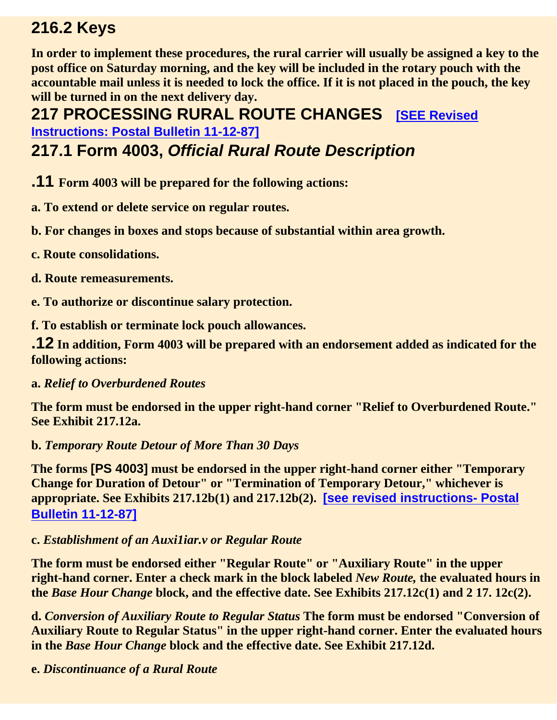#### **216.2 Keys**

**In order to implement these procedures, the rural carrier will usually be assigned a key to the post office on Saturday morning, and the key will be included in the rotary pouch with the accountable mail unless it is needed to lock the office. If it is not placed in the pouch, the key will be turned in on the next delivery day.**

**217 PROCESSING RURAL ROUTE CHANGES [SEE Revised] Instructions: Postal Bulletin 11-12-87]**

#### **217.1 Form 4003,** *Official Rural Route Description*

- **.11 Form 4003 will be prepared for the following actions:**
- **a. To extend or delete service on regular routes.**
- **b. For changes in boxes and stops because of substantial within area growth.**
- **c. Route consolidations.**
- **d. Route remeasurements.**
- **e. To authorize or discontinue salary protection.**
- **f. To establish or terminate lock pouch allowances.**

**.12 In addition, Form 4003 will be prepared with an endorsement added as indicated for the following actions:**

#### **a.** *Relief to Overburdened Routes*

**The form must be endorsed in the upper right-hand corner "Relief to Overburdened Route." See Exhibit 217.12a.**

#### **b.** *Temporary Route Detour of More Than 30 Days*

**The forms [PS 4003] must be endorsed in the upper right-hand corner either "Temporary Change for Duration of Detour" or "Termination of Temporary Detour," whichever is appropriate. See Exhibits 217.12b(1) and 217.12b(2). [see revised instructions- Postal Bulletin 11-12-87]**

#### **c.** *Establishment of an Auxi1iar.v or Regular Route*

**The form must be endorsed either "Regular Route" or "Auxiliary Route" in the upper right-hand corner. Enter a check mark in the block labeled** *New Route,* **the evaluated hours in the** *Base Hour Change* **block, and the effective date. See Exhibits 217.12c(1) and 2 17. 12c(2).**

**d.** *Conversion of Auxiliary Route to Regular Status* **The form must be endorsed "Conversion of Auxiliary Route to Regular Status" in the upper right-hand corner. Enter the evaluated hours in the** *Base Hour Change* **block and the effective date. See Exhibit 217.12d.**

**e.** *Discontinuance of a Rural Route*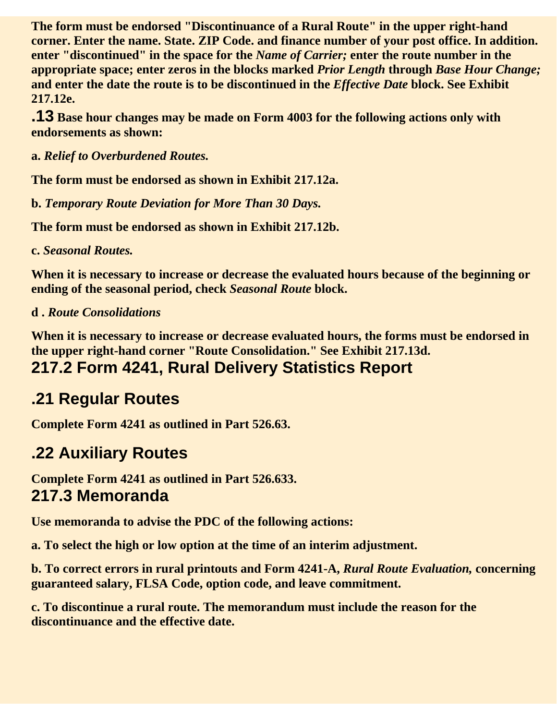**The form must be endorsed "Discontinuance of a Rural Route" in the upper right-hand corner. Enter the name. State. ZIP Code. and finance number of your post office. In addition. enter "discontinued" in the space for the** *Name of Carrier;* **enter the route number in the appropriate space; enter zeros in the blocks marked** *Prior Length* **through** *Base Hour Change;* **and enter the date the route is to be discontinued in the** *Effective Date* **block. See Exhibit 217.12e.**

**.13 Base hour changes may be made on Form 4003 for the following actions only with endorsements as shown:**

**a.** *Relief to Overburdened Routes.*

**The form must be endorsed as shown in Exhibit 217.12a.**

**b.** *Temporary Route Deviation for More Than 30 Days.*

**The form must be endorsed as shown in Exhibit 217.12b.**

**c.** *Seasonal Routes.*

**When it is necessary to increase or decrease the evaluated hours because of the beginning or ending of the seasonal period, check** *Seasonal Route* **block.**

#### **d .** *Route Consolidations*

**When it is necessary to increase or decrease evaluated hours, the forms must be endorsed in the upper right-hand corner "Route Consolidation." See Exhibit 217.13d. 217.2 Form 4241, Rural Delivery Statistics Report**

#### **.21 Regular Routes**

**Complete Form 4241 as outlined in Part 526.63.**

#### **.22 Auxiliary Routes**

**Complete Form 4241 as outlined in Part 526.633. 217.3 Memoranda**

**Use memoranda to advise the PDC of the following actions:**

**a. To select the high or low option at the time of an interim adjustment.**

**b. To correct errors in rural printouts and Form 4241-A,** *Rural Route Evaluation,* **concerning guaranteed salary, FLSA Code, option code, and leave commitment.**

**c. To discontinue a rural route. The memorandum must include the reason for the discontinuance and the effective date.**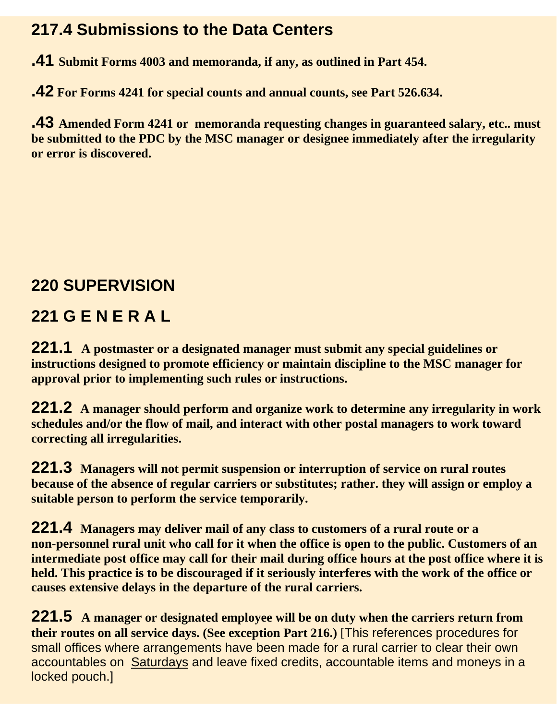#### **217.4 Submissions to the Data Centers**

**.41 Submit Forms 4003 and memoranda, if any, as outlined in Part 454.**

**.42 For Forms 4241 for special counts and annual counts, see Part 526.634.**

**.43 Amended Form 4241 or memoranda requesting changes in guaranteed salary, etc.. must be submitted to the PDC by the MSC manager or designee immediately after the irregularity or error is discovered.**

#### **220 SUPERVISION**

#### **221 G E N E R A L**

**221.1 A postmaster or a designated manager must submit any special guidelines or instructions designed to promote efficiency or maintain discipline to the MSC manager for approval prior to implementing such rules or instructions.** 

**221.2 A manager should perform and organize work to determine any irregularity in work schedules and/or the flow of mail, and interact with other postal managers to work toward correcting all irregularities.**

**221.3 Managers will not permit suspension or interruption of service on rural routes because of the absence of regular carriers or substitutes; rather. they will assign or employ a suitable person to perform the service temporarily.**

**221.4 Managers may deliver mail of any class to customers of a rural route or a non-personnel rural unit who call for it when the office is open to the public. Customers of an intermediate post office may call for their mail during office hours at the post office where it is held. This practice is to be discouraged if it seriously interferes with the work of the office or causes extensive delays in the departure of the rural carriers.**

**221.5 A manager or designated employee will be on duty when the carriers return from their routes on all service days. (See exception Part 216.)** [This references procedures for small offices where arrangements have been made for a rural carrier to clear their own accountables on Saturdays and leave fixed credits, accountable items and moneys in a locked pouch.]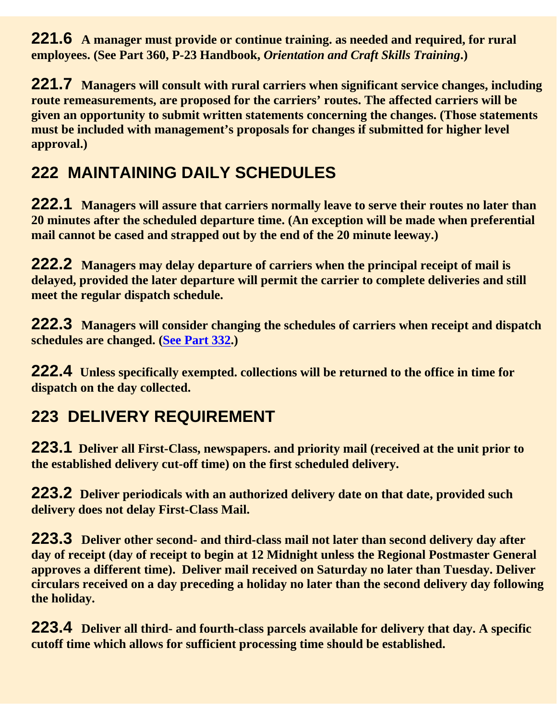**221.6 A manager must provide or continue training. as needed and required, for rural employees. (See Part 360, P-23 Handbook,** *Orientation and Craft Skills Training***.)**

**221.7 Managers will consult with rural carriers when significant service changes, including route remeasurements, are proposed for the carriers' routes. The affected carriers will be given an opportunity to submit written statements concerning the changes. (Those statements must be included with management's proposals for changes if submitted for higher level approval.)**

#### **222 MAINTAINING DAILY SCHEDULES**

**222.1 Managers will assure that carriers normally leave to serve their routes no later than 20 minutes after the scheduled departure time. (An exception will be made when preferential mail cannot be cased and strapped out by the end of the 20 minute leeway.)**

**222.2 Managers may delay departure of carriers when the principal receipt of mail is delayed, provided the later departure will permit the carrier to complete deliveries and still meet the regular dispatch schedule.**

**222.3 Managers will consider changing the schedules of carriers when receipt and dispatch schedules are changed. (See Part 332.)**

**222.4 Unless specifically exempted. collections will be returned to the office in time for dispatch on the day collected.**

#### **223 DELIVERY REQUIREMENT**

**223.1 Deliver all First-Class, newspapers. and priority mail (received at the unit prior to the established delivery cut-off time) on the first scheduled delivery.**

**223.2 Deliver periodicals with an authorized delivery date on that date, provided such delivery does not delay First-Class Mail.**

**223.3 Deliver other second- and third-class mail not later than second delivery day after day of receipt (day of receipt to begin at 12 Midnight unless the Regional Postmaster General approves a different time). Deliver mail received on Saturday no later than Tuesday. Deliver circulars received on a day preceding a holiday no later than the second delivery day following the holiday.**

**223.4 Deliver all third- and fourth-class parcels available for delivery that day. A specific cutoff time which allows for sufficient processing time should be established.**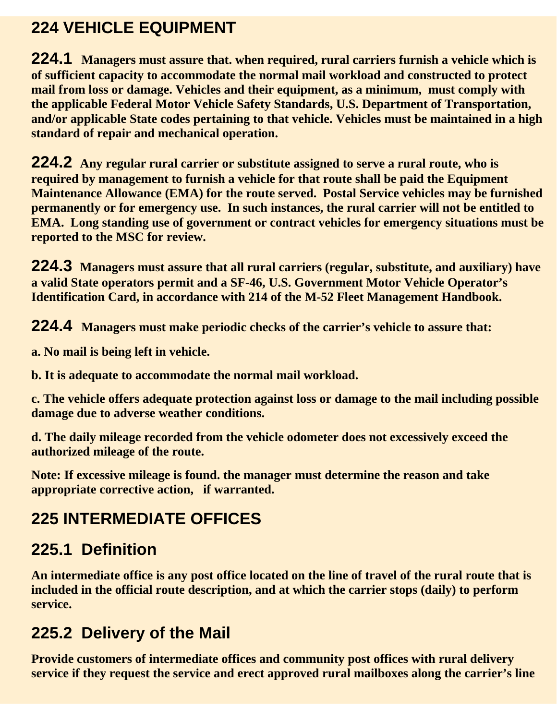#### **224 VEHICLE EQUIPMENT**

**224.1 Managers must assure that. when required, rural carriers furnish a vehicle which is of sufficient capacity to accommodate the normal mail workload and constructed to protect mail from loss or damage. Vehicles and their equipment, as a minimum, must comply with the applicable Federal Motor Vehicle Safety Standards, U.S. Department of Transportation, and/or applicable State codes pertaining to that vehicle. Vehicles must be maintained in a high standard of repair and mechanical operation.** 

**224.2 Any regular rural carrier or substitute assigned to serve a rural route, who is required by management to furnish a vehicle for that route shall be paid the Equipment Maintenance Allowance (EMA) for the route served. Postal Service vehicles may be furnished permanently or for emergency use. In such instances, the rural carrier will not be entitled to EMA. Long standing use of government or contract vehicles for emergency situations must be reported to the MSC for review.** 

**224.3 Managers must assure that all rural carriers (regular, substitute, and auxiliary) have a valid State operators permit and a SF-46, U.S. Government Motor Vehicle Operator's Identification Card, in accordance with 214 of the M-52 Fleet Management Handbook.** 

**224.4 Managers must make periodic checks of the carrier's vehicle to assure that:**

**a. No mail is being left in vehicle.**

**b. It is adequate to accommodate the normal mail workload.**

**c. The vehicle offers adequate protection against loss or damage to the mail including possible damage due to adverse weather conditions.**

**d. The daily mileage recorded from the vehicle odometer does not excessively exceed the authorized mileage of the route.**

**Note: If excessive mileage is found. the manager must determine the reason and take appropriate corrective action, if warranted.**

### **225 INTERMEDIATE OFFICES**

#### **225.1 Definition**

**An intermediate office is any post office located on the line of travel of the rural route that is included in the official route description, and at which the carrier stops (daily) to perform service.**

#### **225.2 Delivery of the Mail**

**Provide customers of intermediate offices and community post offices with rural delivery service if they request the service and erect approved rural mailboxes along the carrier's line**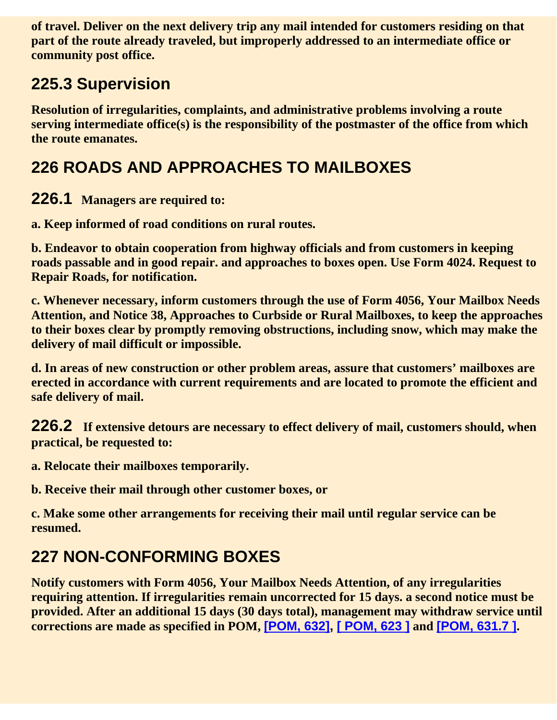**of travel. Deliver on the next delivery trip any mail intended for customers residing on that part of the route already traveled, but improperly addressed to an intermediate office or community post office.**

#### **225.3 Supervision**

**Resolution of irregularities, complaints, and administrative problems involving a route serving intermediate office(s) is the responsibility of the postmaster of the office from which the route emanates.**

#### **226 ROADS AND APPROACHES TO MAILBOXES**

**226.1 Managers are required to:**

**a. Keep informed of road conditions on rural routes.**

**b. Endeavor to obtain cooperation from highway officials and from customers in keeping roads passable and in good repair. and approaches to boxes open. Use Form 4024. Request to Repair Roads, for notification.**

**c. Whenever necessary, inform customers through the use of Form 4056, Your Mailbox Needs Attention, and Notice 38, Approaches to Curbside or Rural Mailboxes, to keep the approaches to their boxes clear by promptly removing obstructions, including snow, which may make the delivery of mail difficult or impossible.**

**d. In areas of new construction or other problem areas, assure that customers' mailboxes are erected in accordance with current requirements and are located to promote the efficient and safe delivery of mail.**

**226.2 If extensive detours are necessary to effect delivery of mail, customers should, when practical, be requested to:**

**a. Relocate their mailboxes temporarily.**

**b. Receive their mail through other customer boxes, or**

**c. Make some other arrangements for receiving their mail until regular service can be resumed.**

#### **227 NON-CONFORMING BOXES**

**Notify customers with Form 4056, Your Mailbox Needs Attention, of any irregularities requiring attention. If irregularities remain uncorrected for 15 days. a second notice must be provided. After an additional 15 days (30 days total), management may withdraw service until corrections are made as specified in POM, [POM, 632], [ POM, 623 ] and [POM, 631.7 ].**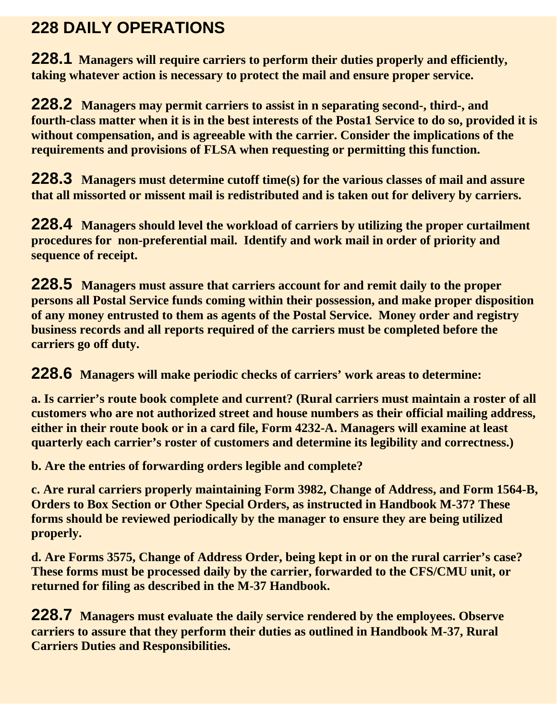#### **228 DAILY OPERATIONS**

**228.1 Managers will require carriers to perform their duties properly and efficiently, taking whatever action is necessary to protect the mail and ensure proper service.**

**228.2 Managers may permit carriers to assist in n separating second-, third-, and fourth-class matter when it is in the best interests of the Posta1 Service to do so, provided it is without compensation, and is agreeable with the carrier. Consider the implications of the requirements and provisions of FLSA when requesting or permitting this function.**

**228.3 Managers must determine cutoff time(s) for the various classes of mail and assure that all missorted or missent mail is redistributed and is taken out for delivery by carriers.**

**228.4 Managers should level the workload of carriers by utilizing the proper curtailment procedures for non-preferential mail. Identify and work mail in order of priority and sequence of receipt.**

**228.5 Managers must assure that carriers account for and remit daily to the proper persons all Postal Service funds coming within their possession, and make proper disposition of any money entrusted to them as agents of the Postal Service. Money order and registry business records and all reports required of the carriers must be completed before the carriers go off duty.**

**228.6 Managers will make periodic checks of carriers' work areas to determine:** 

**a. Is carrier's route book complete and current? (Rural carriers must maintain a roster of all customers who are not authorized street and house numbers as their official mailing address, either in their route book or in a card file, Form 4232-A. Managers will examine at least quarterly each carrier's roster of customers and determine its legibility and correctness.)**

**b. Are the entries of forwarding orders legible and complete?**

**c. Are rural carriers properly maintaining Form 3982, Change of Address, and Form 1564-B, Orders to Box Section or Other Special Orders, as instructed in Handbook M-37? These forms should be reviewed periodically by the manager to ensure they are being utilized properly.**

**d. Are Forms 3575, Change of Address Order, being kept in or on the rural carrier's case? These forms must be processed daily by the carrier, forwarded to the CFS/CMU unit, or returned for filing as described in the M-37 Handbook.**

**228.7 Managers must evaluate the daily service rendered by the employees. Observe carriers to assure that they perform their duties as outlined in Handbook M-37, Rural Carriers Duties and Responsibilities.**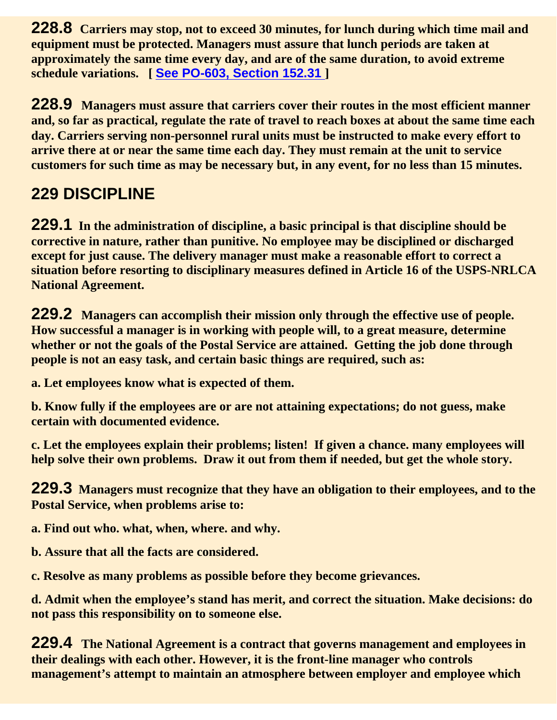**228.8 Carriers may stop, not to exceed 30 minutes, for lunch during which time mail and equipment must be protected. Managers must assure that lunch periods are taken at approximately the same time every day, and are of the same duration, to avoid extreme schedule variations. [ See PO-603, Section 152.31 ]**

**228.9 Managers must assure that carriers cover their routes in the most efficient manner and, so far as practical, regulate the rate of travel to reach boxes at about the same time each day. Carriers serving non-personnel rural units must be instructed to make every effort to arrive there at or near the same time each day. They must remain at the unit to service customers for such time as may be necessary but, in any event, for no less than 15 minutes.**

#### **229 DISCIPLINE**

**229.1 In the administration of discipline, a basic principal is that discipline should be corrective in nature, rather than punitive. No employee may be disciplined or discharged except for just cause. The delivery manager must make a reasonable effort to correct a situation before resorting to disciplinary measures defined in Article 16 of the USPS-NRLCA National Agreement.**

**229.2 Managers can accomplish their mission only through the effective use of people. How successful a manager is in working with people will, to a great measure, determine whether or not the goals of the Postal Service are attained. Getting the job done through people is not an easy task, and certain basic things are required, such as:**

**a. Let employees know what is expected of them.**

**b. Know fully if the employees are or are not attaining expectations; do not guess, make certain with documented evidence.**

**c. Let the employees explain their problems; listen! If given a chance. many employees will help solve their own problems. Draw it out from them if needed, but get the whole story.**

**229.3 Managers must recognize that they have an obligation to their employees, and to the Postal Service, when problems arise to:**

**a. Find out who. what, when, where. and why.**

**b. Assure that all the facts are considered.**

**c. Resolve as many problems as possible before they become grievances.**

**d. Admit when the employee's stand has merit, and correct the situation. Make decisions: do not pass this responsibility on to someone else.**

**229.4 The National Agreement is a contract that governs management and employees in their dealings with each other. However, it is the front-line manager who controls management's attempt to maintain an atmosphere between employer and employee which**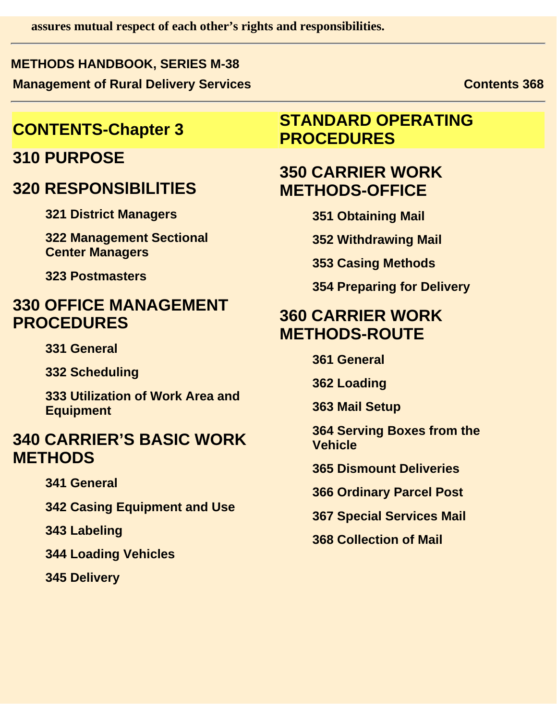**assures mutual respect of each other's rights and responsibilities.**

#### **METHODS HANDBOOK, SERIES M-38 Management of Rural Delivery Services Contents 368** Contents 368

#### **310 PURPOSE**

#### **320 RESPONSlBlLlTlES**

**321 District Managers**

**322 Management Sectional Center Managers**

**323 Postmasters**

#### **330 OFFICE MANAGEMENT PROCEDURES**

**331 General**

**332 Scheduling**

**333 Utilization of Work Area and Equipment**

#### **340 CARRIER'S BASIC WORK METHODS**

**341 General**

**342 Casing Equipment and Use**

**343 Labeling**

**344 Loading Vehicles**

**345 Delivery**

#### **CONTENTS-Chapter 3 STANDARD OPERATING PROCEDURES**

#### **350 CARRIER WORK METHODS-OFFICE**

**351 Obtaining Mail**

**352 Withdrawing Mail**

**353 Casing Methods**

**354 Preparing for Delivery**

#### **360 CARRIER WORK METHODS-ROUTE**

**361 General**

**362 Loading**

**363 Mail Setup**

**364 Serving Boxes from the Vehicle**

**365 Dismount Deliveries**

**366 Ordinary Parcel Post**

**367 Special Services Mail**

**368 Collection of Mail**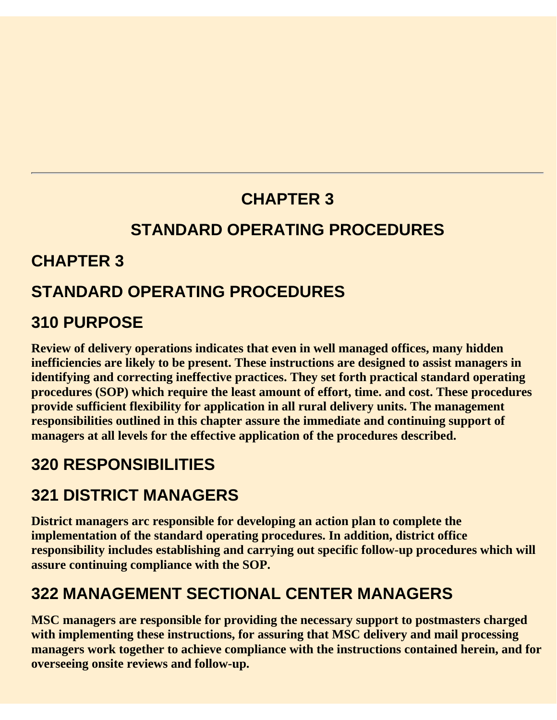#### **CHAPTER 3**

#### **STANDARD OPERATING PROCEDURES**

#### **CHAPTER 3**

#### **STANDARD OPERATING PROCEDURES**

#### **310 PURPOSE**

**Review of delivery operations indicates that even in well managed offices, many hidden inefficiencies are likely to be present. These instructions are designed to assist managers in identifying and correcting ineffective practices. They set forth practical standard operating procedures (SOP) which require the least amount of effort, time. and cost. These procedures provide sufficient flexibility for application in all rural delivery units. The management responsibilities outlined in this chapter assure the immediate and continuing support of managers at all levels for the effective application of the procedures described.**

#### **320 RESPONSIBILITIES**

#### **321 DISTRICT MANAGERS**

**District managers arc responsible for developing an action plan to complete the implementation of the standard operating procedures. In addition, district office responsibility includes establishing and carrying out specific follow-up procedures which will assure continuing compliance with the SOP.**

#### **322 MANAGEMENT SECTIONAL CENTER MANAGERS**

**MSC managers are responsible for providing the necessary support to postmasters charged with implementing these instructions, for assuring that MSC delivery and mail processing managers work together to achieve compliance with the instructions contained herein, and for overseeing onsite reviews and follow-up.**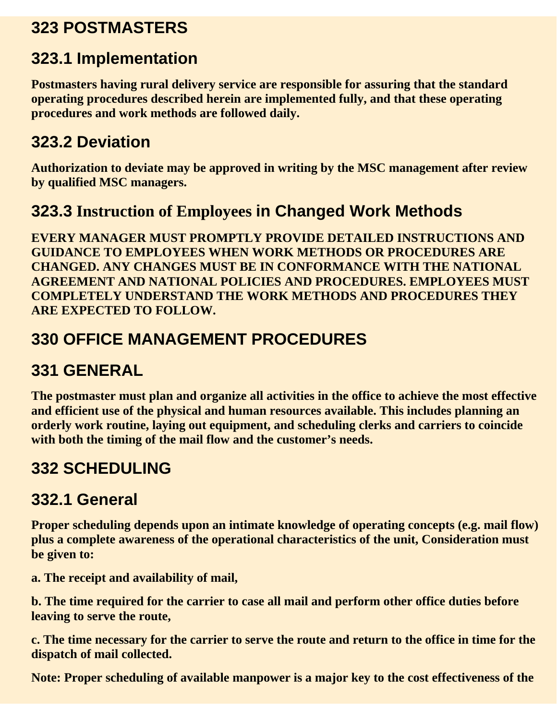#### **323 POSTMASTERS**

#### **323.1 Implementation**

**Postmasters having rural delivery service are responsible for assuring that the standard operating procedures described herein are implemented fully, and that these operating procedures and work methods are followed daily.**

#### **323.2 Deviation**

**Authorization to deviate may be approved in writing by the MSC management after review by qualified MSC managers.**

#### **323.3 Instruction of Employees in Changed Work Methods**

**EVERY MANAGER MUST PROMPTLY PROVIDE DETAILED INSTRUCTIONS AND GUIDANCE TO EMPLOYEES WHEN WORK METHODS OR PROCEDURES ARE CHANGED. ANY CHANGES MUST BE IN CONFORMANCE WITH THE NATIONAL AGREEMENT AND NATIONAL POLICIES AND PROCEDURES. EMPLOYEES MUST COMPLETELY UNDERSTAND THE WORK METHODS AND PROCEDURES THEY ARE EXPECTED TO FOLLOW.**

#### **330 OFFICE MANAGEMENT PROCEDURES**

#### **331 GENERAL**

**The postmaster must plan and organize all activities in the office to achieve the most effective and efficient use of the physical and human resources available. This includes planning an orderly work routine, laying out equipment, and scheduling clerks and carriers to coincide with both the timing of the mail flow and the customer's needs.**

#### **332 SCHEDULING**

#### **332.1 General**

**Proper scheduling depends upon an intimate knowledge of operating concepts (e.g. mail flow) plus a complete awareness of the operational characteristics of the unit, Consideration must be given to:**

**a. The receipt and availability of mail,** 

**b. The time required for the carrier to case all mail and perform other office duties before leaving to serve the route,**

**c. The time necessary for the carrier to serve the route and return to the office in time for the dispatch of mail collected.**

**Note: Proper scheduling of available manpower is a major key to the cost effectiveness of the**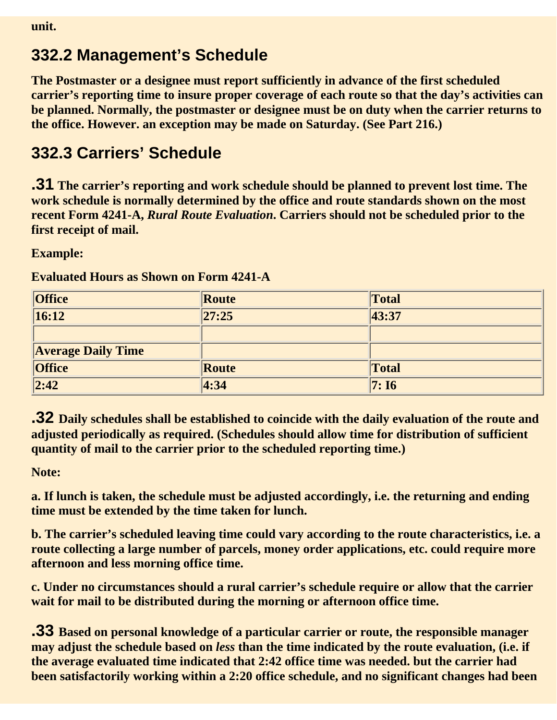#### **332.2 Management's Schedule**

**The Postmaster or a designee must report sufficiently in advance of the first scheduled carrier's reporting time to insure proper coverage of each route so that the day's activities can be planned. Normally, the postmaster or designee must be on duty when the carrier returns to the office. However. an exception may be made on Saturday. (See Part 216.)**

#### **332.3 Carriers' Schedule**

**.31 The carrier's reporting and work schedule should be planned to prevent lost time. The work schedule is normally determined by the office and route standards shown on the most recent Form 4241-A,** *Rural Route Evaluation***. Carriers should not be scheduled prior to the first receipt of mail.**

#### **Example:**

| <b>Office</b>             | Route | Total |
|---------------------------|-------|-------|
| 16:12                     | 27:25 | 43:37 |
|                           |       |       |
| <b>Average Daily Time</b> |       |       |
| <b>Office</b>             | Route | Total |
| $\sqrt{2:42}$             | 4:34  | 7:16  |

**Evaluated Hours as Shown on Form 4241-A**

**.32 Daily schedules shall be established to coincide with the daily evaluation of the route and adjusted periodically as required. (Schedules should allow time for distribution of sufficient quantity of mail to the carrier prior to the scheduled reporting time.)**

**Note:**

**a. If lunch is taken, the schedule must be adjusted accordingly, i.e. the returning and ending time must be extended by the time taken for lunch.**

**b. The carrier's scheduled leaving time could vary according to the route characteristics, i.e. a route collecting a large number of parcels, money order applications, etc. could require more afternoon and less morning office time.**

**c. Under no circumstances should a rural carrier's schedule require or allow that the carrier wait for mail to be distributed during the morning or afternoon office time.**

**.33 Based on personal knowledge of a particular carrier or route, the responsible manager may adjust the schedule based on** *less* **than the time indicated by the route evaluation, (i.e. if the average evaluated time indicated that 2:42 office time was needed. but the carrier had been satisfactorily working within a 2:20 office schedule, and no significant changes had been**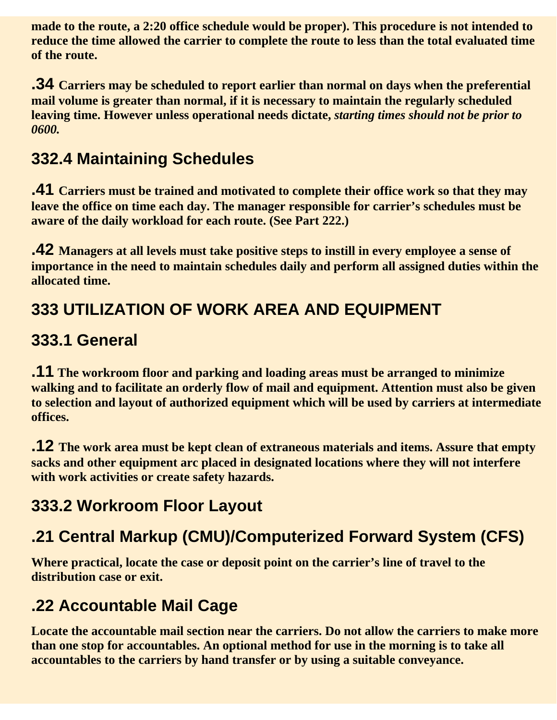**made to the route, a 2:20 office schedule would be proper). This procedure is not intended to reduce the time allowed the carrier to complete the route to less than the total evaluated time of the route.**

**.34 Carriers may be scheduled to report earlier than normal on days when the preferential mail volume is greater than normal, if it is necessary to maintain the regularly scheduled leaving time. However unless operational needs dictate,** *starting times should not be prior to 0600.*

#### **332.4 Maintaining Schedules**

**.41 Carriers must be trained and motivated to complete their office work so that they may leave the office on time each day. The manager responsible for carrier's schedules must be aware of the daily workload for each route. (See Part 222.)**

**.42 Managers at all levels must take positive steps to instill in every employee a sense of importance in the need to maintain schedules daily and perform all assigned duties within the allocated time.**

#### **333 UTILIZATION OF WORK AREA AND EQUIPMENT**

#### **333.1 General**

**.11 The workroom floor and parking and loading areas must be arranged to minimize walking and to facilitate an orderly flow of mail and equipment. Attention must also be given to selection and layout of authorized equipment which will be used by carriers at intermediate offices.**

**.12 The work area must be kept clean of extraneous materials and items. Assure that empty sacks and other equipment arc placed in designated locations where they will not interfere with work activities or create safety hazards.**

#### **333.2 Workroom Floor Layout**

#### **.21 Central Markup (CMU)/Computerized Forward System (CFS)**

**Where practical, locate the case or deposit point on the carrier's line of travel to the distribution case or exit.**

#### **.22 Accountable Mail Cage**

**Locate the accountable mail section near the carriers. Do not allow the carriers to make more than one stop for accountables. An optional method for use in the morning is to take all accountables to the carriers by hand transfer or by using a suitable conveyance.**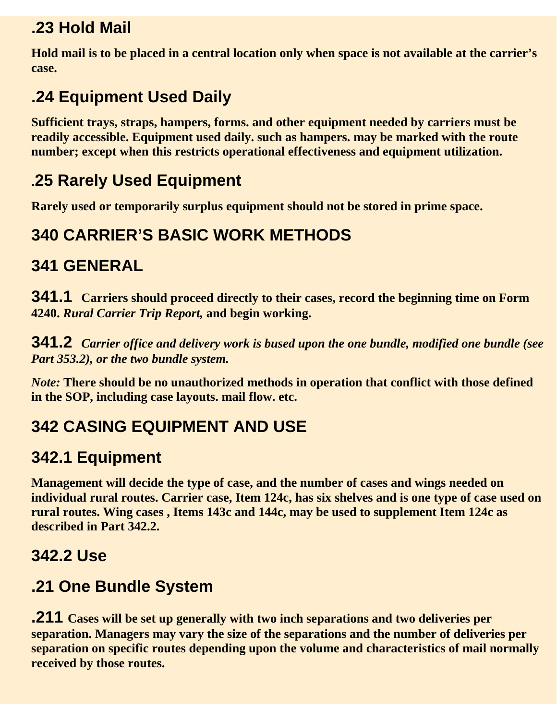#### **.23 Hold Mail**

**Hold mail is to be placed in a central location only when space is not available at the carrier's case.**

### **.24 Equipment Used Daily**

**Sufficient trays, straps, hampers, forms. and other equipment needed by carriers must be readily accessible. Equipment used daily. such as hampers. may be marked with the route number; except when this restricts operational effectiveness and equipment utilization.**

#### **.25 Rarely Used Equipment**

**Rarely used or temporarily surplus equipment should not be stored in prime space.**

### **340 CARRIER'S BASIC WORK METHODS**

#### **341 GENERAL**

**341.1 Carriers should proceed directly to their cases, record the beginning time on Form 4240.** *Rural Carrier Trip Report,* **and begin working.**

**341.2** *Carrier office and delivery work is bused upon the one bundle, modified one bundle (see Part 353.2), or the two bundle system.*

*Note:* **There should be no unauthorized methods in operation that conflict with those defined in the SOP, including case layouts. mail flow. etc.**

### **342 CASING EQUIPMENT AND USE**

#### **342.1 Equipment**

**Management will decide the type of case, and the number of cases and wings needed on individual rural routes. Carrier case, Item 124c, has six shelves and is one type of case used on rural routes. Wing cases , Items 143c and 144c, may be used to supplement Item 124c as described in Part 342.2.**

#### **342.2 Use**

#### **.21 One Bundle System**

**.211 Cases will be set up generally with two inch separations and two deliveries per separation. Managers may vary the size of the separations and the number of deliveries per separation on specific routes depending upon the volume and characteristics of mail normally received by those routes.**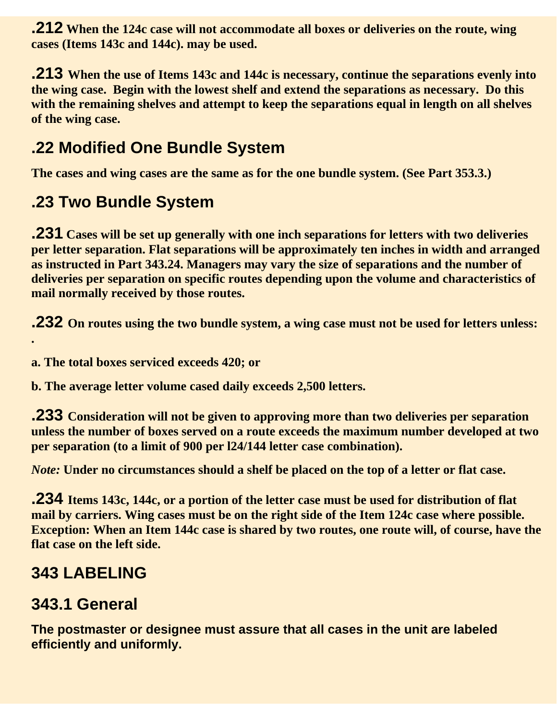**.212 When the 124c case will not accommodate all boxes or deliveries on the route, wing cases (Items 143c and 144c). may be used.**

**.213 When the use of Items 143c and 144c is necessary, continue the separations evenly into the wing case. Begin with the lowest shelf and extend the separations as necessary. Do this with the remaining shelves and attempt to keep the separations equal in length on all shelves of the wing case.**

#### **.22 Modified One Bundle System**

**The cases and wing cases are the same as for the one bundle system. (See Part 353.3.)** 

#### **.23 Two Bundle System**

**.231 Cases will be set up generally with one inch separations for letters with two deliveries per letter separation. Flat separations will be approximately ten inches in width and arranged as instructed in Part 343.24. Managers may vary the size of separations and the number of deliveries per separation on specific routes depending upon the volume and characteristics of mail normally received by those routes.**

**.232 On routes using the two bundle system, a wing case must not be used for letters unless:**

**a. The total boxes serviced exceeds 420; or**

**b. The average letter volume cased daily exceeds 2,500 letters.**

**.233 Consideration will not be given to approving more than two deliveries per separation unless the number of boxes served on a route exceeds the maximum number developed at two per separation (to a limit of 900 per l24/144 letter case combination).**

*Note:* **Under no circumstances should a shelf be placed on the top of a letter or flat case.**

**.234 Items 143c, 144c, or a portion of the letter case must be used for distribution of flat mail by carriers. Wing cases must be on the right side of the Item 124c case where possible. Exception: When an Item 144c case is shared by two routes, one route will, of course, have the flat case on the left side.** 

#### **343 LABELING**

**.**

#### **343.1 General**

**The postmaster or designee must assure that all cases in the unit are labeled efficiently and uniformly.**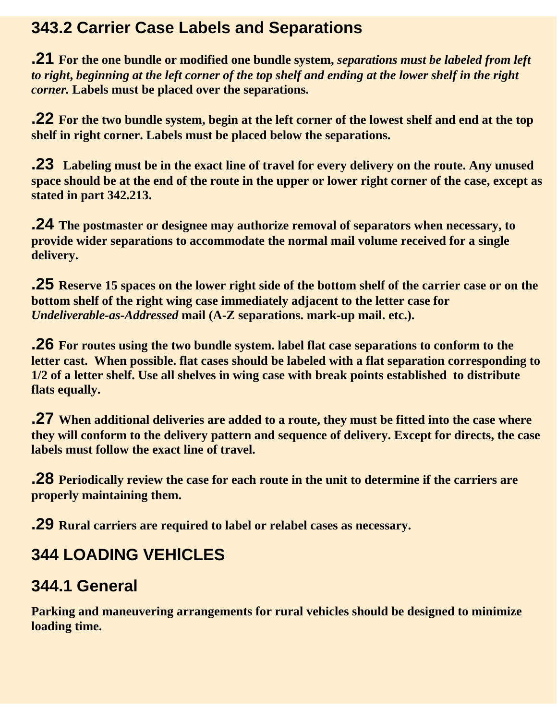#### **343.2 Carrier Case Labels and Separations**

**.21 For the one bundle or modified one bundle system,** *separations must be labeled from left to right***,** *beginning at the left corner of the top shelf and ending at the lower shelf in the right corner.* **Labels must be placed over the separations.**

**.22 For the two bundle system, begin at the left corner of the lowest shelf and end at the top shelf in right corner. Labels must be placed below the separations.**

**.23 Labeling must be in the exact line of travel for every delivery on the route. Any unused space should be at the end of the route in the upper or lower right corner of the case, except as stated in part 342.213.** 

**.24 The postmaster or designee may authorize removal of separators when necessary, to provide wider separations to accommodate the normal mail volume received for a single delivery.** 

**.25 Reserve 15 spaces on the lower right side of the bottom shelf of the carrier case or on the bottom shelf of the right wing case immediately adjacent to the letter case for** *Undeliverable-as-Addressed* **mail (A-Z separations. mark-up mail. etc.).**

**.26 For routes using the two bundle system. label flat case separations to conform to the letter cast. When possible. flat cases should be labeled with a flat separation corresponding to 1/2 of a letter shelf. Use all shelves in wing case with break points established to distribute flats equally.**

**.27 When additional deliveries are added to a route, they must be fitted into the case where they will conform to the delivery pattern and sequence of delivery. Except for directs, the case labels must follow the exact line of travel.**

**.28 Periodically review the case for each route in the unit to determine if the carriers are properly maintaining them.**

**.29 Rural carriers are required to label or relabel cases as necessary.**

#### **344 LOADING VEHlCLES**

#### **344.1 General**

**Parking and maneuvering arrangements for rural vehicles should be designed to minimize loading time.**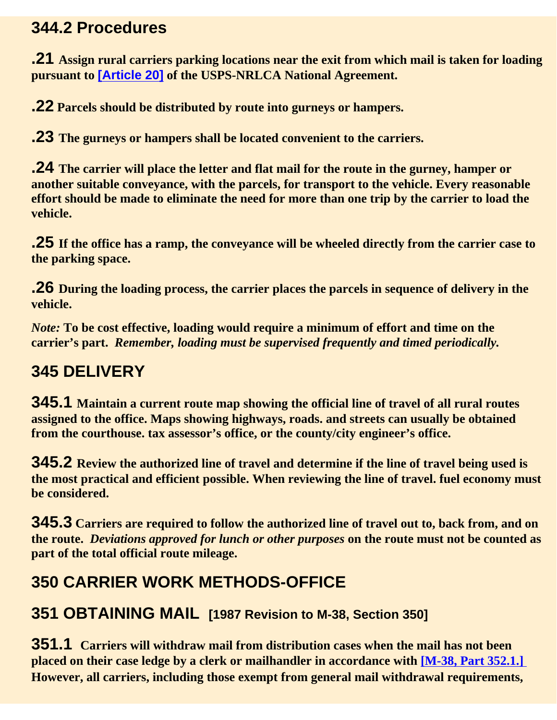#### **344.2 Procedures**

**.21 Assign rural carriers parking locations near the exit from which mail is taken for loading pursuant to [Article 20] of the USPS-NRLCA National Agreement.**

**.22 Parcels should be distributed by route into gurneys or hampers.**

**.23 The gurneys or hampers shall be located convenient to the carriers.**

**.24 The carrier will place the letter and flat mail for the route in the gurney, hamper or another suitable conveyance, with the parcels, for transport to the vehicle. Every reasonable effort should be made to eliminate the need for more than one trip by the carrier to load the vehicle.**

**.25 If the office has a ramp, the conveyance will be wheeled directly from the carrier case to the parking space.**

**.26 During the loading process, the carrier places the parcels in sequence of delivery in the vehicle.**

*Note:* **To be cost effective, loading would require a minimum of effort and time on the carrier's part.** *Remember, loading must be supervised frequently and timed periodically.*

#### **345 DELIVERY**

**345.1 Maintain a current route map showing the official line of travel of all rural routes assigned to the office. Maps showing highways, roads. and streets can usually be obtained from the courthouse. tax assessor's office, or the county/city engineer's office.**

**345.2 Review the authorized line of travel and determine if the line of travel being used is the most practical and efficient possible. When reviewing the line of travel. fuel economy must be considered.**

**345.3 Carriers are required to follow the authorized line of travel out to, back from, and on the route.** *Deviations approved for lunch or other purposes* **on the route must not be counted as part of the total official route mileage.**

#### **350 CARRIER WORK METHODS-OFFICE**

#### **351 OBTAINING MAIL [1987 Revision to M-38, Section 350]**

**351.1 Carriers will withdraw mail from distribution cases when the mail has not been placed on their case ledge by a clerk or mailhandler in accordance with [M-38, Part 352.1.] However, all carriers, including those exempt from general mail withdrawal requirements,**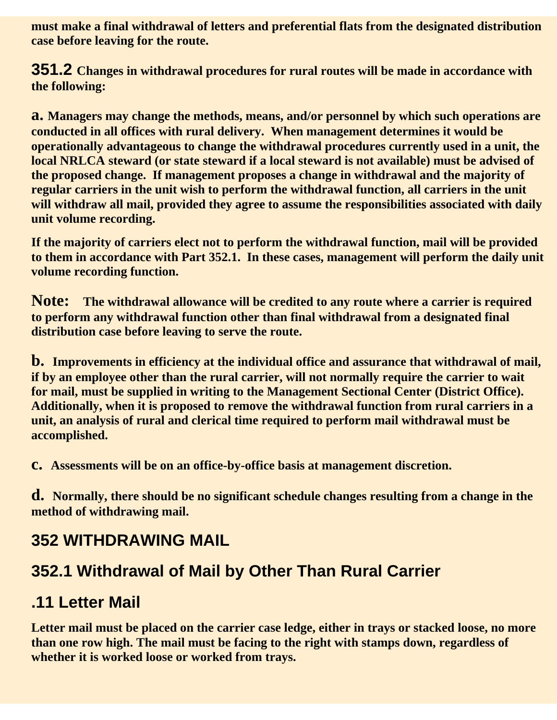**must make a final withdrawal of letters and preferential flats from the designated distribution case before leaving for the route.**

**351.2 Changes in withdrawal procedures for rural routes will be made in accordance with the following:**

**a. Managers may change the methods, means, and/or personnel by which such operations are conducted in all offices with rural delivery. When management determines it would be operationally advantageous to change the withdrawal procedures currently used in a unit, the local NRLCA steward (or state steward if a local steward is not available) must be advised of the proposed change. If management proposes a change in withdrawal and the majority of regular carriers in the unit wish to perform the withdrawal function, all carriers in the unit will withdraw all mail, provided they agree to assume the responsibilities associated with daily unit volume recording.**

**If the majority of carriers elect not to perform the withdrawal function, mail will be provided to them in accordance with Part 352.1. In these cases, management will perform the daily unit volume recording function.**

**Note: The withdrawal allowance will be credited to any route where a carrier is required to perform any withdrawal function other than final withdrawal from a designated final distribution case before leaving to serve the route.**

**b. Improvements in efficiency at the individual office and assurance that withdrawal of mail, if by an employee other than the rural carrier, will not normally require the carrier to wait for mail, must be supplied in writing to the Management Sectional Center (District Office). Additionally, when it is proposed to remove the withdrawal function from rural carriers in a unit, an analysis of rural and clerical time required to perform mail withdrawal must be accomplished.**

**c. Assessments will be on an office-by-office basis at management discretion.**

**d. Normally, there should be no significant schedule changes resulting from a change in the method of withdrawing mail.**

#### **352 WITHDRAWING MAIL**

#### **352.1 Withdrawal of Mail by Other Than Rural Carrier**

#### **.11 Letter Mail**

**Letter mail must be placed on the carrier case ledge, either in trays or stacked loose, no more than one row high. The mail must be facing to the right with stamps down, regardless of whether it is worked loose or worked from trays.**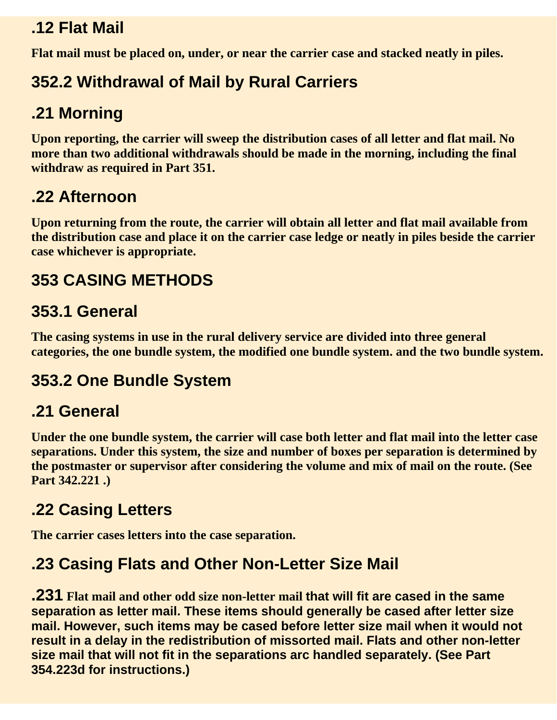#### **.12 Flat Mail**

**Flat mail must be placed on, under, or near the carrier case and stacked neatly in piles.**

#### **352.2 Withdrawal of Mail by Rural Carriers**

#### **.21 Morning**

**Upon reporting, the carrier will sweep the distribution cases of all letter and flat mail. No more than two additional withdrawals should be made in the morning, including the final withdraw as required in Part 351.**

#### **.22 Afternoon**

**Upon returning from the route, the carrier will obtain all letter and flat mail available from the distribution case and place it on the carrier case ledge or neatly in piles beside the carrier case whichever is appropriate.**

#### **353 CASING METHODS**

#### **353.1 General**

**The casing systems in use in the rural delivery service are divided into three general categories, the one bundle system, the modified one bundle system. and the two bundle system.**

#### **353.2 One Bundle System**

#### **.21 General**

**Under the one bundle system, the carrier will case both letter and flat mail into the letter case separations. Under this system, the size and number of boxes per separation is determined by the postmaster or supervisor after considering the volume and mix of mail on the route. (See Part 342.221 .)**

#### **.22 Casing Letters**

**The carrier cases letters into the case separation.**

#### **.23 Casing Flats and Other Non-Letter Size Mail**

**.231 Flat mail and other odd size non-letter mail that will fit are cased in the same separation as letter mail. These items should generally be cased after letter size mail. However, such items may be cased before letter size mail when it would not result in a delay in the redistribution of missorted mail. Flats and other non-letter size mail that will not fit in the separations arc handled separately. (See Part 354.223d for instructions.)**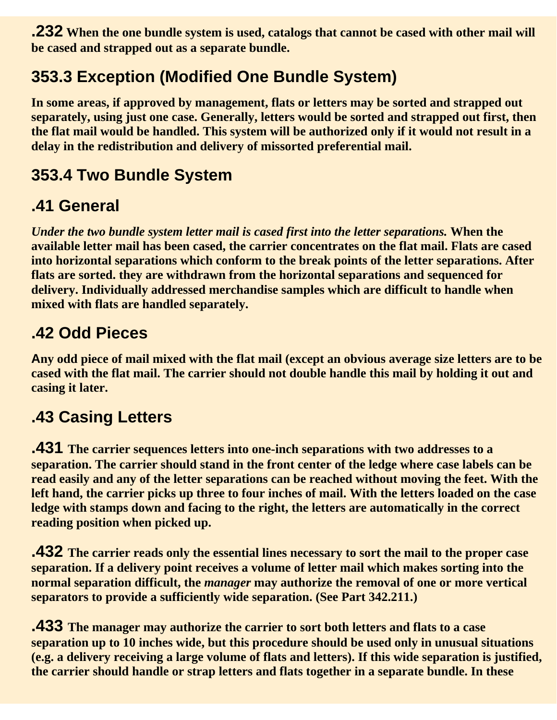**.232 When the one bundle system is used, catalogs that cannot be cased with other mail will be cased and strapped out as a separate bundle.**

#### **353.3 Exception (Modified One Bundle System)**

**In some areas, if approved by management, flats or letters may be sorted and strapped out separately, using just one case. Generally, letters would be sorted and strapped out first, then the flat mail would be handled. This system will be authorized only if it would not result in a delay in the redistribution and delivery of missorted preferential mail.**

#### **353.4 Two Bundle System**

#### **.41 General**

*Under the two bundle system letter mail is cased first into the letter separations.* **When the available letter mail has been cased, the carrier concentrates on the flat mail. Flats are cased into horizontal separations which conform to the break points of the letter separations. After flats are sorted. they are withdrawn from the horizontal separations and sequenced for delivery. Individually addressed merchandise samples which are difficult to handle when mixed with flats are handled separately.**

#### **.42 Odd Pieces**

**Any odd piece of mail mixed with the flat mail (except an obvious average size letters are to be cased with the flat mail. The carrier should not double handle this mail by holding it out and casing it later.**

#### **.43 Casing Letters**

**.431 The carrier sequences letters into one-inch separations with two addresses to a separation. The carrier should stand in the front center of the ledge where case labels can be read easily and any of the letter separations can be reached without moving the feet. With the left hand, the carrier picks up three to four inches of mail. With the letters loaded on the case ledge with stamps down and facing to the right, the letters are automatically in the correct reading position when picked up.**

**.432 The carrier reads only the essential lines necessary to sort the mail to the proper case separation. If a delivery point receives a volume of letter mail which makes sorting into the normal separation difficult, the** *manager* **may authorize the removal of one or more vertical separators to provide a sufficiently wide separation. (See Part 342.211.)**

**.433 The manager may authorize the carrier to sort both letters and flats to a case separation up to 10 inches wide, but this procedure should be used only in unusual situations (e.g. a delivery receiving a large volume of flats and letters). If this wide separation is justified, the carrier should handle or strap letters and flats together in a separate bundle. In these**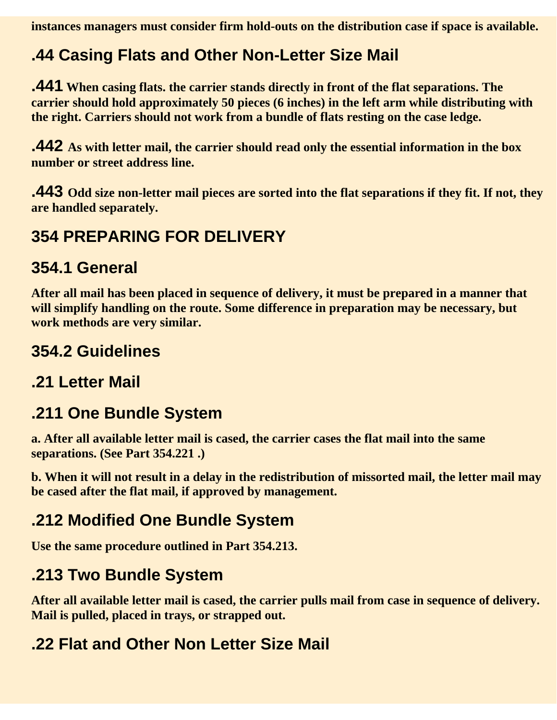**instances managers must consider firm hold-outs on the distribution case if space is available.**

# **.44 Casing Flats and Other Non-Letter Size Mail**

**.441 When casing flats. the carrier stands directly in front of the flat separations. The carrier should hold approximately 50 pieces (6 inches) in the left arm while distributing with the right. Carriers should not work from a bundle of flats resting on the case ledge.** 

**.442 As with letter mail, the carrier should read only the essential information in the box number or street address line.**

**.443 Odd size non-letter mail pieces are sorted into the flat separations if they fit. If not, they are handled separately.**

## **354 PREPARING FOR DELIVERY**

#### **354.1 General**

**After all mail has been placed in sequence of delivery, it must be prepared in a manner that will simplify handling on the route. Some difference in preparation may be necessary, but work methods are very similar.**

## **354.2 Guidelines**

## **.21 Letter Mail**

## **.211 One Bundle System**

**a. After all available letter mail is cased, the carrier cases the flat mail into the same separations. (See Part 354.221 .)**

**b. When it will not result in a delay in the redistribution of missorted mail, the letter mail may be cased after the flat mail, if approved by management.**

# **.212 Modified One Bundle System**

**Use the same procedure outlined in Part 354.213.**

# **.213 Two Bundle System**

**After all available letter mail is cased, the carrier pulls mail from case in sequence of delivery. Mail is pulled, placed in trays, or strapped out.**

## **.22 Flat and Other Non Letter Size Mail**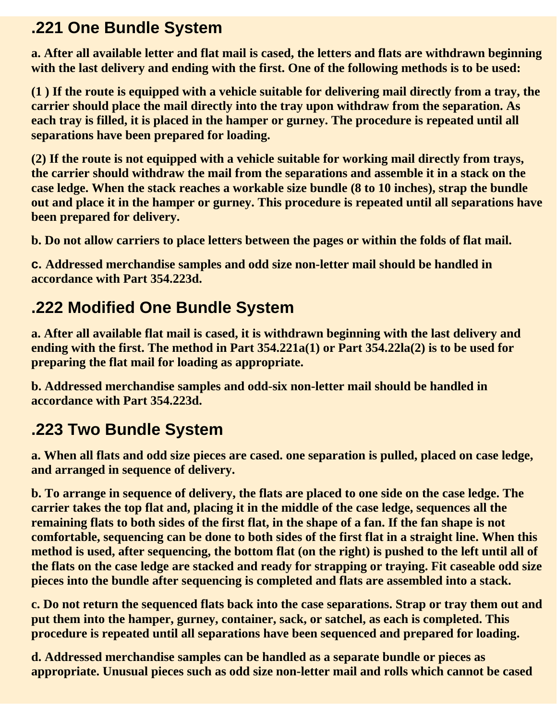## **.221 One Bundle System**

**a. After all available letter and flat mail is cased, the letters and flats are withdrawn beginning with the last delivery and ending with the first. One of the following methods is to be used:**

**(1 ) If the route is equipped with a vehicle suitable for delivering mail directly from a tray, the carrier should place the mail directly into the tray upon withdraw from the separation. As each tray is filled, it is placed in the hamper or gurney. The procedure is repeated until all separations have been prepared for loading.**

**(2) If the route is not equipped with a vehicle suitable for working mail directly from trays, the carrier should withdraw the mail from the separations and assemble it in a stack on the case ledge. When the stack reaches a workable size bundle (8 to 10 inches), strap the bundle out and place it in the hamper or gurney. This procedure is repeated until all separations have been prepared for delivery.**

**b. Do not allow carriers to place letters between the pages or within the folds of flat mail.**

**c. Addressed merchandise samples and odd size non-letter mail should be handled in accordance with Part 354.223d.**

# **.222 Modified One Bundle System**

**a. After all available flat mail is cased, it is withdrawn beginning with the last delivery and ending with the first. The method in Part 354.221a(1) or Part 354.22la(2) is to be used for preparing the flat mail for loading as appropriate.**

**b. Addressed merchandise samples and odd-six non-letter mail should be handled in accordance with Part 354.223d.**

# **.223 Two Bundle System**

**a. When all flats and odd size pieces are cased. one separation is pulled, placed on case ledge, and arranged in sequence of delivery.** 

**b. To arrange in sequence of delivery, the flats are placed to one side on the case ledge. The carrier takes the top flat and, placing it in the middle of the case ledge, sequences all the remaining flats to both sides of the first flat, in the shape of a fan. If the fan shape is not comfortable, sequencing can be done to both sides of the first flat in a straight line. When this method is used, after sequencing, the bottom flat (on the right) is pushed to the left until all of the flats on the case ledge are stacked and ready for strapping or traying. Fit caseable odd size pieces into the bundle after sequencing is completed and flats are assembled into a stack.**

**c. Do not return the sequenced flats back into the case separations. Strap or tray them out and put them into the hamper, gurney, container, sack, or satchel, as each is completed. This procedure is repeated until all separations have been sequenced and prepared for loading.**

**d. Addressed merchandise samples can be handled as a separate bundle or pieces as appropriate. Unusual pieces such as odd size non-letter mail and rolls which cannot be cased**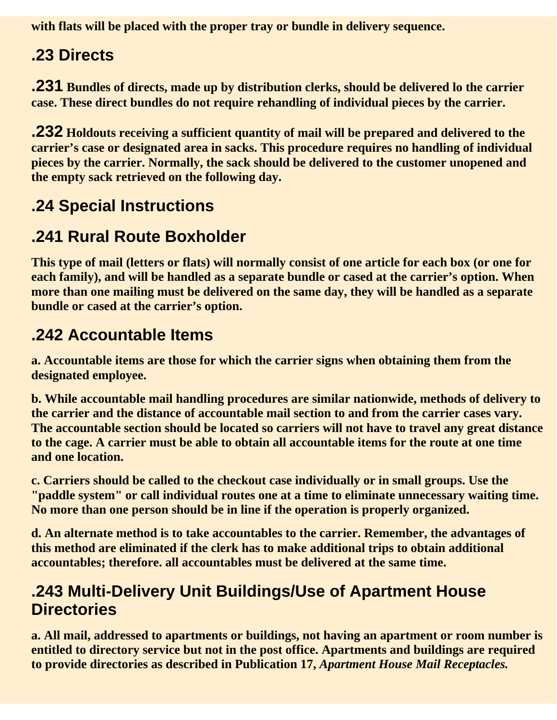**with flats will be placed with the proper tray or bundle in delivery sequence.**

# **.23 Directs**

**.231 Bundles of directs, made up by distribution clerks, should be delivered lo the carrier case. These direct bundles do not require rehandling of individual pieces by the carrier.**

**.232 Holdouts receiving a sufficient quantity of mail will be prepared and delivered to the carrier's case or designated area in sacks. This procedure requires no handling of individual pieces by the carrier. Normally, the sack should be delivered to the customer unopened and the empty sack retrieved on the following day.** 

# **.24 Special Instructions**

## **.241 Rural Route Boxholder**

**This type of mail (letters or flats) will normally consist of one article for each box (or one for each family), and will be handled as a separate bundle or cased at the carrier's option. When more than one mailing must be delivered on the same day, they will be handled as a separate bundle or cased at the carrier's option.**

# **.242 Accountable Items**

**a. Accountable items are those for which the carrier signs when obtaining them from the designated employee.**

**b. While accountable mail handling procedures are similar nationwide, methods of delivery to the carrier and the distance of accountable mail section to and from the carrier cases vary. The accountable section should be located so carriers will not have to travel any great distance to the cage. A carrier must be able to obtain all accountable items for the route at one time and one location.**

**c. Carriers should be called to the checkout case individually or in small groups. Use the "paddle system" or call individual routes one at a time to eliminate unnecessary waiting time. No more than one person should be in line if the operation is properly organized.**

**d. An alternate method is to take accountables to the carrier. Remember, the advantages of this method are eliminated if the clerk has to make additional trips to obtain additional accountables; therefore. all accountables must be delivered at the same time.**

#### **.243 Multi-Delivery Unit Buildings/Use of Apartment House Directories**

**a. All mail, addressed to apartments or buildings, not having an apartment or room number is entitled to directory service but not in the post office. Apartments and buildings are required to provide directories as described in Publication 17,** *Apartment House Mail Receptacles.*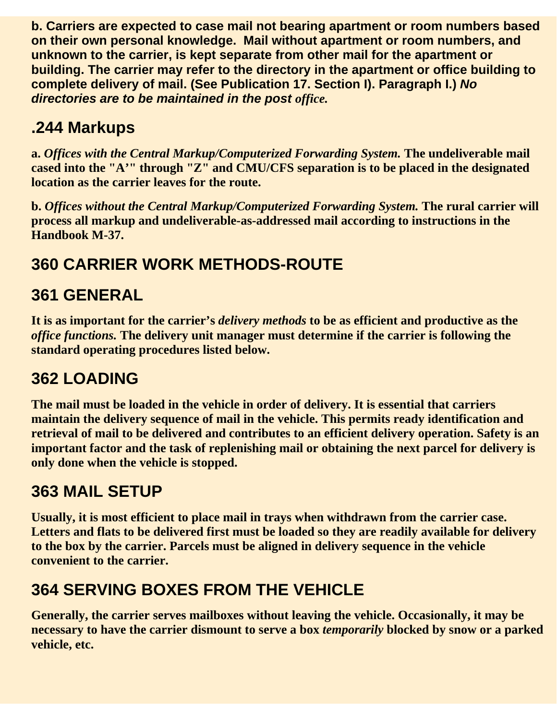**b. Carriers are expected to case mail not bearing apartment or room numbers based on their own personal knowledge. Mail without apartment or room numbers, and unknown to the carrier, is kept separate from other mail for the apartment or building. The carrier may refer to the directory in the apartment or office building to complete delivery of mail. (See Publication 17. Section I). Paragraph I.)** *No directories are to be maintained in the post office.*

# **.244 Markups**

**a.** *Offices with the Central Markup/Computerized Forwarding System.* **The undeliverable mail cased into the "A'" through "Z" and CMU/CFS separation is to be placed in the designated location as the carrier leaves for the route.**

**b.** *Offices without the Central Markup/Computerized Forwarding System.* **The rural carrier will process all markup and undeliverable-as-addressed mail according to instructions in the Handbook M-37.**

# **360 CARRIER WORK METHODS-ROUTE**

# **361 GENERAL**

**It is as important for the carrier's** *delivery methods* **to be as efficient and productive as the** *office functions.* **The delivery unit manager must determine if the carrier is following the standard operating procedures listed below.**

# **362 LOADING**

**The mail must be loaded in the vehicle in order of delivery. It is essential that carriers maintain the delivery sequence of mail in the vehicle. This permits ready identification and retrieval of mail to be delivered and contributes to an efficient delivery operation. Safety is an important factor and the task of replenishing mail or obtaining the next parcel for delivery is only done when the vehicle is stopped.**

# **363 MAIL SETUP**

**Usually, it is most efficient to place mail in trays when withdrawn from the carrier case. Letters and flats to be delivered first must be loaded so they are readily available for delivery to the box by the carrier. Parcels must be aligned in delivery sequence in the vehicle convenient to the carrier.**

# **364 SERVING BOXES FROM THE VEHICLE**

**Generally, the carrier serves mailboxes without leaving the vehicle. Occasionally, it may be necessary to have the carrier dismount to serve a box** *temporarily* **blocked by snow or a parked vehicle, etc.**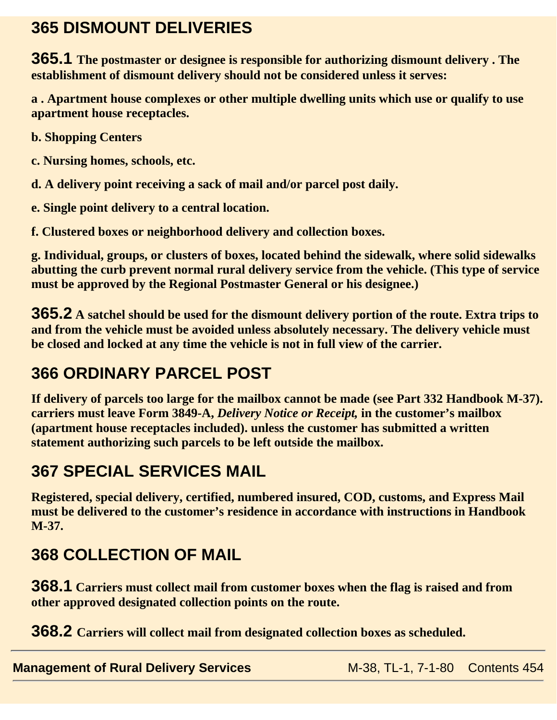## **365 DISMOUNT DELIVERIES**

**365.1 The postmaster or designee is responsible for authorizing dismount delivery . The establishment of dismount delivery should not be considered unless it serves:** 

**a . Apartment house complexes or other multiple dwelling units which use or qualify to use apartment house receptacles.**

**b. Shopping Centers**

**c. Nursing homes, schools, etc.**

**d. A delivery point receiving a sack of mail and/or parcel post daily.**

**e. Single point delivery to a central location.**

**f. Clustered boxes or neighborhood delivery and collection boxes.**

**g. Individual, groups, or clusters of boxes, located behind the sidewalk, where solid sidewalks abutting the curb prevent normal rural delivery service from the vehicle. (This type of service must be approved by the Regional Postmaster General or his designee.)**

**365.2 A satchel should be used for the dismount delivery portion of the route. Extra trips to and from the vehicle must be avoided unless absolutely necessary. The delivery vehicle must be closed and locked at any time the vehicle is not in full view of the carrier.**

# **366 ORDINARY PARCEL POST**

**If delivery of parcels too large for the mailbox cannot be made (see Part 332 Handbook M-37). carriers must leave Form 3849-A,** *Delivery Notice or Receipt,* **in the customer's mailbox (apartment house receptacles included). unless the customer has submitted a written statement authorizing such parcels to be left outside the mailbox.**

# **367 SPECIAL SERVICES MAIL**

**Registered, special delivery, certified, numbered insured, COD, customs, and Express Mail must be delivered to the customer's residence in accordance with instructions in Handbook M-37.**

# **368 COLLECTION OF MAIL**

**368.1 Carriers must collect mail from customer boxes when the flag is raised and from other approved designated collection points on the route.**

**368.2 Carriers will collect mail from designated collection boxes as scheduled.**

**Management of Rural Delivery Services** M-38, TL-1, 7-1-80 Contents 454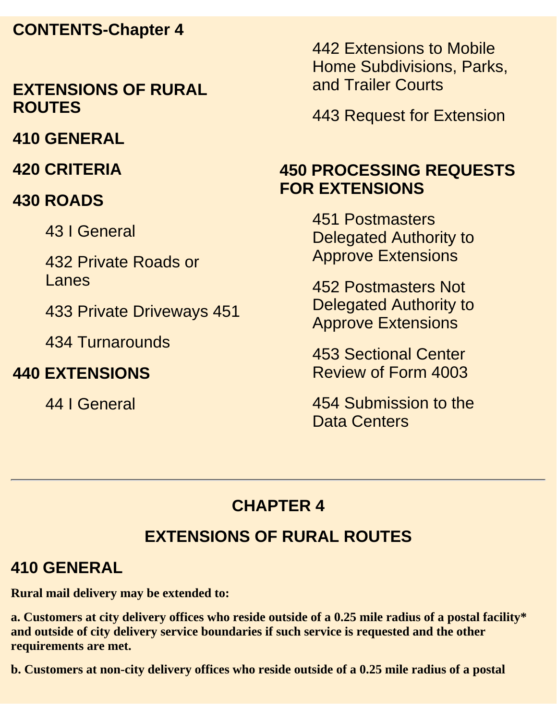#### **CONTENTS-Chapter 4**

#### **EXTENSIONS OF RURAL ROUTES**

**410 GENERAL**

**420 CRITERIA**

#### **430 ROADS**

43 I General

432 Private Roads or Lanes

433 Private Driveways 451

434 Turnarounds

#### **440 EXTENSIONS**

44 I General

442 Extensions to Mobile Home Subdivisions, Parks, and Trailer Courts

443 Request for Extension

### **450 PROCESSING REQUESTS FOR EXTENSIONS**

451 Postmasters Delegated Authority to Approve Extensions

452 Postmasters Not Delegated Authority to Approve Extensions

453 Sectional Center Review of Form 4003

454 Submission to the Data Centers

# **CHAPTER 4**

# **EXTENSIONS OF RURAL ROUTES**

#### **410 GENERAL**

**Rural mail delivery may be extended to:**

**a. Customers at city delivery offices who reside outside of a 0.25 mile radius of a postal facility\* and outside of city delivery service boundaries if such service is requested and the other requirements are met.**

**b. Customers at non-city delivery offices who reside outside of a 0.25 mile radius of a postal**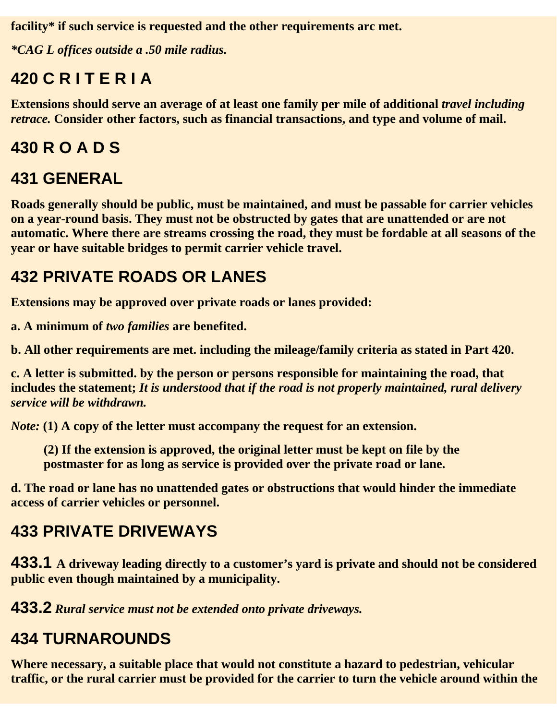**facility\* if such service is requested and the other requirements arc met.**

*\*CAG L offices outside a .50 mile radius.*

# **420 C R I T E R I A**

**Extensions should serve an average of at least one family per mile of additional** *travel including retrace.* **Consider other factors, such as financial transactions, and type and volume of mail.**

# **430 R O A D S**

# **431 GENERAL**

**Roads generally should be public, must be maintained, and must be passable for carrier vehicles on a year-round basis. They must not be obstructed by gates that are unattended or are not automatic. Where there are streams crossing the road, they must be fordable at all seasons of the year or have suitable bridges to permit carrier vehicle travel.**

# **432 PRIVATE ROADS OR LANES**

**Extensions may be approved over private roads or lanes provided:**

**a. A minimum of** *two families* **are benefited.**

**b. All other requirements are met. including the mileage/family criteria as stated in Part 420.**

**c. A letter is submitted. by the person or persons responsible for maintaining the road, that includes the statement;** *It is understood that if the road is not properly maintained, rural delivery service will be withdrawn.*

*Note:* **(1) A copy of the letter must accompany the request for an extension.** 

**(2) If the extension is approved, the original letter must be kept on file by the postmaster for as long as service is provided over the private road or lane.**

**d. The road or lane has no unattended gates or obstructions that would hinder the immediate access of carrier vehicles or personnel.**

# **433 PRIVATE DRIVEWAYS**

**433.1 A driveway leading directly to a customer's yard is private and should not be considered public even though maintained by a municipality.**

**433.2** *Rural service must not be extended onto private driveways.*

# **434 TURNAROUNDS**

**Where necessary, a suitable place that would not constitute a hazard to pedestrian, vehicular traffic, or the rural carrier must be provided for the carrier to turn the vehicle around within the**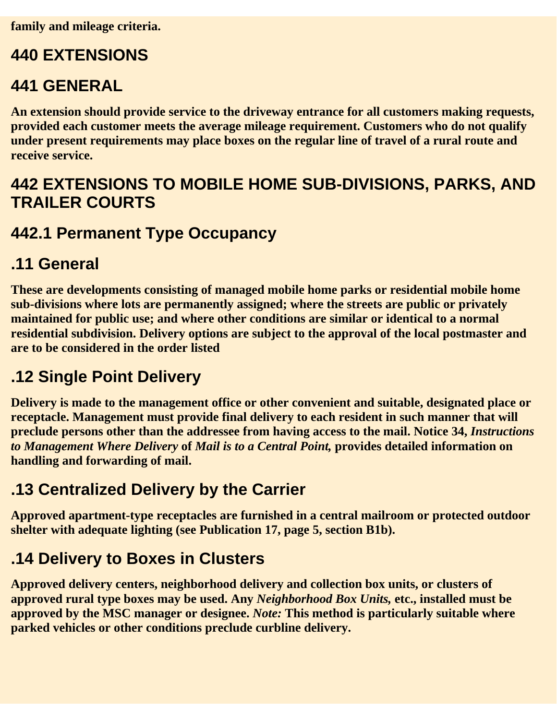# **440 EXTENSIONS**

#### **441 GENERAL**

**An extension should provide service to the driveway entrance for all customers making requests, provided each customer meets the average mileage requirement. Customers who do not qualify under present requirements may place boxes on the regular line of travel of a rural route and receive service.**

### **442 EXTENSIONS TO MOBILE HOME SUB-DIVISIONS, PARKS, AND TRAILER COURTS**

### **442.1 Permanent Type Occupancy**

#### **.11 General**

**These are developments consisting of managed mobile home parks or residential mobile home sub-divisions where lots are permanently assigned; where the streets are public or privately maintained for public use; and where other conditions are similar or identical to a normal residential subdivision. Delivery options are subject to the approval of the local postmaster and are to be considered in the order listed**

# **.12 Single Point Delivery**

**Delivery is made to the management office or other convenient and suitable, designated place or receptacle. Management must provide final delivery to each resident in such manner that will preclude persons other than the addressee from having access to the mail. Notice 34,** *Instructions to Management Where Delivery* **of** *Mail is to a Central Point,* **provides detailed information on handling and forwarding of mail.**

# **.13 Centralized Delivery by the Carrier**

**Approved apartment-type receptacles are furnished in a central mailroom or protected outdoor shelter with adequate lighting (see Publication 17, page 5, section B1b).**

## **.14 Delivery to Boxes in Clusters**

**Approved delivery centers, neighborhood delivery and collection box units, or clusters of approved rural type boxes may be used. Any** *Neighborhood Box Units,* **etc., installed must be approved by the MSC manager or designee.** *Note:* **This method is particularly suitable where parked vehicles or other conditions preclude curbline delivery.**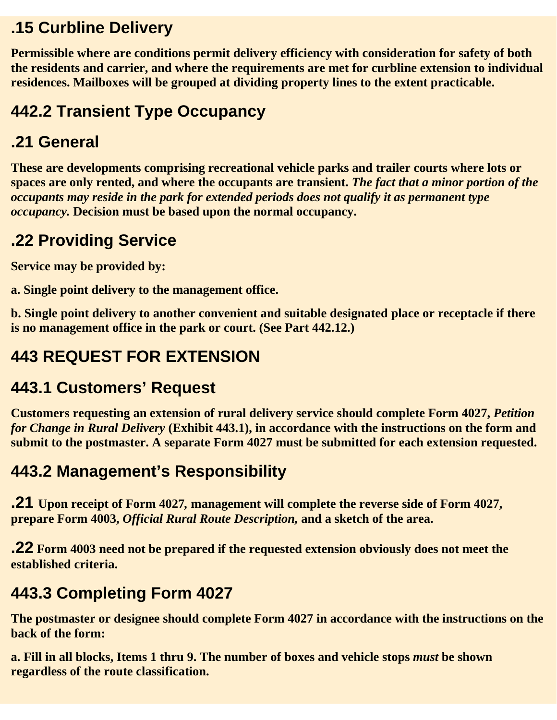## **.15 Curbline Delivery**

**Permissible where are conditions permit delivery efficiency with consideration for safety of both the residents and carrier, and where the requirements are met for curbline extension to individual residences. Mailboxes will be grouped at dividing property lines to the extent practicable.** 

# **442.2 Transient Type Occupancy**

## **.21 General**

**These are developments comprising recreational vehicle parks and trailer courts where lots or spaces are only rented, and where the occupants are transient.** *The fact that a minor portion of the occupants may reside in the park for extended periods does not qualify it as permanent type occupancy.* **Decision must be based upon the normal occupancy.**

# **.22 Providing Service**

**Service may be provided by:**

**a. Single point delivery to the management office.**

**b. Single point delivery to another convenient and suitable designated place or receptacle if there is no management office in the park or court. (See Part 442.12.)**

# **443 REQUEST FOR EXTENSION**

# **443.1 Customers' Request**

**Customers requesting an extension of rural delivery service should complete Form 4027,** *Petition for Change in Rural Delivery* **(Exhibit 443.1), in accordance with the instructions on the form and submit to the postmaster. A separate Form 4027 must be submitted for each extension requested.**

# **443.2 Management's Responsibility**

**.21 Upon receipt of Form 4027***,* **management will complete the reverse side of Form 4027, prepare Form 4003,** *Official Rural Route Description,* **and a sketch of the area.**

**.22 Form 4003 need not be prepared if the requested extension obviously does not meet the established criteria.**

# **443.3 Completing Form 4027**

**The postmaster or designee should complete Form 4027 in accordance with the instructions on the back of the form:**

**a. Fill in all blocks, Items 1 thru 9. The number of boxes and vehicle stops** *must* **be shown regardless of the route classification.**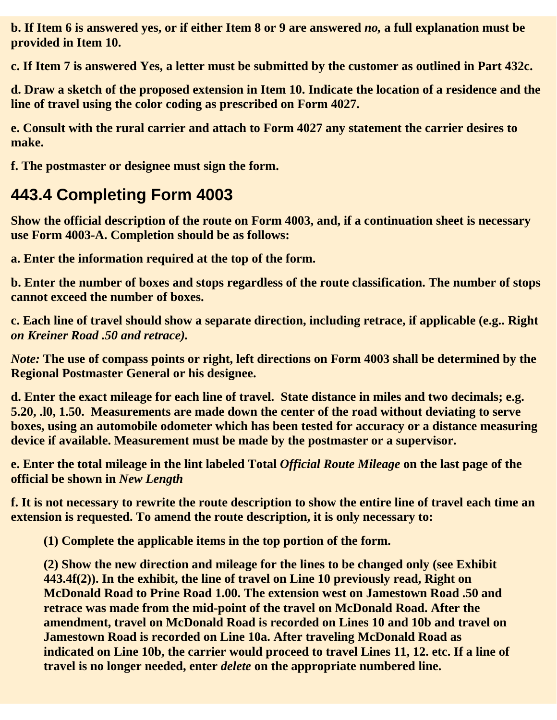**b. If Item 6 is answered yes, or if either Item 8 or 9 are answered** *no,* **a full explanation must be provided in Item 10.**

**c. If Item 7 is answered Yes, a letter must be submitted by the customer as outlined in Part 432c.**

**d. Draw a sketch of the proposed extension in Item 10. Indicate the location of a residence and the line of travel using the color coding as prescribed on Form 4027.**

**e. Consult with the rural carrier and attach to Form 4027 any statement the carrier desires to make.**

**f. The postmaster or designee must sign the form.**

# **443.4 Completing Form 4003**

**Show the official description of the route on Form 4003, and, if a continuation sheet is necessary use Form 4003-A. Completion should be as follows:**

**a. Enter the information required at the top of the form.**

**b. Enter the number of boxes and stops regardless of the route classification. The number of stops cannot exceed the number of boxes.**

**c. Each line of travel should show a separate direction, including retrace, if applicable (e.g.. Right** *on Kreiner Road .50 and retrace).*

*Note:* **The use of compass points or right, left directions on Form 4003 shall be determined by the Regional Postmaster General or his designee.**

**d. Enter the exact mileage for each line of travel. State distance in miles and two decimals; e.g. 5.20, .l0, 1.50. Measurements are made down the center of the road without deviating to serve boxes, using an automobile odometer which has been tested for accuracy or a distance measuring device if available. Measurement must be made by the postmaster or a supervisor.**

**e. Enter the total mileage in the lint labeled Total** *Official Route Mileage* **on the last page of the official be shown in** *New Length*

**f. It is not necessary to rewrite the route description to show the entire line of travel each time an extension is requested. To amend the route description, it is only necessary to:**

**(1) Complete the applicable items in the top portion of the form.**

**(2) Show the new direction and mileage for the lines to be changed only (see Exhibit 443.4f(2)). In the exhibit, the line of travel on Line 10 previously read, Right on McDonald Road to Prine Road 1.00. The extension west on Jamestown Road .50 and retrace was made from the mid-point of the travel on McDonald Road. After the amendment, travel on McDonald Road is recorded on Lines 10 and 10b and travel on Jamestown Road is recorded on Line 10a. After traveling McDonald Road as indicated on Line 10b, the carrier would proceed to travel Lines 11, 12. etc. If a line of travel is no longer needed, enter** *delete* **on the appropriate numbered line.**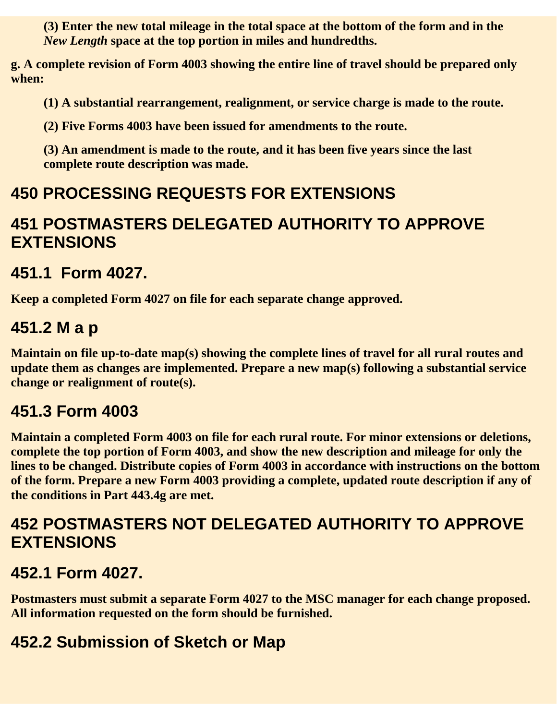**(3) Enter the new total mileage in the total space at the bottom of the form and in the** *New Length* **space at the top portion in miles and hundredths.**

**g. A complete revision of Form 4003 showing the entire line of travel should be prepared only when:**

**(1) A substantial rearrangement, realignment, or service charge is made to the route.**

**(2) Five Forms 4003 have been issued for amendments to the route.**

**(3) An amendment is made to the route, and it has been five years since the last complete route description was made.**

## **450 PROCESSING REQUESTS FOR EXTENSIONS**

#### **451 POSTMASTERS DELEGATED AUTHORITY TO APPROVE EXTENSIONS**

#### **451.1 Form 4027.**

**Keep a completed Form 4027 on file for each separate change approved.**

#### **451.2 M a p**

**Maintain on file up-to-date map(s) showing the complete lines of travel for all rural routes and update them as changes are implemented. Prepare a new map(s) following a substantial service change or realignment of route(s).**

#### **451.3 Form 4003**

**Maintain a completed Form 4003 on file for each rural route. For minor extensions or deletions, complete the top portion of Form 4003, and show the new description and mileage for only the lines to be changed. Distribute copies of Form 4003 in accordance with instructions on the bottom of the form. Prepare a new Form 4003 providing a complete, updated route description if any of the conditions in Part 443.4g are met.**

#### **452 POSTMASTERS NOT DELEGATED AUTHORITY TO APPROVE EXTENSIONS**

## **452.1 Form 4027.**

**Postmasters must submit a separate Form 4027 to the MSC manager for each change proposed. All information requested on the form should be furnished.** 

## **452.2 Submission of Sketch or Map**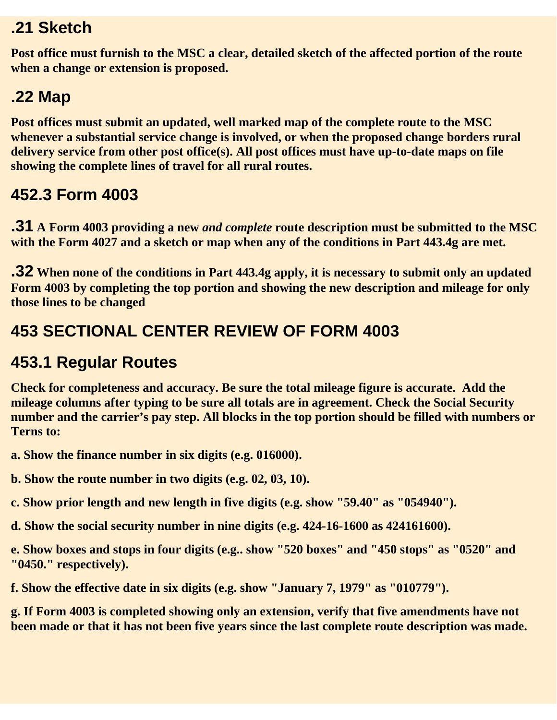#### **.21 Sketch**

**Post office must furnish to the MSC a clear, detailed sketch of the affected portion of the route when a change or extension is proposed.**

# **.22 Map**

**Post offices must submit an updated, well marked map of the complete route to the MSC whenever a substantial service change is involved, or when the proposed change borders rural delivery service from other post office(s). All post offices must have up-to-date maps on file showing the complete lines of travel for all rural routes.**

# **452.3 Form 4003**

**.31 A Form 4003 providing a new** *and complete* **route description must be submitted to the MSC with the Form 4027 and a sketch or map when any of the conditions in Part 443.4g are met.**

**.32 When none of the conditions in Part 443.4g apply, it is necessary to submit only an updated Form 4003 by completing the top portion and showing the new description and mileage for only those lines to be changed**

## **453 SECTIONAL CENTER REVIEW OF FORM 4003**

# **453.1 Regular Routes**

**Check for completeness and accuracy. Be sure the total mileage figure is accurate. Add the mileage columns after typing to be sure all totals are in agreement. Check the Social Security number and the carrier's pay step. All blocks in the top portion should be filled with numbers or Terns to:**

- **a. Show the finance number in six digits (e.g. 016000).**
- **b. Show the route number in two digits (e.g. 02, 03, 10).**
- **c. Show prior length and new length in five digits (e.g. show "59.40" as "054940").**
- **d. Show the social security number in nine digits (e.g. 424-16-1600 as 424161600).**

**e. Show boxes and stops in four digits (e.g.. show "520 boxes" and "450 stops" as "0520" and "0450." respectively).**

**f. Show the effective date in six digits (e.g. show "January 7, 1979" as "010779").** 

**g. If Form 4003 is completed showing only an extension, verify that five amendments have not been made or that it has not been five years since the last complete route description was made.**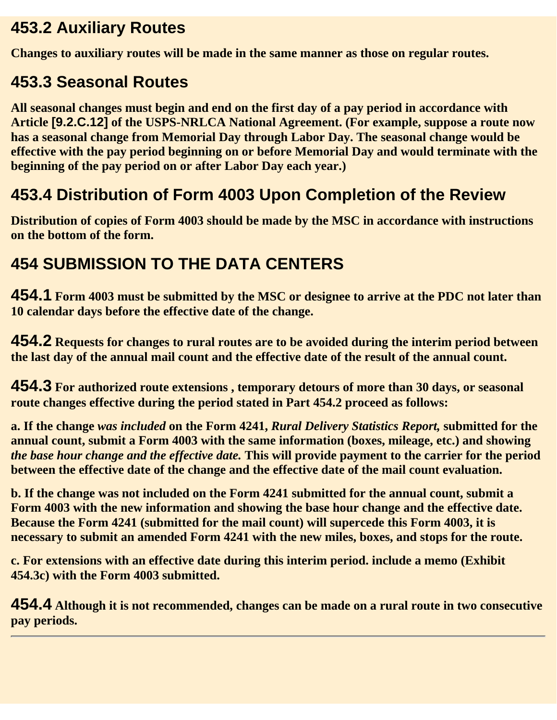## **453.2 Auxiliary Routes**

**Changes to auxiliary routes will be made in the same manner as those on regular routes.**

# **453.3 Seasonal Routes**

**All seasonal changes must begin and end on the first day of a pay period in accordance with Article [9.2.C.12] of the USPS-NRLCA National Agreement. (For example, suppose a route now has a seasonal change from Memorial Day through Labor Day. The seasonal change would be effective with the pay period beginning on or before Memorial Day and would terminate with the beginning of the pay period on or after Labor Day each year.)**

# **453.4 Distribution of Form 4003 Upon Completion of the Review**

**Distribution of copies of Form 4003 should be made by the MSC in accordance with instructions on the bottom of the form.**

# **454 SUBMISSION TO THE DATA CENTERS**

**454.1 Form 4003 must be submitted by the MSC or designee to arrive at the PDC not later than 10 calendar days before the effective date of the change.** 

**454.2 Requests for changes to rural routes are to be avoided during the interim period between the last day of the annual mail count and the effective date of the result of the annual count.**

**454.3 For authorized route extensions , temporary detours of more than 30 days, or seasonal route changes effective during the period stated in Part 454.2 proceed as follows:**

**a. If the change** *was included* **on the Form 4241,** *Rural Delivery Statistics Report,* **submitted for the annual count, submit a Form 4003 with the same information (boxes, mileage, etc.) and showing** *the base hour change and the effective date.* **This will provide payment to the carrier for the period between the effective date of the change and the effective date of the mail count evaluation.**

**b. If the change was not included on the Form 4241 submitted for the annual count, submit a Form 4003 with the new information and showing the base hour change and the effective date. Because the Form 4241 (submitted for the mail count) will supercede this Form 4003, it is necessary to submit an amended Form 4241 with the new miles, boxes, and stops for the route.**

**c. For extensions with an effective date during this interim period. include a memo (Exhibit 454.3c) with the Form 4003 submitted.**

**454.4 Although it is not recommended, changes can be made on a rural route in two consecutive pay periods.**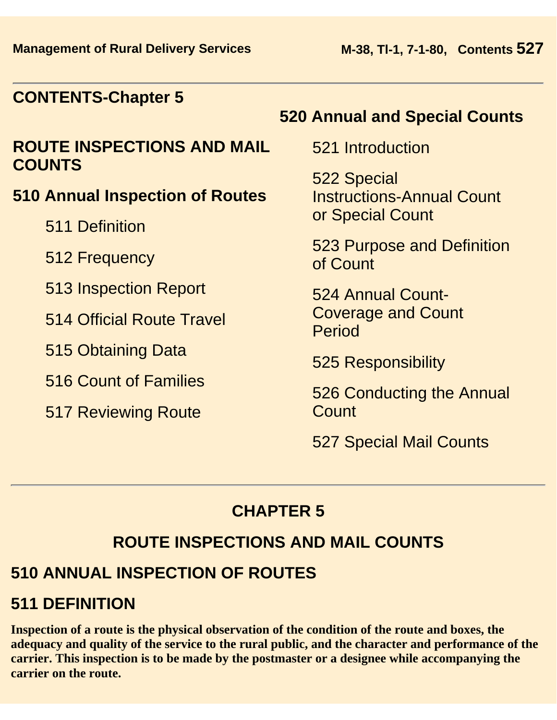#### **CONTENTS-Chapter 5**

#### **ROUTE INSPECTIONS AND MAIL COUNTS**

#### **510 Annual Inspection of Routes**

- 511 Definition
- 512 Frequency
- 513 Inspection Report
- 514 Official Route Travel
- 515 Obtaining Data
- 516 Count of Families
- 517 Reviewing Route

#### **520 Annual and Special Counts**

521 Introduction

522 Special Instructions-Annual Count or Special Count

523 Purpose and Definition of Count

524 Annual Count-Coverage and Count Period

525 Responsibility

526 Conducting the Annual Count

527 Special Mail Counts

#### **CHAPTER 5**

## **ROUTE INSPECTIONS AND MAIL COUNTS**

## **510 ANNUAL INSPECTION OF ROUTES**

## **511 DEFINITION**

**Inspection of a route is the physical observation of the condition of the route and boxes, the adequacy and quality of the service to the rural public, and the character and performance of the carrier. This inspection is to be made by the postmaster or a designee while accompanying the carrier on the route.**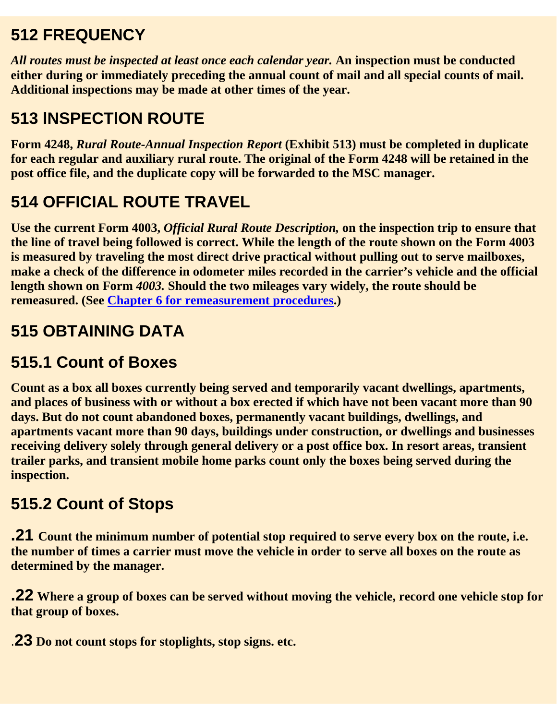# **512 FREQUENCY**

*All routes must be inspected at least once each calendar year.* **An inspection must be conducted either during or immediately preceding the annual count of mail and all special counts of mail. Additional inspections may be made at other times of the year.** 

# **513 lNSPECTlON ROUTE**

**Form 4248,** *Rural Route-Annual Inspection Report* **(Exhibit 513) must be completed in duplicate for each regular and auxiliary rural route. The original of the Form 4248 will be retained in the post office file, and the duplicate copy will be forwarded to the MSC manager.**

# **514 OFFICIAL ROUTE TRAVEL**

**Use the current Form 4003,** *Official Rural Route Description,* **on the inspection trip to ensure that the line of travel being followed is correct. While the length of the route shown on the Form 4003 is measured by traveling the most direct drive practical without pulling out to serve mailboxes, make a check of the difference in odometer miles recorded in the carrier's vehicle and the official length shown on Form** *4003.* **Should the two mileages vary widely, the route should be remeasured. (See Chapter 6 for remeasurement procedures.)**

# **515 OBTAINING DATA**

# **515.1 Count of Boxes**

**Count as a box all boxes currently being served and temporarily vacant dwellings, apartments, and places of business with or without a box erected if which have not been vacant more than 90 days. But do not count abandoned boxes, permanently vacant buildings, dwellings, and apartments vacant more than 90 days, buildings under construction, or dwellings and businesses receiving delivery solely through general delivery or a post office box. In resort areas, transient trailer parks, and transient mobile home parks count only the boxes being served during the inspection.**

#### **515.2 Count of Stops**

**.21 Count the minimum number of potential stop required to serve every box on the route, i.e. the number of times a carrier must move the vehicle in order to serve all boxes on the route as determined by the manager.**

**.22 Where a group of boxes can be served without moving the vehicle, record one vehicle stop for that group of boxes.**

.**23 Do not count stops for stoplights, stop signs. etc.**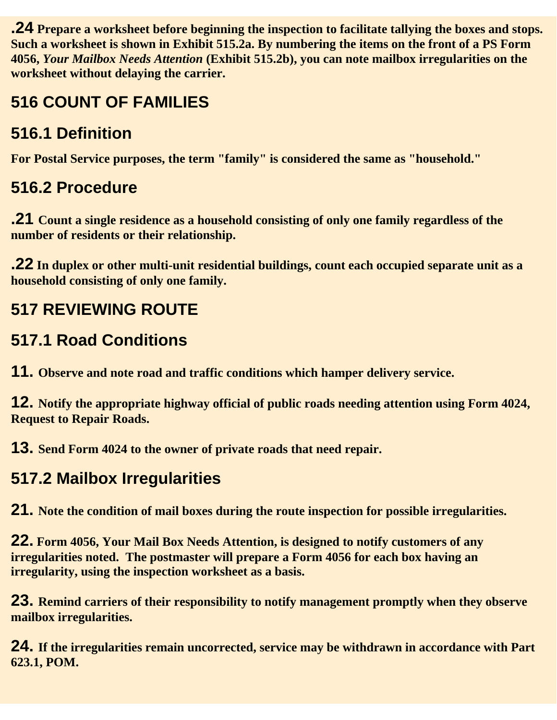**.24 Prepare a worksheet before beginning the inspection to facilitate tallying the boxes and stops. Such a worksheet is shown in Exhibit 515.2a. By numbering the items on the front of a PS Form 4056,** *Your Mailbox Needs Attention* **(Exhibit 515.2b), you can note mailbox irregularities on the worksheet without delaying the carrier.**

# **516 COUNT OF FAMILIES**

# **516.1 Definition**

**For Postal Service purposes, the term "family" is considered the same as "household."**

# **516.2 Procedure**

**.21 Count a single residence as a household consisting of only one family regardless of the number of residents or their relationship.**

**.22 In duplex or other multi-unit residential buildings, count each occupied separate unit as a household consisting of only one family.**

# **517 REVIEWING ROUTE**

# **517.1 Road Conditions**

**11. Observe and note road and traffic conditions which hamper delivery service.**

**12. Notify the appropriate highway official of public roads needing attention using Form 4024, Request to Repair Roads.**

**13. Send Form 4024 to the owner of private roads that need repair.**

# **517.2 Mailbox Irregularities**

**21. Note the condition of mail boxes during the route inspection for possible irregularities.**

**22. Form 4056, Your Mail Box Needs Attention, is designed to notify customers of any irregularities noted. The postmaster will prepare a Form 4056 for each box having an irregularity, using the inspection worksheet as a basis.**

**23. Remind carriers of their responsibility to notify management promptly when they observe mailbox irregularities.**

**24. If the irregularities remain uncorrected, service may be withdrawn in accordance with Part 623.1, POM.**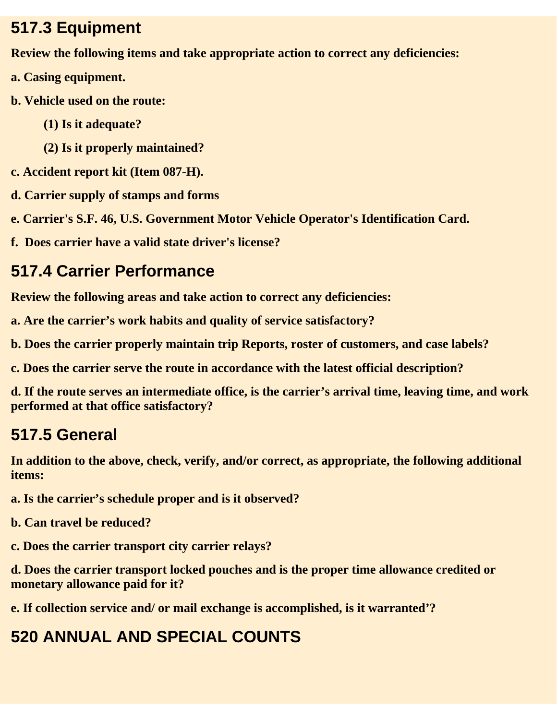#### **517.3 Equipment**

**Review the following items and take appropriate action to correct any deficiencies:**

- **a. Casing equipment.**
- **b. Vehicle used on the route:**
	- **(1) Is it adequate?**
	- **(2) Is it properly maintained?**
- **c. Accident report kit (Item 087-H).**
- **d. Carrier supply of stamps and forms**
- **e. Carrier's S.F. 46, U.S. Government Motor Vehicle Operator's Identification Card.**
- **f. Does carrier have a valid state driver's license?**

# **517.4 Carrier Performance**

**Review the following areas and take action to correct any deficiencies:**

**a. Are the carrier's work habits and quality of service satisfactory?**

**b. Does the carrier properly maintain trip Reports, roster of customers, and case labels?**

**c. Does the carrier serve the route in accordance with the latest official description?**

**d. If the route serves an intermediate office, is the carrier's arrival time, leaving time, and work performed at that office satisfactory?**

# **517.5 General**

**In addition to the above, check, verify, and/or correct, as appropriate, the following additional items:**

**a. Is the carrier's schedule proper and is it observed?**

**b. Can travel be reduced?**

**c. Does the carrier transport city carrier relays?**

**d. Does the carrier transport locked pouches and is the proper time allowance credited or monetary allowance paid for it?**

**e. If collection service and/ or mail exchange is accomplished, is it warranted'?**

# **520 ANNUAL AND SPECIAL COUNTS**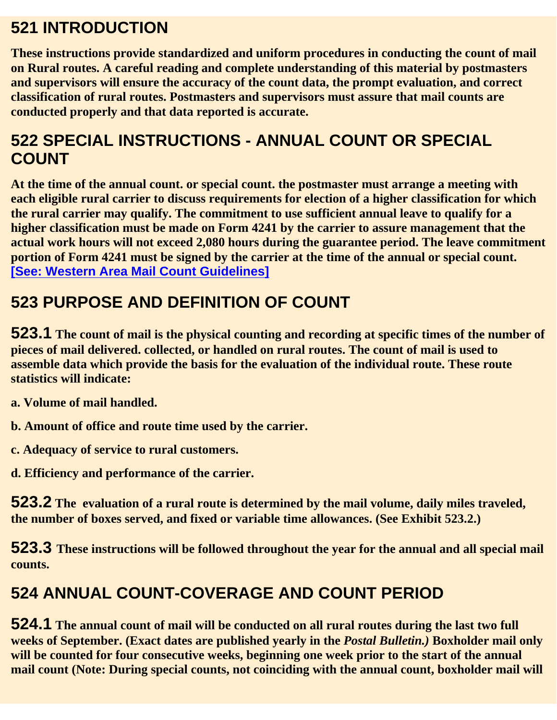## **521 INTRODUCTION**

**These instructions provide standardized and uniform procedures in conducting the count of mail on Rural routes. A careful reading and complete understanding of this material by postmasters and supervisors will ensure the accuracy of the count data, the prompt evaluation, and correct classification of rural routes. Postmasters and supervisors must assure that mail counts are conducted properly and that data reported is accurate.**

## **522 SPECIAL INSTRUCTIONS - ANNUAL COUNT OR SPECIAL COUNT**

**At the time of the annual count. or special count. the postmaster must arrange a meeting with each eligible rural carrier to discuss requirements for election of a higher classification for which the rural carrier may qualify. The commitment to use sufficient annual leave to qualify for a higher classification must be made on Form 4241 by the carrier to assure management that the actual work hours will not exceed 2,080 hours during the guarantee period. The leave commitment portion of Form 4241 must be signed by the carrier at the time of the annual or special count. [See: Western Area Mail Count Guidelines]**

# **523 PURPOSE AND DEFINITION OF COUNT**

**523.1 The count of mail is the physical counting and recording at specific times of the number of pieces of mail delivered. collected, or handled on rural routes. The count of mail is used to assemble data which provide the basis for the evaluation of the individual route. These route statistics will indicate:**

**a. Volume of mail handled.**

**b. Amount of office and route time used by the carrier.**

**c. Adequacy of service to rural customers.**

**d. Efficiency and performance of the carrier.**

**523.2 The evaluation of a rural route is determined by the mail volume, daily miles traveled, the number of boxes served, and fixed or variable time allowances. (See Exhibit 523.2.)**

**523.3 These instructions will be followed throughout the year for the annual and all special mail counts.**

# **524 ANNUAL COUNT-COVERAGE AND COUNT PERIOD**

**524.1 The annual count of mail will be conducted on all rural routes during the last two full weeks of September. (Exact dates are published yearly in the** *Postal Bulletin.)* **Boxholder mail only will be counted for four consecutive weeks, beginning one week prior to the start of the annual mail count (Note: During special counts, not coinciding with the annual count, boxholder mail will**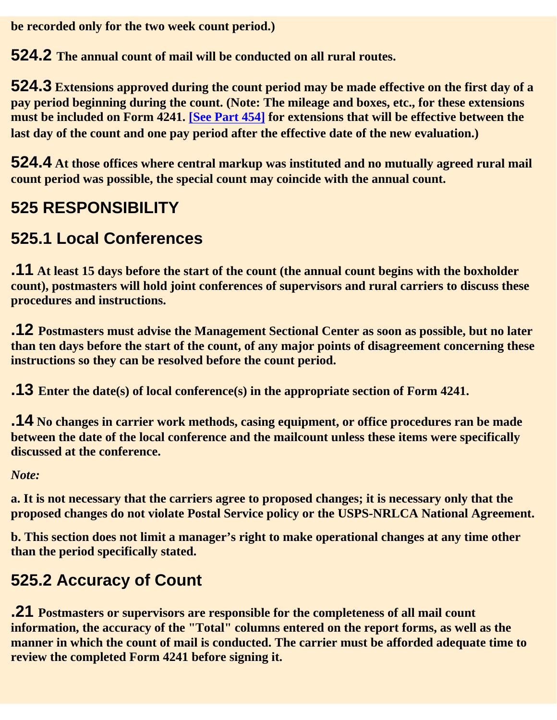**be recorded only for the two week count period.)**

**524.2 The annual count of mail will be conducted on all rural routes.**

**524.3 Extensions approved during the count period may be made effective on the first day of a pay period beginning during the count. (Note: The mileage and boxes, etc., for these extensions must be included on Form 4241. [See Part 454] for extensions that will be effective between the last day of the count and one pay period after the effective date of the new evaluation.)**

**524.4 At those offices where central markup was instituted and no mutually agreed rural mail count period was possible, the special count may coincide with the annual count.**

# **525 RESPONSIBILITY**

# **525.1 Local Conferences**

**.11 At least 15 days before the start of the count (the annual count begins with the boxholder count), postmasters will hold joint conferences of supervisors and rural carriers to discuss these procedures and instructions.**

**.12 Postmasters must advise the Management Sectional Center as soon as possible, but no later than ten days before the start of the count, of any major points of disagreement concerning these instructions so they can be resolved before the count period.**

**.13 Enter the date(s) of local conference(s) in the appropriate section of Form 4241.**

**.14 No changes in carrier work methods, casing equipment, or office procedures ran be made between the date of the local conference and the mailcount unless these items were specifically discussed at the conference.**

*Note:*

**a. It is not necessary that the carriers agree to proposed changes; it is necessary only that the proposed changes do not violate Postal Service policy or the USPS-NRLCA National Agreement.**

**b. This section does not limit a manager's right to make operational changes at any time other than the period specifically stated.**

# **525.2 Accuracy of Count**

**.21 Postmasters or supervisors are responsible for the completeness of all mail count information, the accuracy of the "Total" columns entered on the report forms, as well as the manner in which the count of mail is conducted. The carrier must be afforded adequate time to review the completed Form 4241 before signing it.**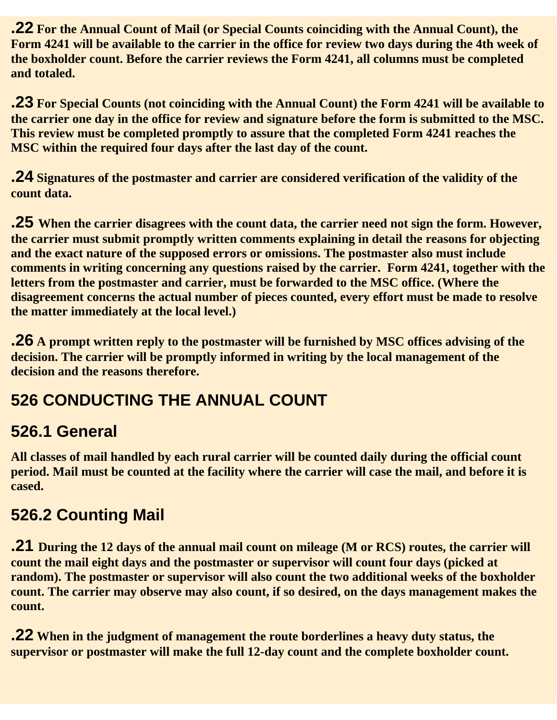**.22 For the Annual Count of Mail (or Special Counts coinciding with the Annual Count), the Form 4241 will be available to the carrier in the office for review two days during the 4th week of the boxholder count. Before the carrier reviews the Form 4241, all columns must be completed and totaled.** 

**.23 For Special Counts (not coinciding with the Annual Count) the Form 4241 will be available to the carrier one day in the office for review and signature before the form is submitted to the MSC. This review must be completed promptly to assure that the completed Form 4241 reaches the MSC within the required four days after the last day of the count.**

**.24 Signatures of the postmaster and carrier are considered verification of the validity of the count data.**

**.25 When the carrier disagrees with the count data, the carrier need not sign the form. However, the carrier must submit promptly written comments explaining in detail the reasons for objecting and the exact nature of the supposed errors or omissions. The postmaster also must include comments in writing concerning any questions raised by the carrier. Form 4241, together with the letters from the postmaster and carrier, must be forwarded to the MSC office. (Where the disagreement concerns the actual number of pieces counted, every effort must be made to resolve the matter immediately at the local level.)**

**.26 A prompt written reply to the postmaster will be furnished by MSC offices advising of the decision. The carrier will be promptly informed in writing by the local management of the decision and the reasons therefore.**

# **526 CONDUCTING THE ANNUAL COUNT**

#### **526.1 General**

**All classes of mail handled by each rural carrier will be counted daily during the official count period. Mail must be counted at the facility where the carrier will case the mail, and before it is cased.**

#### **526.2 Counting Mail**

**.21 During the 12 days of the annual mail count on mileage (M or RCS) routes, the carrier will count the mail eight days and the postmaster or supervisor will count four days (picked at random). The postmaster or supervisor will also count the two additional weeks of the boxholder count. The carrier may observe may also count, if so desired, on the days management makes the count.**

**.22 When in the judgment of management the route borderlines a heavy duty status, the supervisor or postmaster will make the full 12-day count and the complete boxholder count.**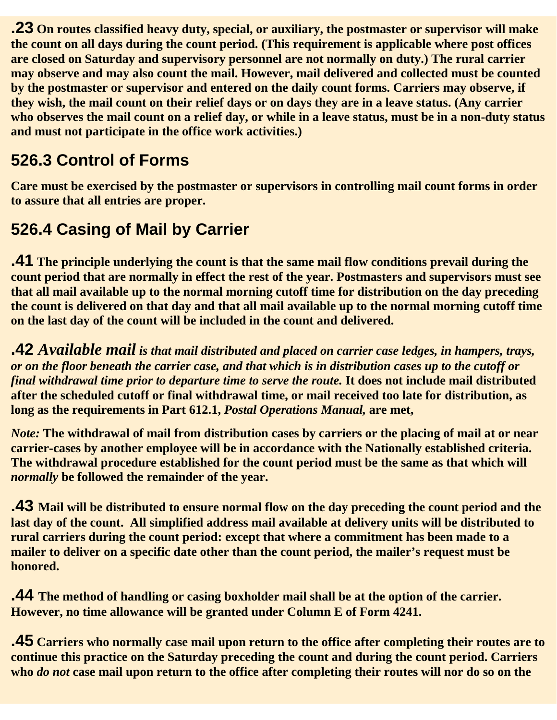**.23 On routes classified heavy duty, special, or auxiliary, the postmaster or supervisor will make the count on all days during the count period. (This requirement is applicable where post offices are closed on Saturday and supervisory personnel are not normally on duty.) The rural carrier may observe and may also count the mail. However, mail delivered and collected must be counted by the postmaster or supervisor and entered on the daily count forms. Carriers may observe, if they wish, the mail count on their relief days or on days they are in a leave status. (Any carrier who observes the mail count on a relief day, or while in a leave status, must be in a non-duty status and must not participate in the office work activities.)**

# **526.3 Control of Forms**

**Care must be exercised by the postmaster or supervisors in controlling mail count forms in order to assure that all entries are proper.**

## **526.4 Casing of Mail by Carrier**

**.41 The principle underlying the count is that the same mail flow conditions prevail during the count period that are normally in effect the rest of the year. Postmasters and supervisors must see that all mail available up to the normal morning cutoff time for distribution on the day preceding the count is delivered on that day and that all mail available up to the normal morning cutoff time on the last day of the count will be included in the count and delivered.**

**.42** *Available mail is that mail distributed and placed on carrier case ledges, in hampers, trays, or on the floor beneath the carrier case, and that which is in distribution cases up to the cutoff or final withdrawal time prior to departure time to serve the route.* **It does not include mail distributed after the scheduled cutoff or final withdrawal time, or mail received too late for distribution, as long as the requirements in Part 612.1,** *Postal Operations Manual,* **are met,**

*Note:* **The withdrawal of mail from distribution cases by carriers or the placing of mail at or near carrier-cases by another employee will be in accordance with the Nationally established criteria. The withdrawal procedure established for the count period must be the same as that which will** *normally* **be followed the remainder of the year.**

**.43 Mail will be distributed to ensure normal flow on the day preceding the count period and the last day of the count. All simplified address mail available at delivery units will be distributed to rural carriers during the count period: except that where a commitment has been made to a mailer to deliver on a specific date other than the count period, the mailer's request must be honored.**

**.44 The method of handling or casing boxholder mail shall be at the option of the carrier. However, no time allowance will be granted under Column E of Form 4241.**

**.45 Carriers who normally case mail upon return to the office after completing their routes are to continue this practice on the Saturday preceding the count and during the count period. Carriers who** *do not* **case mail upon return to the office after completing their routes will nor do so on the**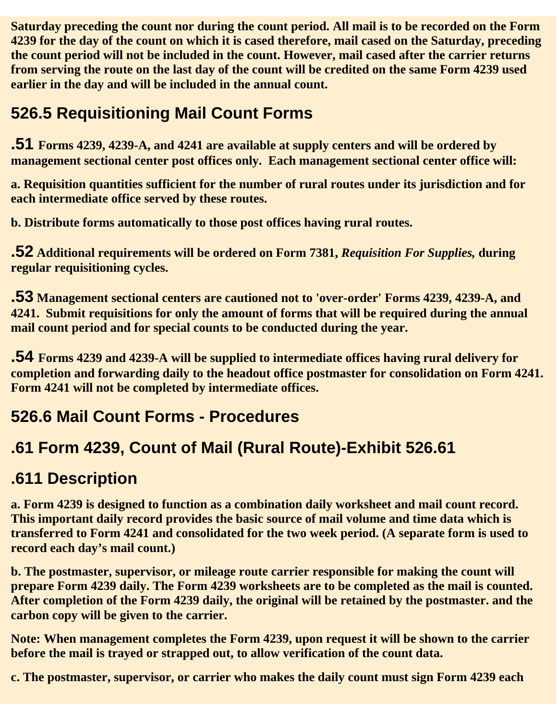**Saturday preceding the count nor during the count period. All mail is to be recorded on the Form 4239 for the day of the count on which it is cased therefore, mail cased on the Saturday, preceding the count period will not be included in the count. However, mail cased after the carrier returns from serving the route on the last day of the count will be credited on the same Form 4239 used earlier in the day and will be included in the annual count.**

# **526.5 Requisitioning Mail Count Forms**

**.51 Forms 4239, 4239-A, and 4241 are available at supply centers and will be ordered by management sectional center post offices only. Each management sectional center office will:**

**a. Requisition quantities sufficient for the number of rural routes under its jurisdiction and for each intermediate office served by these routes.**

**b. Distribute forms automatically to those post offices having rural routes.**

**.52 Additional requirements will be ordered on Form 7381,** *Requisition For Supplies,* **during regular requisitioning cycles.**

**.53 Management sectional centers are cautioned not to 'over-order' Forms 4239, 4239-A, and 4241. Submit requisitions for only the amount of forms that will be required during the annual mail count period and for special counts to be conducted during the year.**

**.54 Forms 4239 and 4239-A will be supplied to intermediate offices having rural delivery for completion and forwarding daily to the headout office postmaster for consolidation on Form 4241. Form 4241 will not be completed by intermediate offices.**

## **526.6 Mail Count Forms - Procedures**

# **.61 Form 4239, Count of Mail (Rural Route)-Exhibit 526.61**

## **.611 Description**

**a. Form 4239 is designed to function as a combination daily worksheet and mail count record. This important daily record provides the basic source of mail volume and time data which is transferred to Form 4241 and consolidated for the two week period. (A separate form is used to record each day's mail count.)**

**b. The postmaster, supervisor, or mileage route carrier responsible for making the count will prepare Form 4239 daily. The Form 4239 worksheets are to be completed as the mail is counted. After completion of the Form 4239 daily, the original will be retained by the postmaster. and the carbon copy will be given to the carrier.**

**Note: When management completes the Form 4239, upon request it will be shown to the carrier before the mail is trayed or strapped out, to allow verification of the count data.**

**c. The postmaster, supervisor, or carrier who makes the daily count must sign Form 4239 each**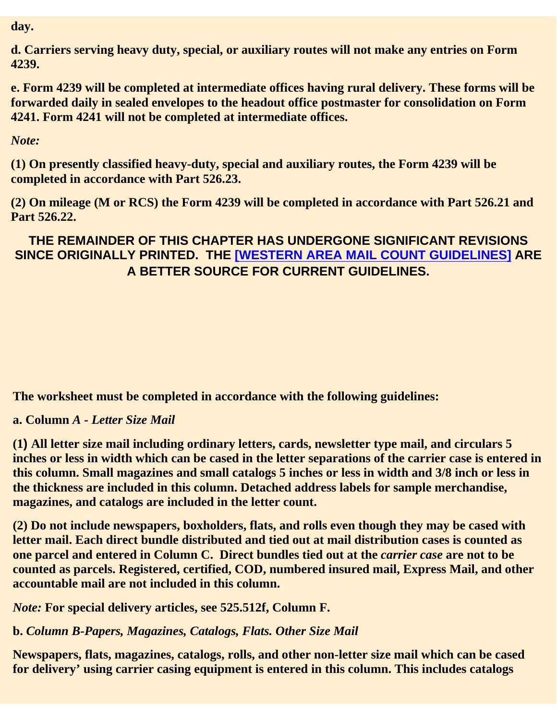**day.**

**d. Carriers serving heavy duty, special, or auxiliary routes will not make any entries on Form 4239.**

**e. Form 4239 will be completed at intermediate offices having rural delivery. These forms will be forwarded daily in sealed envelopes to the headout office postmaster for consolidation on Form 4241. Form 4241 will not be completed at intermediate offices.**

*Note:*

**(1) On presently classified heavy-duty, special and auxiliary routes, the Form 4239 will be completed in accordance with Part 526.23.**

**(2) On mileage (M or RCS) the Form 4239 will be completed in accordance with Part 526.21 and Part 526.22.**

**THE REMAINDER OF THIS CHAPTER HAS UNDERGONE SIGNIFICANT REVISIONS SINCE ORIGINALLY PRINTED. THE [WESTERN AREA MAIL COUNT GUIDELINES] ARE A BETTER SOURCE FOR CURRENT GUIDELINES.**

**The worksheet must be completed in accordance with the following guidelines:**

**a. Column** *A - Letter Size Mail*

**(1) All letter size mail including ordinary letters, cards, newsletter type mail, and circulars 5 inches or less in width which can be cased in the letter separations of the carrier case is entered in this column. Small magazines and small catalogs 5 inches or less in width and 3/8 inch or less in the thickness are included in this column. Detached address labels for sample merchandise, magazines, and catalogs are included in the letter count.**

**(2) Do not include newspapers, boxholders, flats, and rolls even though they may be cased with letter mail. Each direct bundle distributed and tied out at mail distribution cases is counted as one parcel and entered in Column C. Direct bundles tied out at the** *carrier case* **are not to be counted as parcels. Registered, certified, COD, numbered insured mail, Express Mail, and other accountable mail are not included in this column.**

*Note:* **For special delivery articles, see 525.512f, Column F.**

**b.** *Column B-Papers, Magazines, Catalogs, Flats. Other Size Mail*

**Newspapers, flats, magazines, catalogs, rolls, and other non-letter size mail which can be cased for delivery' using carrier casing equipment is entered in this column. This includes catalogs**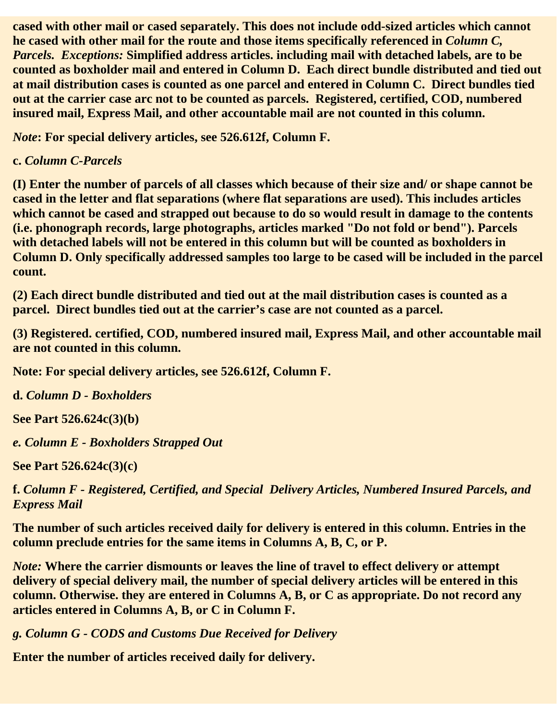**cased with other mail or cased separately. This does not include odd-sized articles which cannot he cased with other mail for the route and those items specifically referenced in** *Column C, Parcels. Exceptions:* **Simplified address articles. including mail with detached labels, are to be counted as boxholder mail and entered in Column D. Each direct bundle distributed and tied out at mail distribution cases is counted as one parcel and entered in Column C. Direct bundles tied out at the carrier case arc not to be counted as parcels. Registered, certified, COD, numbered insured mail, Express Mail, and other accountable mail are not counted in this column.**

*Note***: For special delivery articles, see 526.612f, Column F.**

#### **c.** *Column C-Parcels*

**(I) Enter the number of parcels of all classes which because of their size and/ or shape cannot be cased in the letter and flat separations (where flat separations are used). This includes articles which cannot be cased and strapped out because to do so would result in damage to the contents (i.e. phonograph records, large photographs, articles marked "Do not fold or bend"). Parcels with detached labels will not be entered in this column but will be counted as boxholders in Column D. Only specifically addressed samples too large to be cased will be included in the parcel count.**

**(2) Each direct bundle distributed and tied out at the mail distribution cases is counted as a parcel. Direct bundles tied out at the carrier's case are not counted as a parcel.**

**(3) Registered. certified, COD, numbered insured mail, Express Mail, and other accountable mail are not counted in this column.**

**Note: For special delivery articles, see 526.612f, Column F.**

**d.** *Column D - Boxholders*

**See Part 526.624c(3)(b)**

*e. Column E - Boxholders Strapped Out*

**See Part 526.624c(3)(c)**

**f.** *Column F - Registered, Certified, and Special Delivery Articles, Numbered Insured Parcels, and Express Mail*

**The number of such articles received daily for delivery is entered in this column. Entries in the column preclude entries for the same items in Columns A, B, C, or P.**

*Note:* **Where the carrier dismounts or leaves the line of travel to effect delivery or attempt delivery of special delivery mail, the number of special delivery articles will be entered in this column. Otherwise. they are entered in Columns A, B, or C as appropriate. Do not record any articles entered in Columns A, B, or C in Column F.**

*g. Column G - CODS and Customs Due Received for Delivery*

**Enter the number of articles received daily for delivery.**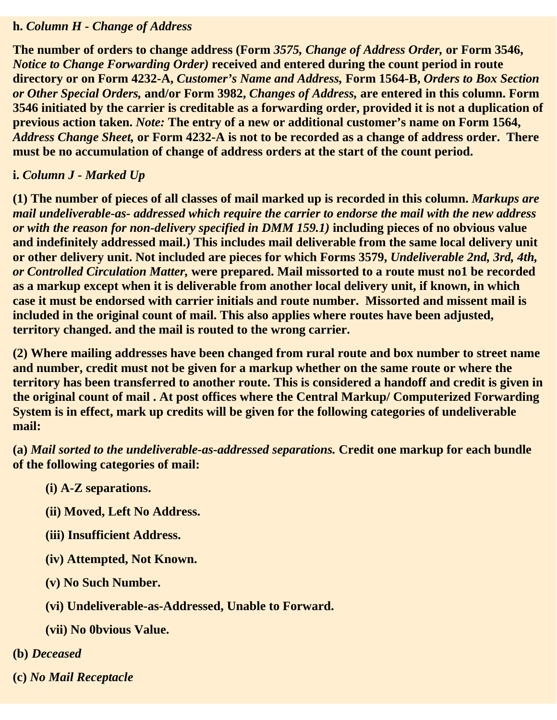#### **h.** *Column H - Change of Address*

**The number of orders to change address (Form** *3575, Change of Address Order,* **or Form 3546,** *Notice to Change Forwarding Order)* **received and entered during the count period in route directory or on Form 4232-A,** *Customer's Name and Address,* **Form 1564-B,** *Orders to Box Section or Other Special Orders,* **and/or Form 3982,** *Changes of Address,* **are entered in this column. Form 3546 initiated by the carrier is creditable as a forwarding order, provided it is not a duplication of previous action taken.** *Note:* **The entry of a new or additional customer's name on Form 1564,** *Address Change Sheet,* **or Form 4232-A is not to be recorded as a change of address order. There must be no accumulation of change of address orders at the start of the count period.**

#### **i.** *Column J - Marked Up*

**(1) The number of pieces of all classes of mail marked up is recorded in this column.** *Markups are mail undeliverable-as- addressed which require the carrier to endorse the mail with the new address or with the reason for non-delivery specified in DMM 159.1)* **including pieces of no obvious value and indefinitely addressed mail.) This includes mail deliverable from the same local delivery unit or other delivery unit. Not included are pieces for which Forms 3579,** *Undeliverable 2nd, 3rd, 4th, or Controlled Circulation Matter,* **were prepared. Mail missorted to a route must no1 be recorded as a markup except when it is deliverable from another local delivery unit, if known, in which case it must be endorsed with carrier initials and route number. Missorted and missent mail is included in the original count of mail. This also applies where routes have been adjusted, territory changed. and the mail is routed to the wrong carrier.**

**(2) Where mailing addresses have been changed from rural route and box number to street name and number, credit must not be given for a markup whether on the same route or where the territory has been transferred to another route. This is considered a handoff and credit is given in the original count of mail . At post offices where the Central Markup/ Computerized Forwarding System is in effect, mark up credits will be given for the following categories of undeliverable mail:**

**(a)** *Mail sorted to the undeliverable-as-addressed separations.* **Credit one markup for each bundle of the following categories of mail:**

- **(i) A-Z separations.**
- **(ii) Moved, Left No Address.**
- **(iii) Insufficient Address.**
- **(iv) Attempted, Not Known.**
- **(v) No Such Number.**
- **(vi) Undeliverable-as-Addressed, Unable to Forward.**
- **(vii) No 0bvious Value.**
- **(b)** *Deceased*
- **(c)** *No Mail Receptacle*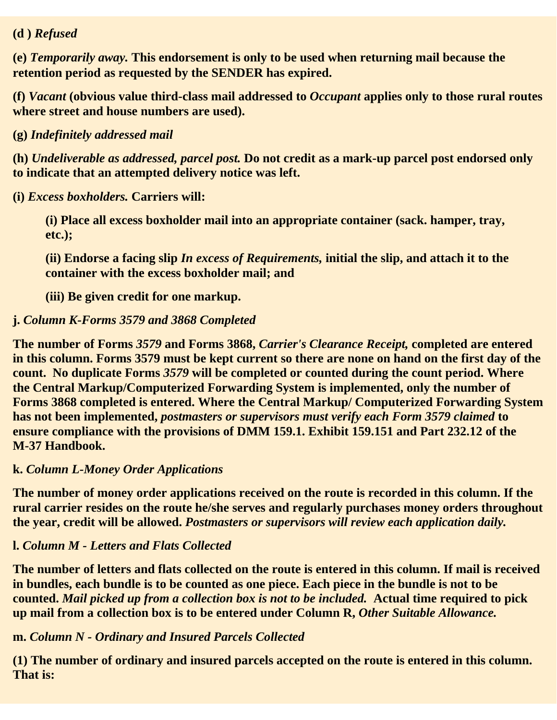#### **(d )** *Refused*

**(e)** *Temporarily away.* **This endorsement is only to be used when returning mail because the retention period as requested by the SENDER has expired.** 

**(f)** *Vacant* **(obvious value third-class mail addressed to** *Occupant* **applies only to those rural routes where street and house numbers are used).**

**(g)** *Indefinitely addressed mail*

**(h)** *Undeliverable as addressed, parcel post.* **Do not credit as a mark-up parcel post endorsed only to indicate that an attempted delivery notice was left.**

**(i)** *Excess boxholders.* **Carriers will:**

**(i) Place all excess boxholder mail into an appropriate container (sack. hamper, tray, etc.);**

**(ii) Endorse a facing slip** *In excess of Requirements,* **initial the slip, and attach it to the container with the excess boxholder mail; and**

**(iii) Be given credit for one markup.**

#### **j.** *Column K-Forms 3579 and 3868 Completed*

**The number of Forms** *3579* **and Forms 3868,** *Carrier's Clearance Receipt,* **completed are entered in this column. Forms 3579 must be kept current so there are none on hand on the first day of the count. No duplicate Forms** *3579* **will be completed or counted during the count period. Where the Central Markup/Computerized Forwarding System is implemented, only the number of Forms 3868 completed is entered. Where the Central Markup/ Computerized Forwarding System has not been implemented,** *postmasters or supervisors must verify each Form 3579 claimed* **to ensure compliance with the provisions of DMM 159.1. Exhibit 159.151 and Part 232.12 of the M-37 Handbook.**

#### **k.** *Column L-Money Order Applications*

**The number of money order applications received on the route is recorded in this column. If the rural carrier resides on the route he/she serves and regularly purchases money orders throughout the year, credit will be allowed.** *Postmasters or supervisors will review each application daily.*

#### **l.** *Column M - Letters and Flats Collected*

**The number of letters and flats collected on the route is entered in this column. If mail is received in bundles, each bundle is to be counted as one piece. Each piece in the bundle is not to be counted.** *Mail picked up from a collection box is not to be included.* **Actual time required to pick up mail from a collection box is to be entered under Column R,** *Other Suitable Allowance.*

#### **m.** *Column N - Ordinary and Insured Parcels Collected*

**(1) The number of ordinary and insured parcels accepted on the route is entered in this column. That is:**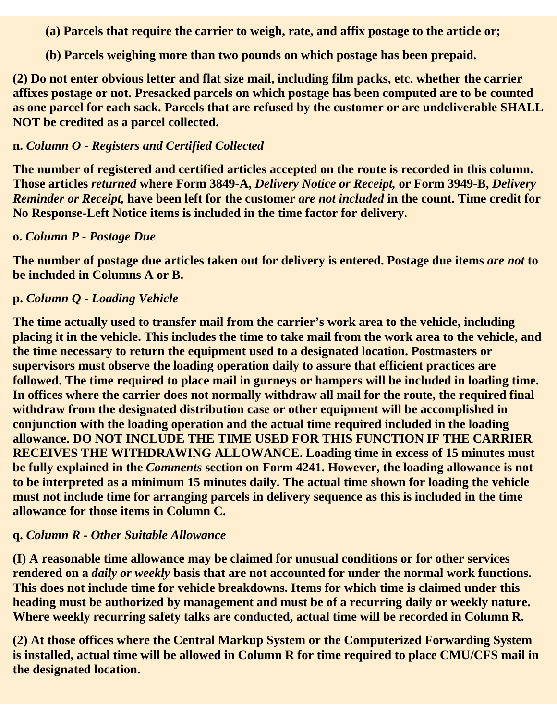**(a) Parcels that require the carrier to weigh, rate, and affix postage to the article or;**

**(b) Parcels weighing more than two pounds on which postage has been prepaid.**

**(2) Do not enter obvious letter and flat size mail, including film packs, etc. whether the carrier affixes postage or not. Presacked parcels on which postage has been computed are to be counted as one parcel for each sack. Parcels that are refused by the customer or are undeliverable SHALL NOT be credited as a parcel collected.**

#### **n.** *Column O - Registers and Certified Collected*

**The number of registered and certified articles accepted on the route is recorded in this column. Those articles** *returned* **where Form 3849-A,** *Delivery Notice or Receipt,* **or Form 3949-B,** *Delivery Reminder or Receipt,* **have been left for the customer** *are not included* **in the count. Time credit for No Response-Left Notice items is included in the time factor for delivery.**

#### **o.** *Column P - Postage Due*

**The number of postage due articles taken out for delivery is entered. Postage due items** *are not* **to be included in Columns A or B.**

#### **p.** *Column Q - Loading Vehicle*

**The time actually used to transfer mail from the carrier's work area to the vehicle, including placing it in the vehicle. This includes the time to take mail from the work area to the vehicle, and the time necessary to return the equipment used to a designated location. Postmasters or supervisors must observe the loading operation daily to assure that efficient practices are followed. The time required to place mail in gurneys or hampers will be included in loading time. In offices where the carrier does not normally withdraw all mail for the route, the required final withdraw from the designated distribution case or other equipment will be accomplished in conjunction with the loading operation and the actual time required included in the loading allowance. DO NOT INCLUDE THE TIME USED FOR THIS FUNCTION IF THE CARRIER RECEIVES THE WITHDRAWING ALLOWANCE. Loading time in excess of 15 minutes must be fully explained in the** *Comments* **section on Form 4241. However, the loading allowance is not to be interpreted as a minimum 15 minutes daily. The actual time shown for loading the vehicle must not include time for arranging parcels in delivery sequence as this is included in the time allowance for those items in Column C.**

#### **q.** *Column R - Other Suitable Allowance*

**(I) A reasonable time allowance may be claimed for unusual conditions or for other services rendered on a** *daily or weekly* **basis that are not accounted for under the normal work functions. This does not include time for vehicle breakdowns. Items for which time is claimed under this heading must be authorized by management and must be of a recurring daily or weekly nature. Where weekly recurring safety talks are conducted, actual time will be recorded in Column R.**

**(2) At those offices where the Central Markup System or the Computerized Forwarding System is installed, actual time will be allowed in Column R for time required to place CMU/CFS mail in the designated location.**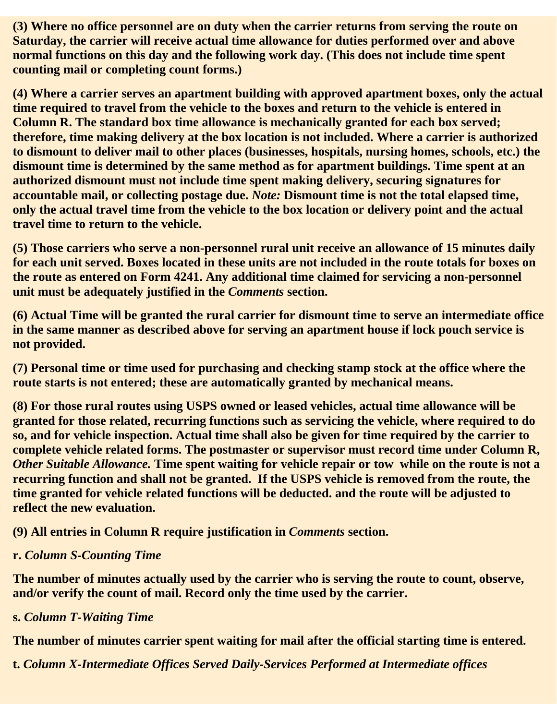**(3) Where no office personnel are on duty when the carrier returns from serving the route on Saturday, the carrier will receive actual time allowance for duties performed over and above normal functions on this day and the following work day. (This does not include time spent counting mail or completing count forms.)**

**(4) Where a carrier serves an apartment building with approved apartment boxes, only the actual time required to travel from the vehicle to the boxes and return to the vehicle is entered in Column R. The standard box time allowance is mechanically granted for each box served; therefore, time making delivery at the box location is not included. Where a carrier is authorized to dismount to deliver mail to other places (businesses, hospitals, nursing homes, schools, etc.) the dismount time is determined by the same method as for apartment buildings. Time spent at an authorized dismount must not include time spent making delivery, securing signatures for accountable mail, or collecting postage due.** *Note:* **Dismount time is not the total elapsed time, only the actual travel time from the vehicle to the box location or delivery point and the actual travel time to return to the vehicle.**

**(5) Those carriers who serve a non-personnel rural unit receive an allowance of 15 minutes daily for each unit served. Boxes located in these units are not included in the route totals for boxes on the route as entered on Form 4241. Any additional time claimed for servicing a non-personnel unit must be adequately justified in the** *Comments* **section.**

**(6) Actual Time will be granted the rural carrier for dismount time to serve an intermediate office in the same manner as described above for serving an apartment house if lock pouch service is not provided.**

**(7) Personal time or time used for purchasing and checking stamp stock at the office where the route starts is not entered; these are automatically granted by mechanical means.**

**(8) For those rural routes using USPS owned or leased vehicles, actual time allowance will be granted for those related, recurring functions such as servicing the vehicle, where required to do so, and for vehicle inspection. Actual time shall also be given for time required by the carrier to complete vehicle related forms. The postmaster or supervisor must record time under Column R,** *Other Suitable Allowance.* **Time spent waiting for vehicle repair or tow while on the route is not a recurring function and shall not be granted. If the USPS vehicle is removed from the route, the time granted for vehicle related functions will be deducted. and the route will be adjusted to reflect the new evaluation.**

#### **(9) All entries in Column R require justification in** *Comments* **section.**

#### **r.** *Column S-Counting Time*

**The number of minutes actually used by the carrier who is serving the route to count, observe, and/or verify the count of mail. Record only the time used by the carrier.**

#### **s.** *Column T-Waiting Time*

**The number of minutes carrier spent waiting for mail after the official starting time is entered.**

**t.** *Column X-Intermediate Offices Served Daily-Services Performed at Intermediate offices*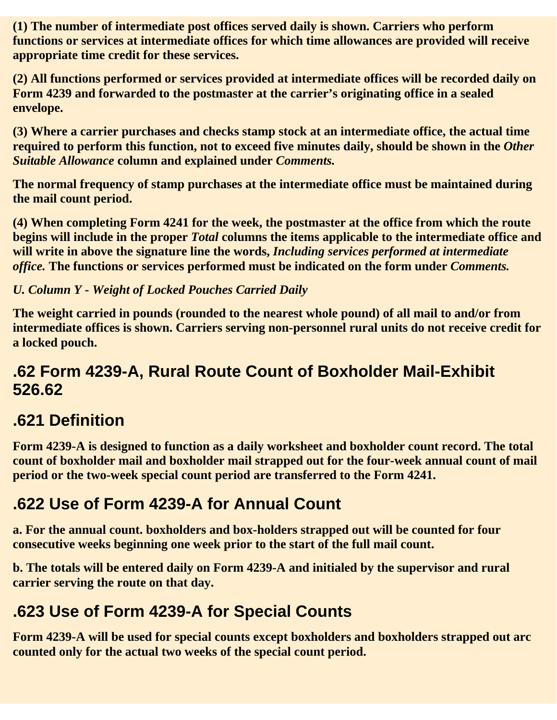**(1) The number of intermediate post offices served daily is shown. Carriers who perform functions or services at intermediate offices for which time allowances are provided will receive appropriate time credit for these services.**

**(2) All functions performed or services provided at intermediate offices will be recorded daily on Form 4239 and forwarded to the postmaster at the carrier's originating office in a sealed envelope.**

**(3) Where a carrier purchases and checks stamp stock at an intermediate office, the actual time required to perform this function, not to exceed five minutes daily, should be shown in the** *Other Suitable Allowance* **column and explained under** *Comments.*

**The normal frequency of stamp purchases at the intermediate office must be maintained during the mail count period.**

**(4) When completing Form 4241 for the week, the postmaster at the office from which the route begins will include in the proper** *Total* **columns the items applicable to the intermediate office and will write in above the signature line the words,** *Including services performed at intermediate office.* **The functions or services performed must be indicated on the form under** *Comments.*

*U. Column Y - Weight of Locked Pouches Carried Daily*

**The weight carried in pounds (rounded to the nearest whole pound) of all mail to and/or from intermediate offices is shown. Carriers serving non-personnel rural units do not receive credit for a locked pouch.**

#### **.62 Form 4239-A, Rural Route Count of Boxholder Mail-Exhibit 526.62**

# **.621 Definition**

**Form 4239-A is designed to function as a daily worksheet and boxholder count record. The total count of boxholder mail and boxholder mail strapped out for the four-week annual count of mail period or the two-week special count period are transferred to the Form 4241.**

## **.622 Use of Form 4239-A for Annual Count**

**a. For the annual count. boxholders and box-holders strapped out will be counted for four consecutive weeks beginning one week prior to the start of the full mail count.**

**b. The totals will be entered daily on Form 4239-A and initialed by the supervisor and rural carrier serving the route on that day.**

# **.623 Use of Form 4239-A for Special Counts**

**Form 4239-A will be used for special counts except boxholders and boxholders strapped out arc counted only for the actual two weeks of the special count period.**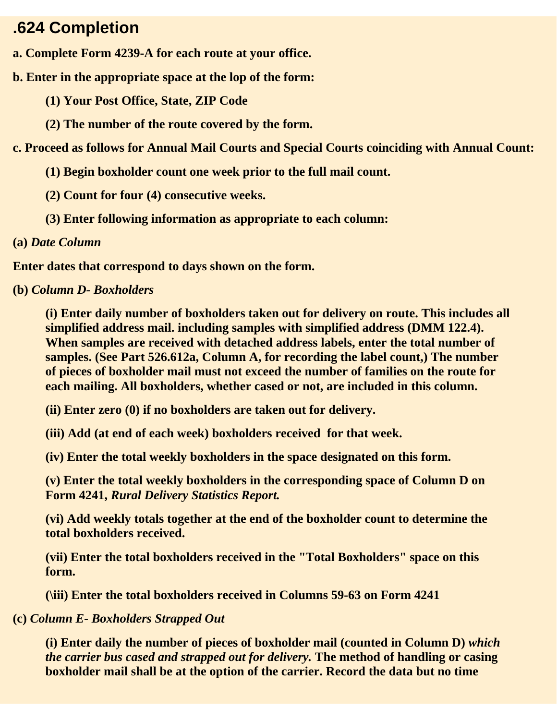#### **.624 Completion**

- **a. Complete Form 4239-A for each route at your office.**
- **b. Enter in the appropriate space at the lop of the form:**
	- **(1) Your Post Office, State, ZIP Code**
	- **(2) The number of the route covered by the form.**

**c. Proceed as follows for Annual Mail Courts and Special Courts coinciding with Annual Count:**

- **(1) Begin boxholder count one week prior to the full mail count.**
- **(2) Count for four (4) consecutive weeks.**
- **(3) Enter following information as appropriate to each column:**
- **(a)** *Date Column*

**Enter dates that correspond to days shown on the form.**

**(b)** *Column D- Boxholders*

**(i) Enter daily number of boxholders taken out for delivery on route. This includes all simplified address mail. including samples with simplified address (DMM 122.4). When samples are received with detached address labels, enter the total number of samples. (See Part 526.612a, Column A, for recording the label count,) The number of pieces of boxholder mail must not exceed the number of families on the route for each mailing. All boxholders, whether cased or not, are included in this column.**

**(ii) Enter zero (0) if no boxholders are taken out for delivery.**

**(iii) Add (at end of each week) boxholders received for that week.**

**(iv) Enter the total weekly boxholders in the space designated on this form.**

**(v) Enter the total weekly boxholders in the corresponding space of Column D on Form 4241,** *Rural Delivery Statistics Report.*

**(vi) Add weekly totals together at the end of the boxholder count to determine the total boxholders received.**

**(vii) Enter the total boxholders received in the "Total Boxholders" space on this form.**

**(\iii) Enter the total boxholders received in Columns 59-63 on Form 4241** 

#### **(c)** *Column E- Boxholders Strapped Out*

**(i) Enter daily the number of pieces of boxholder mail (counted in Column D)** *which the carrier bus cased and strapped out for delivery.* **The method of handling or casing boxholder mail shall be at the option of the carrier. Record the data but no time**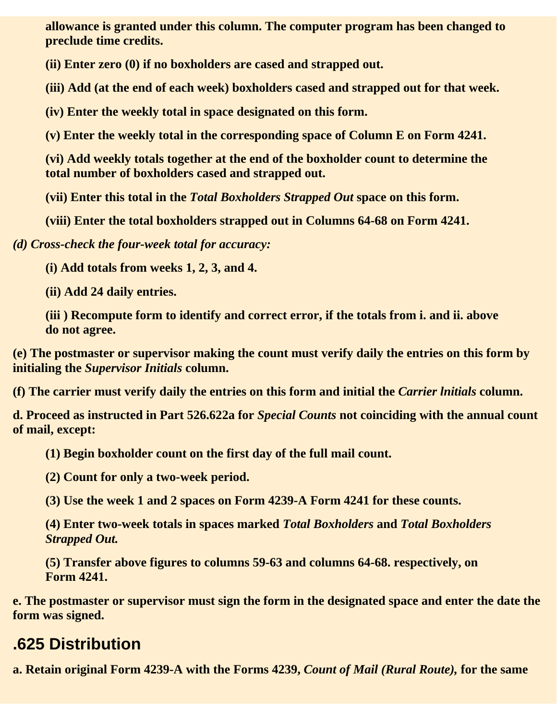**allowance is granted under this column. The computer program has been changed to preclude time credits.**

**(ii) Enter zero (0) if no boxholders are cased and strapped out.**

**(iii) Add (at the end of each week) boxholders cased and strapped out for that week.**

**(iv) Enter the weekly total in space designated on this form.**

**(v) Enter the weekly total in the corresponding space of Column E on Form 4241.**

**(vi) Add weekly totals together at the end of the boxholder count to determine the total number of boxholders cased and strapped out.**

**(vii) Enter this total in the** *Total Boxholders Strapped Out* **space on this form.**

**(viii) Enter the total boxholders strapped out in Columns 64-68 on Form 4241.**

*(d) Cross-check the four-week total for accuracy:*

**(i) Add totals from weeks 1, 2, 3, and 4.**

**(ii) Add 24 daily entries.**

**(iii ) Recompute form to identify and correct error, if the totals from i. and ii. above do not agree.**

**(e) The postmaster or supervisor making the count must verify daily the entries on this form by initialing the** *Supervisor Initials* **column.**

**(f) The carrier must verify daily the entries on this form and initial the** *Carrier lnitials* **column.**

**d. Proceed as instructed in Part 526.622a for** *Special Counts* **not coinciding with the annual count of mail, except:**

**(1) Begin boxholder count on the first day of the full mail count.**

**(2) Count for only a two-week period.**

**(3) Use the week 1 and 2 spaces on Form 4239-A Form 4241 for these counts.**

**(4) Enter two-week totals in spaces marked** *Total Boxholders* **and** *Total Boxholders Strapped Out.*

**(5) Transfer above figures to columns 59-63 and columns 64-68. respectively, on Form 4241.**

**e. The postmaster or supervisor must sign the form in the designated space and enter the date the form was signed.**

#### **.625 Distribution**

**a. Retain original Form 4239-A with the Forms 4239,** *Count of Mail (Rural Route),* **for the same**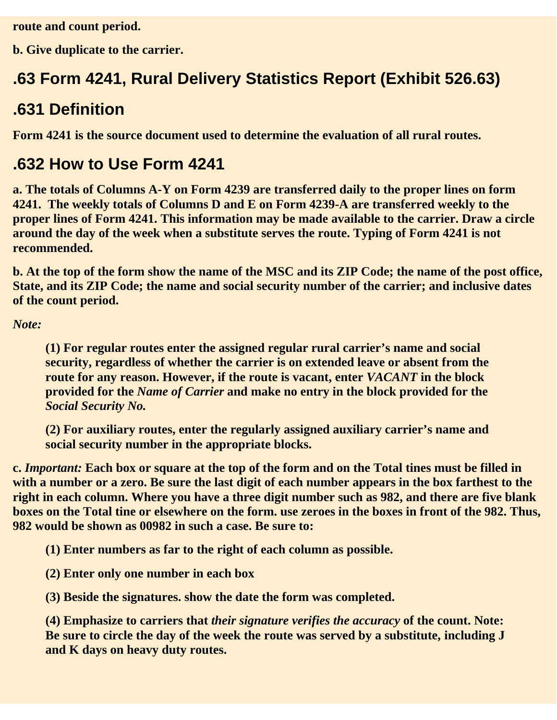**route and count period.**

**b. Give duplicate to the carrier.**

# **.63 Form 4241, Rural Delivery Statistics Report (Exhibit 526.63)**

#### **.631 Definition**

**Form 4241 is the source document used to determine the evaluation of all rural routes.**

### **.632 How to Use Form 4241**

**a. The totals of Columns A-Y on Form 4239 are transferred daily to the proper lines on form 4241. The weekly totals of Columns D and E on Form 4239-A are transferred weekly to the proper lines of Form 4241. This information may be made available to the carrier. Draw a circle around the day of the week when a substitute serves the route. Typing of Form 4241 is not recommended.**

**b. At the top of the form show the name of the MSC and its ZIP Code; the name of the post office, State, and its ZIP Code; the name and social security number of the carrier; and inclusive dates of the count period.**

*Note:*

**(1) For regular routes enter the assigned regular rural carrier's name and social security, regardless of whether the carrier is on extended leave or absent from the route for any reason. However, if the route is vacant, enter** *VACANT* **in the block provided for the** *Name of Carrier* **and make no entry in the block provided for the** *Social Security No.*

**(2) For auxiliary routes, enter the regularly assigned auxiliary carrier's name and social security number in the appropriate blocks.**

**c.** *Important:* **Each box or square at the top of the form and on the Total tines must be filled in with a number or a zero. Be sure the last digit of each number appears in the box farthest to the right in each column. Where you have a three digit number such as 982, and there are five blank boxes on the Total tine or elsewhere on the form. use zeroes in the boxes in front of the 982. Thus, 982 would be shown as 00982 in such a case. Be sure to:**

**(1) Enter numbers as far to the right of each column as possible.**

**(2) Enter only one number in each box**

**(3) Beside the signatures. show the date the form was completed.**

**(4) Emphasize to carriers that** *their signature verifies the accuracy* **of the count. Note: Be sure to circle the day of the week the route was served by a substitute, including J and K days on heavy duty routes.**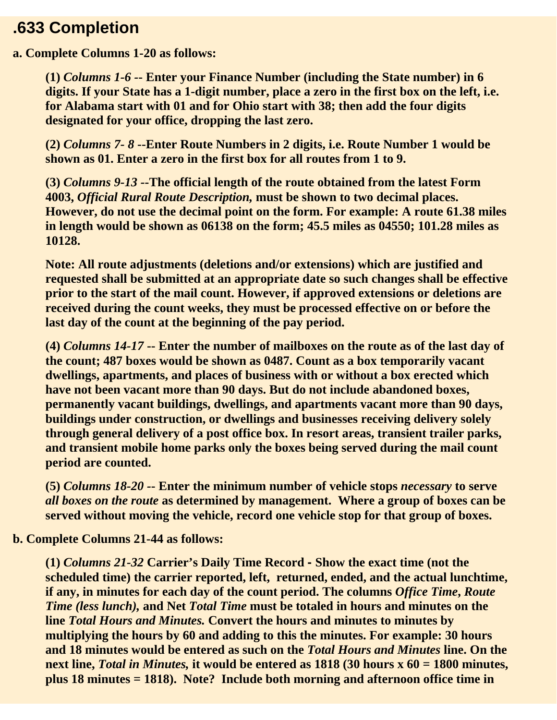#### **.633 Completion**

#### **a. Complete Columns 1-20 as follows:**

**(1)** *Columns 1-6 -***- Enter your Finance Number (including the State number) in 6 digits. If your State has a 1-digit number, place a zero in the first box on the left, i.e. for Alabama start with 01 and for Ohio start with 38; then add the four digits designated for your office, dropping the last zero.**

**(2)** *Columns 7- 8* **--Enter Route Numbers in 2 digits, i.e. Route Number 1 would be shown as 01. Enter a zero in the first box for all routes from 1 to 9.** 

**(3)** *Columns 9-13 -***-The official length of the route obtained from the latest Form 4003,** *Official Rural Route Description,* **must be shown to two decimal places. However, do not use the decimal point on the form. For example: A route 61.38 miles in length would be shown as 06138 on the form; 45.5 miles as 04550; 101.28 miles as 10128.**

**Note: All route adjustments (deletions and/or extensions) which are justified and requested shall be submitted at an appropriate date so such changes shall be effective prior to the start of the mail count. However, if approved extensions or deletions are received during the count weeks, they must be processed effective on or before the last day of the count at the beginning of the pay period.**

**(4)** *Columns 14-17* **-- Enter the number of mailboxes on the route as of the last day of the count; 487 boxes would be shown as 0487. Count as a box temporarily vacant dwellings, apartments, and places of business with or without a box erected which have not been vacant more than 90 days. But do not include abandoned boxes, permanently vacant buildings, dwellings, and apartments vacant more than 90 days, buildings under construction, or dwellings and businesses receiving delivery solely through general delivery of a post office box. In resort areas, transient trailer parks, and transient mobile home parks only the boxes being served during the mail count period are counted.**

**(5)** *Columns 18-20 -***- Enter the minimum number of vehicle stops** *necessary* **to serve** *all boxes on the route* **as determined by management. Where a group of boxes can be served without moving the vehicle, record one vehicle stop for that group of boxes.**

#### **b. Complete Columns 21-44 as follows:**

**(1)** *Columns 21-32* **Carrier's Daily Time Record - Show the exact time (not the scheduled time) the carrier reported, left, returned, ended, and the actual lunchtime, if any, in minutes for each day of the count period. The columns** *Office Time***,** *Route Time (less lunch),* **and Net** *Total Time* **must be totaled in hours and minutes on the line** *Total Hours and Minutes.* **Convert the hours and minutes to minutes by multiplying the hours by 60 and adding to this the minutes. For example: 30 hours and 18 minutes would be entered as such on the** *Total Hours and Minutes* **line. On the next line,** *Total in Minutes,* **it would be entered as 1818 (30 hours x 60 = 1800 minutes, plus 18 minutes = 1818). Note? Include both morning and afternoon office time in**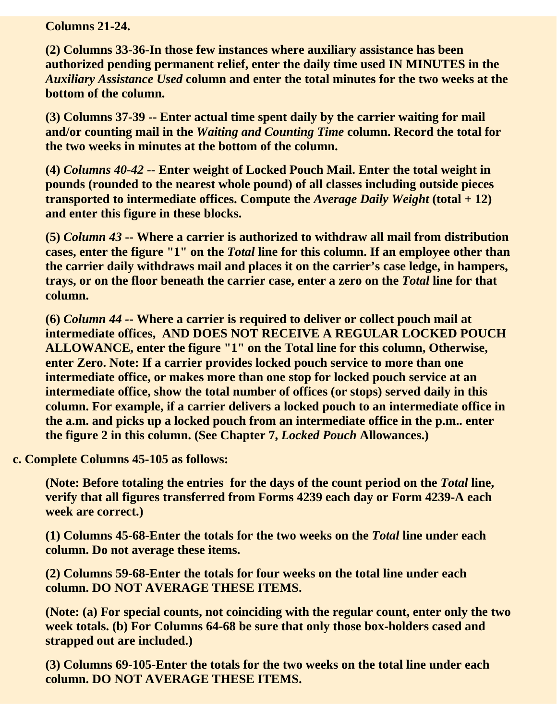**Columns 21-24.**

**(2) Columns 33-36-In those few instances where auxiliary assistance has been authorized pending permanent relief, enter the daily time used IN MINUTES in the** *Auxiliary Assistance Used* **column and enter the total minutes for the two weeks at the bottom of the column.**

**(3) Columns 37-39 -- Enter actual time spent daily by the carrier waiting for mail and/or counting mail in the** *Waiting and Counting Time* **column. Record the total for the two weeks in minutes at the bottom of the column.**

**(4)** *Columns 40-42 -***- Enter weight of Locked Pouch Mail. Enter the total weight in pounds (rounded to the nearest whole pound) of all classes including outside pieces transported to intermediate offices. Compute the** *Average Daily Weight* **(total + 12) and enter this figure in these blocks.**

**(5)** *Column 43* **-- Where a carrier is authorized to withdraw all mail from distribution cases, enter the figure "1" on the** *Total* **line for this column. If an employee other than the carrier daily withdraws mail and places it on the carrier's case ledge, in hampers, trays, or on the floor beneath the carrier case, enter a zero on the** *Total* **line for that column.**

**(6)** *Column 44 -***- Where a carrier is required to deliver or collect pouch mail at intermediate offices, AND DOES NOT RECEIVE A REGULAR LOCKED POUCH ALLOWANCE, enter the figure "1" on the Total line for this column, Otherwise, enter Zero. Note: If a carrier provides locked pouch service to more than one intermediate office, or makes more than one stop for locked pouch service at an intermediate office, show the total number of offices (or stops) served daily in this column. For example, if a carrier delivers a locked pouch to an intermediate office in the a.m. and picks up a locked pouch from an intermediate office in the p.m.. enter the figure 2 in this column. (See Chapter 7,** *Locked Pouch* **Allowances.)**

**c. Complete Columns 45-105 as follows:**

**(Note: Before totaling the entries for the days of the count period on the** *Total* **line, verify that all figures transferred from Forms 4239 each day or Form 4239-A each week are correct.)**

**(1) Columns 45-68-Enter the totals for the two weeks on the** *Total* **line under each column. Do not average these items.**

**(2) Columns 59-68-Enter the totals for four weeks on the total line under each column. DO NOT AVERAGE THESE ITEMS.**

**(Note: (a) For special counts, not coinciding with the regular count, enter only the two week totals. (b) For Columns 64-68 be sure that only those box-holders cased and strapped out are included.)**

**(3) Columns 69-105-Enter the totals for the two weeks on the total line under each column. DO NOT AVERAGE THESE ITEMS.**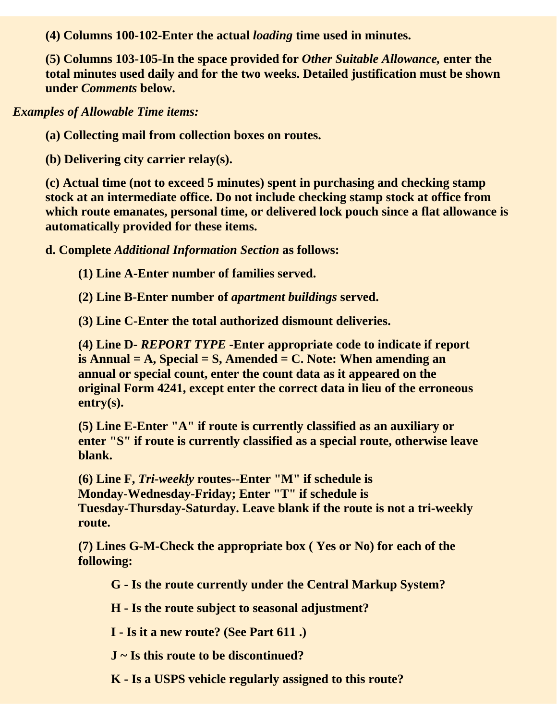**(4) Columns 100-102-Enter the actual** *loading* **time used in minutes.**

**(5) Columns 103-105-In the space provided for** *Other Suitable Allowance,* **enter the total minutes used daily and for the two weeks. Detailed justification must be shown under** *Comments* **below.**

*Examples of Allowable Time items:*

**(a) Collecting mail from collection boxes on routes.**

**(b) Delivering city carrier relay(s).**

**(c) Actual time (not to exceed 5 minutes) spent in purchasing and checking stamp stock at an intermediate office. Do not include checking stamp stock at office from which route emanates, personal time, or delivered lock pouch since a flat allowance is automatically provided for these items.**

**d. Complete** *Additional Information Section* **as follows:**

**(1) Line A-Enter number of families served.**

**(2) Line B-Enter number of** *apartment buildings* **served.**

**(3) Line C-Enter the total authorized dismount deliveries.**

**(4) Line D***- REPORT TYPE* **-Enter appropriate code to indicate if report is Annual = A, Special = S, Amended = C. Note: When amending an annual or special count, enter the count data as it appeared on the original Form 4241, except enter the correct data in lieu of the erroneous entry(s).** 

**(5) Line E-Enter "A" if route is currently classified as an auxiliary or enter "S" if route is currently classified as a special route, otherwise leave blank.**

**(6) Line F,** *Tri-weekly* **routes--Enter "M" if schedule is Monday-Wednesday-Friday; Enter "T" if schedule is Tuesday-Thursday-Saturday. Leave blank if the route is not a tri-weekly route.**

**(7) Lines G-M-Check the appropriate box ( Yes or No) for each of the following:**

**G - Is the route currently under the Central Markup System?**

**H - Is the route subject to seasonal adjustment?**

**I - Is it a new route? (See Part 611 .)**

**J ~ Is this route to be discontinued?**

**K - Is a USPS vehicle regularly assigned to this route?**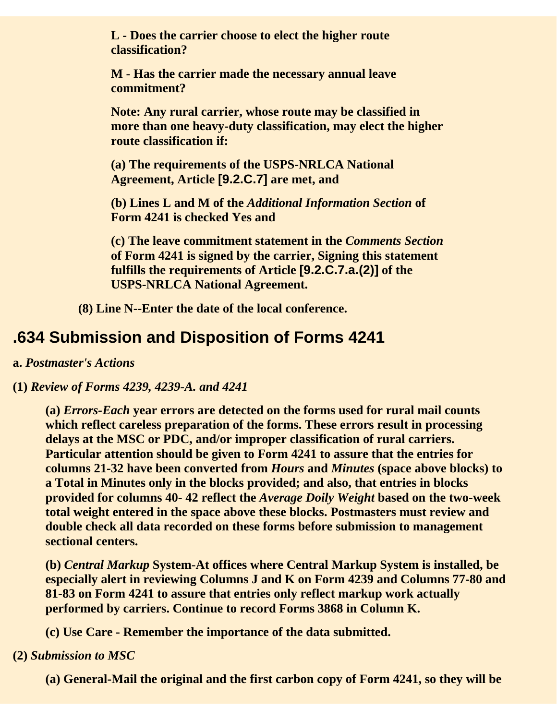**L - Does the carrier choose to elect the higher route classification?**

**M - Has the carrier made the necessary annual leave commitment?** 

**Note: Any rural carrier, whose route may be classified in more than one heavy-duty classification, may elect the higher route classification if:**

**(a) The requirements of the USPS-NRLCA National Agreement, Article [9.2.C.7] are met, and**

**(b) Lines L and M of the** *Additional Information Section* **of Form 4241 is checked Yes and**

**(c) The leave commitment statement in the** *Comments Section* **of Form 4241 is signed by the carrier, Signing this statement fulfills the requirements of Article [9.2.C.7.a.(2)] of the USPS-NRLCA National Agreement.**

**(8) Line N--Enter the date of the local conference.**

### **.634 Submission and Disposition of Forms 4241**

**a.** *Postmaster's Actions*

#### **(1)** *Review of Forms 4239, 4239-A. and 4241*

**(a)** *Errors-Each* **year errors are detected on the forms used for rural mail counts which reflect careless preparation of the forms. These errors result in processing delays at the MSC or PDC, and/or improper classification of rural carriers. Particular attention should be given to Form 4241 to assure that the entries for columns 21-32 have been converted from** *Hours* **and** *Minutes* **(space above blocks) to a Total in Minutes only in the blocks provided; and also, that entries in blocks provided for columns 40- 42 reflect the** *Average Doily Weight* **based on the two-week total weight entered in the space above these blocks. Postmasters must review and double check all data recorded on these forms before submission to management sectional centers.**

**(b)** *Central Markup* **System-At offices where Central Markup System is installed, be especially alert in reviewing Columns J and K on Form 4239 and Columns 77-80 and 81-83 on Form 4241 to assure that entries only reflect markup work actually performed by carriers. Continue to record Forms 3868 in Column K.**

**(c) Use Care - Remember the importance of the data submitted.**

#### **(2)** *Submission to MSC*

**(a) General-Mail the original and the first carbon copy of Form 4241, so they will be**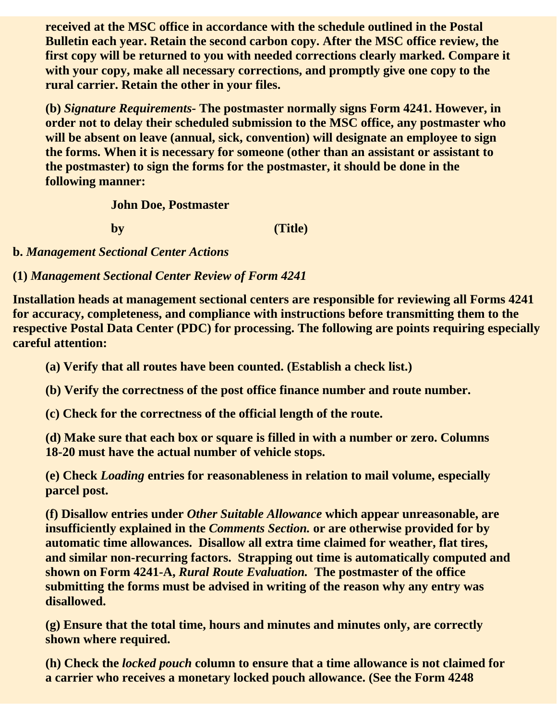**received at the MSC office in accordance with the schedule outlined in the Postal Bulletin each year. Retain the second carbon copy. After the MSC office review, the first copy will be returned to you with needed corrections clearly marked. Compare it with your copy, make all necessary corrections, and promptly give one copy to the rural carrier. Retain the other in your files.**

**(b)** *Signature Requirements-* **The postmaster normally signs Form 4241. However, in order not to delay their scheduled submission to the MSC office, any postmaster who will be absent on leave (annual, sick, convention) will designate an employee to sign the forms. When it is necessary for someone (other than an assistant or assistant to the postmaster) to sign the forms for the postmaster, it should be done in the following manner:**

**John Doe, Postmaster**

**by (Title)**

**b.** *Management Sectional Center Actions* 

**(1)** *Management Sectional Center Review of Form 4241* 

**Installation heads at management sectional centers are responsible for reviewing all Forms 4241 for accuracy, completeness, and compliance with instructions before transmitting them to the respective Postal Data Center (PDC) for processing. The following are points requiring especially careful attention:**

**(a) Verify that all routes have been counted. (Establish a check list.)**

**(b) Verify the correctness of the post office finance number and route number.**

**(c) Check for the correctness of the official length of the route.**

**(d) Make sure that each box or square is filled in with a number or zero. Columns 18-20 must have the actual number of vehicle stops.**

**(e) Check** *Loading* **entries for reasonableness in relation to mail volume, especially parcel post.**

**(f) Disallow entries under** *Other Suitable Allowance* **which appear unreasonable, are insufficiently explained in the** *Comments Section.* **or are otherwise provided for by automatic time allowances. Disallow all extra time claimed for weather, flat tires, and similar non-recurring factors. Strapping out time is automatically computed and shown on Form 4241-A,** *Rural Route Evaluation.* **The postmaster of the office submitting the forms must be advised in writing of the reason why any entry was disallowed.**

**(g) Ensure that the total time, hours and minutes and minutes only, are correctly shown where required.**

**(h) Check the** *locked pouch* **column to ensure that a time allowance is not claimed for a carrier who receives a monetary locked pouch allowance. (See the Form 4248**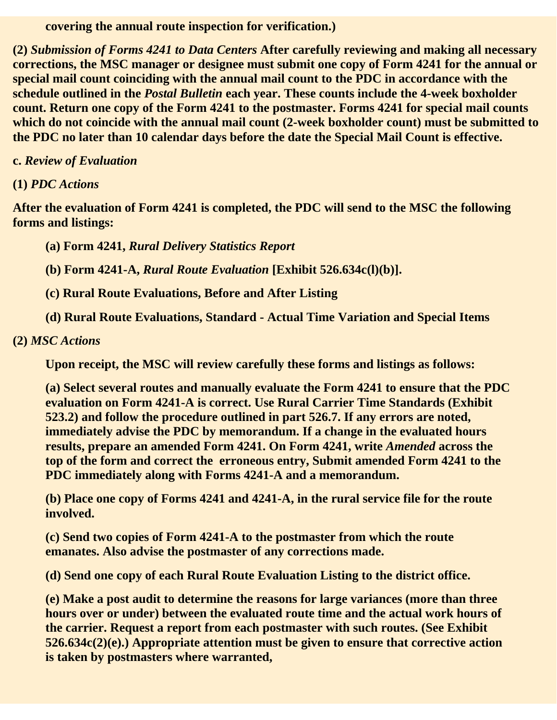**covering the annual route inspection for verification.)**

**(2)** *Submission of Forms 4241 to Data Centers* **After carefully reviewing and making all necessary corrections, the MSC manager or designee must submit one copy of Form 4241 for the annual or special mail count coinciding with the annual mail count to the PDC in accordance with the schedule outlined in the** *Postal Bulletin* **each year. These counts include the 4-week boxholder count. Return one copy of the Form 4241 to the postmaster. Forms 4241 for special mail counts which do not coincide with the annual mail count (2-week boxholder count) must be submitted to the PDC no later than 10 calendar days before the date the Special Mail Count is effective.**

**c.** *Review of Evaluation*

**(1)** *PDC Actions*

**After the evaluation of Form 4241 is completed, the PDC will send to the MSC the following forms and listings:**

**(a) Form 4241,** *Rural Delivery Statistics Report*

**(b) Form 4241-A,** *Rural Route Evaluation* **[Exhibit 526.634c(l)(b)].**

**(c) Rural Route Evaluations, Before and After Listing**

**(d) Rural Route Evaluations, Standard - Actual Time Variation and Special Items**

**(2)** *MSC Actions*

**Upon receipt, the MSC will review carefully these forms and listings as follows:**

**(a) Select several routes and manually evaluate the Form 4241 to ensure that the PDC evaluation on Form 4241-A is correct. Use Rural Carrier Time Standards (Exhibit 523.2) and follow the procedure outlined in part 526.7. If any errors are noted, immediately advise the PDC by memorandum. If a change in the evaluated hours results, prepare an amended Form 4241. On Form 4241, write** *Amended* **across the top of the form and correct the erroneous entry, Submit amended Form 4241 to the PDC immediately along with Forms 4241-A and a memorandum.**

**(b) Place one copy of Forms 4241 and 4241-A, in the rural service file for the route involved.**

**(c) Send two copies of Form 4241-A to the postmaster from which the route emanates. Also advise the postmaster of any corrections made.**

**(d) Send one copy of each Rural Route Evaluation Listing to the district office.**

**(e) Make a post audit to determine the reasons for large variances (more than three hours over or under) between the evaluated route time and the actual work hours of the carrier. Request a report from each postmaster with such routes. (See Exhibit 526.634c(2)(e).) Appropriate attention must be given to ensure that corrective action is taken by postmasters where warranted,**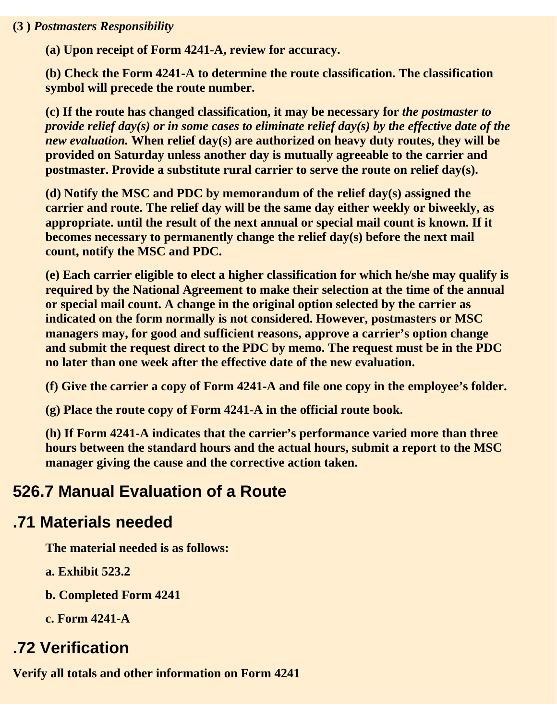#### **(3 )** *Postmasters Responsibility*

**(a) Upon receipt of Form 4241-A, review for accuracy.**

**(b) Check the Form 4241-A to determine the route classification. The classification symbol will precede the route number.**

**(c) If the route has changed classification, it may be necessary for** *the postmaster to provide relief day(s) or in some cases to eliminate relief day(s) by the effective date of the new evaluation.* **When relief day(s) are authorized on heavy duty routes, they will be provided on Saturday unless another day is mutually agreeable to the carrier and postmaster. Provide a substitute rural carrier to serve the route on relief day(s).**

**(d) Notify the MSC and PDC by memorandum of the relief day(s) assigned the carrier and route. The relief day will be the same day either weekly or biweekly, as appropriate. until the result of the next annual or special mail count is known. If it becomes necessary to permanently change the relief day(s) before the next mail count, notify the MSC and PDC.**

**(e) Each carrier eligible to elect a higher classification for which he/she may qualify is required by the National Agreement to make their selection at the time of the annual or special mail count. A change in the original option selected by the carrier as indicated on the form normally is not considered. However, postmasters or MSC managers may, for good and sufficient reasons, approve a carrier's option change and submit the request direct to the PDC by memo. The request must be in the PDC no later than one week after the effective date of the new evaluation.**

**(f) Give the carrier a copy of Form 4241-A and file one copy in the employee's folder.**

**(g) Place the route copy of Form 4241-A in the official route book.**

**(h) If Form 4241-A indicates that the carrier's performance varied more than three hours between the standard hours and the actual hours, submit a report to the MSC manager giving the cause and the corrective action taken.**

#### **526.7 Manual Evaluation of a Route**

#### **.71 Materials needed**

**The material needed is as follows:**

**a. Exhibit 523.2**

**b. Completed Form 4241**

**c. Form 4241-A**

#### **.72 Verification**

**Verify all totals and other information on Form 4241**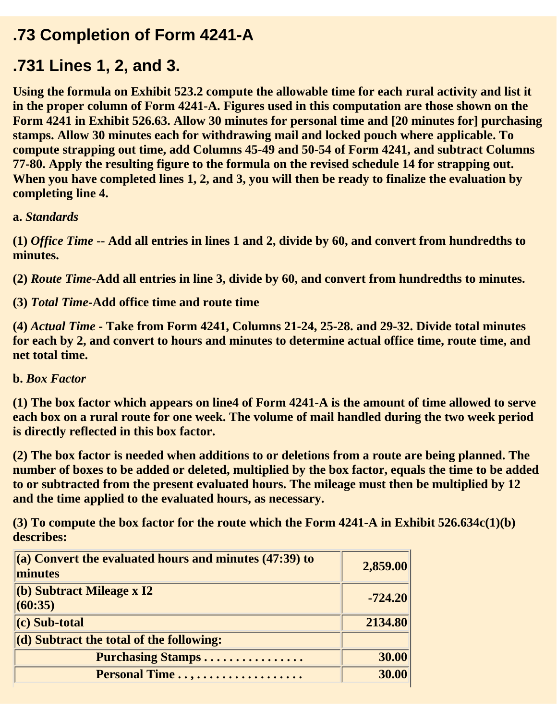#### **.73 Completion of Form 4241-A**

#### **.731 Lines 1, 2, and 3.**

**Using the formula on Exhibit 523.2 compute the allowable time for each rural activity and list it in the proper column of Form 4241-A. Figures used in this computation are those shown on the Form 4241 in Exhibit 526.63. Allow 30 minutes for personal time and [20 minutes for] purchasing stamps. Allow 30 minutes each for withdrawing mail and locked pouch where applicable. To compute strapping out time, add Columns 45-49 and 50-54 of Form 4241, and subtract Columns 77-80. Apply the resulting figure to the formula on the revised schedule 14 for strapping out. When you have completed lines 1, 2, and 3, you will then be ready to finalize the evaluation by completing line 4.**

**a.** *Standards*

**(1)** *Office Time* **-- Add all entries in lines 1 and 2, divide by 60, and convert from hundredths to minutes.**

**(2)** *Route Time***-Add all entries in line 3, divide by 60, and convert from hundredths to minutes.**

**(3)** *Total Time***-Add office time and route time**

**(4)** *Actual Time* **- Take from Form 4241, Columns 21-24, 25-28. and 29-32. Divide total minutes for each by 2, and convert to hours and minutes to determine actual office time, route time, and net total time.**

#### **b.** *Box Factor*

**(1) The box factor which appears on line4 of Form 4241-A is the amount of time allowed to serve each box on a rural route for one week. The volume of mail handled during the two week period is directly reflected in this box factor.**

**(2) The box factor is needed when additions to or deletions from a route are being planned. The number of boxes to be added or deleted, multiplied by the box factor, equals the time to be added to or subtracted from the present evaluated hours. The mileage must then be multiplied by 12 and the time applied to the evaluated hours, as necessary.**

**(3) To compute the box factor for the route which the Form 4241-A in Exhibit 526.634c(1)(b) describes:**

| $\vert$ (a) Convert the evaluated hours and minutes (47:39) to<br>minutes                            | 2,859.00  |
|------------------------------------------------------------------------------------------------------|-----------|
| $\vert$ (b) Subtract Mileage x I2<br>(60:35)                                                         | $-724.20$ |
| $(c)$ Sub-total                                                                                      | 2134.80   |
| $\left  \begin{array}{c} \text{(d)} \text{Subtract the total of the following:} \end{array} \right $ |           |
| Purchasing Stamps                                                                                    | 30.00     |
| Personal Time                                                                                        | 30.00     |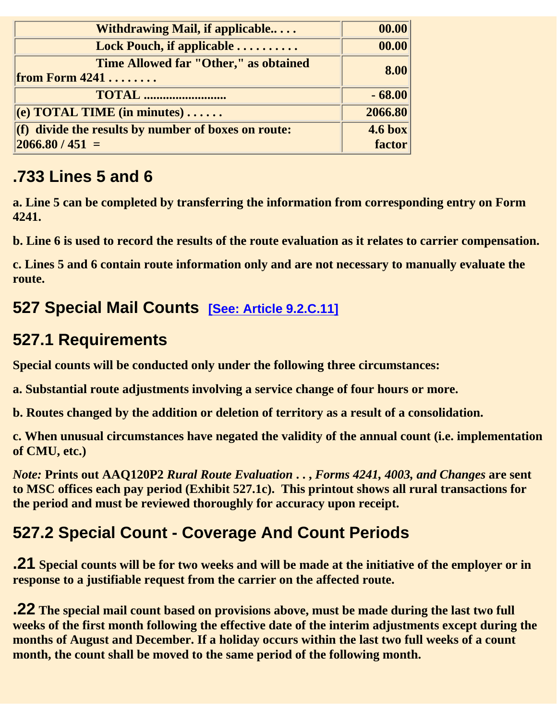| <b>Withdrawing Mail, if applicable</b>                                                                     | 00.00                       |
|------------------------------------------------------------------------------------------------------------|-----------------------------|
| Lock Pouch, if applicable                                                                                  | 00.00                       |
| Time Allowed far "Other," as obtained<br><b>from Form 4241</b>                                             | 8.00                        |
| <b>TOTAL</b>                                                                                               | $-68.00$                    |
| $\left  (e)$ TOTAL TIME (in minutes)                                                                       | 2066.80                     |
| $\left  \right $ divide the results by number of boxes on route:<br>$\left  \frac{2066.80}{451} \right  =$ | $4.6 \text{ box}$<br>factor |

### **.733 Lines 5 and 6**

**a. Line 5 can be completed by transferring the information from corresponding entry on Form 4241.**

**b. Line 6 is used to record the results of the route evaluation as it relates to carrier compensation.**

**c. Lines 5 and 6 contain route information only and are not necessary to manually evaluate the route.**

#### **527 Special Mail Counts [See: Article 9.2.C.11]**

#### **527.1 Requirements**

**Special counts will be conducted only under the following three circumstances:**

**a. Substantial route adjustments involving a service change of four hours or more.**

**b. Routes changed by the addition or deletion of territory as a result of a consolidation.**

**c. When unusual circumstances have negated the validity of the annual count (i.e. implementation of CMU, etc.)**

*Note:* **Prints out AAQ120P2** *Rural Route Evaluation* **. . ,** *Forms 4241, 4003, and Changes* **are sent to MSC offices each pay period (Exhibit 527.1c). This printout shows all rural transactions for the period and must be reviewed thoroughly for accuracy upon receipt.**

### **527.2 Special Count - Coverage And Count Periods**

**.21 Special counts will be for two weeks and will be made at the initiative of the employer or in response to a justifiable request from the carrier on the affected route.**

**.22 The special mail count based on provisions above, must be made during the last two full weeks of the first month following the effective date of the interim adjustments except during the months of August and December. If a holiday occurs within the last two full weeks of a count month, the count shall be moved to the same period of the following month.**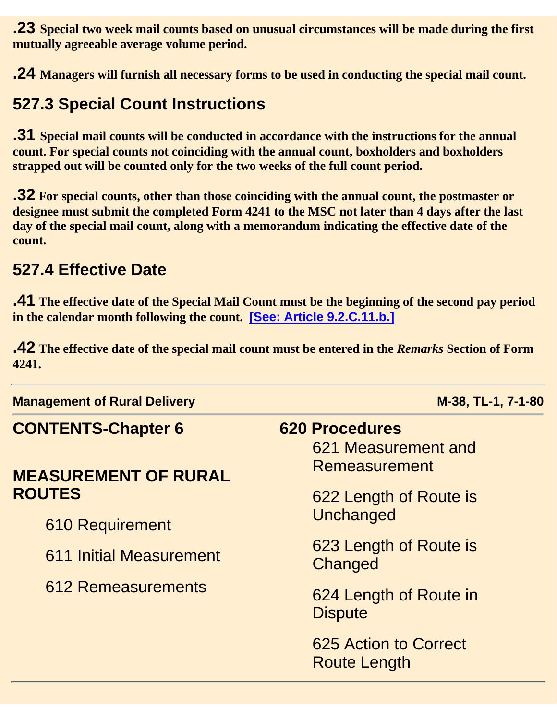**.23 Special two week mail counts based on unusual circumstances will be made during the first mutually agreeable average volume period.**

**.24 Managers will furnish all necessary forms to be used in conducting the special mail count.**

#### **527.3 Special Count Instructions**

**.31 Special mail counts will be conducted in accordance with the instructions for the annual count. For special counts not coinciding with the annual count, boxholders and boxholders strapped out will be counted only for the two weeks of the full count period.**

**.32 For special counts, other than those coinciding with the annual count, the postmaster or designee must submit the completed Form 4241 to the MSC not later than 4 days after the last day of the special mail count, along with a memorandum indicating the effective date of the count.** 

#### **527.4 Effective Date**

**.41 The effective date of the Special Mail Count must be the beginning of the second pay period in the calendar month following the count. [See: Article 9.2.C.11.b.]**

**.42 The effective date of the special mail count must be entered in the** *Remarks* **Section of Form 4241.**

**Management of Rural Delivery Management of Rural Delivery Medical Community Community Research M-38, TL-1, 7-1-80 CONTENTS-Chapter 6 620 Procedures MEASUREMENT OF RURAL ROUTES** 610 Requirement 611 Initial Measurement 612 Remeasurements 621 Measurement and Remeasurement 622 Length of Route is **Unchanged** 623 Length of Route is **Changed** 624 Length of Route in **Dispute** 625 Action to Correct Route Length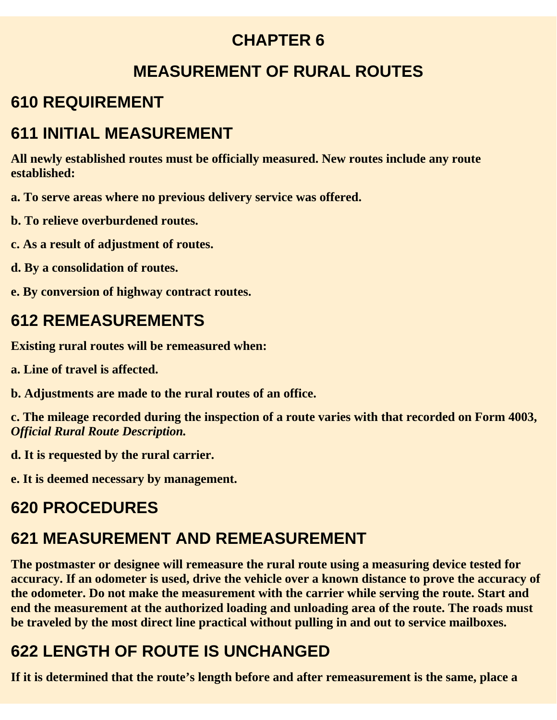#### **CHAPTER 6**

#### **MEASUREMENT OF RURAL ROUTES**

### **610 REQUIREMENT**

### **611 INITIAL MEASUREMENT**

**All newly established routes must be officially measured. New routes include any route established:**

- **a. To serve areas where no previous delivery service was offered.**
- **b. To relieve overburdened routes.**
- **c. As a result of adjustment of routes.**
- **d. By a consolidation of routes.**
- **e. By conversion of highway contract routes.**

### **612 REMEASUREMENTS**

**Existing rural routes will be remeasured when:**

- **a. Line of travel is affected.**
- **b. Adjustments are made to the rural routes of an office.**

**c. The mileage recorded during the inspection of a route varies with that recorded on Form 4003,** *Official Rural Route Description.*

**d. It is requested by the rural carrier.**

**e. It is deemed necessary by management.**

### **620 PROCEDURES**

### **621 MEASUREMENT AND REMEASUREMENT**

**The postmaster or designee will remeasure the rural route using a measuring device tested for accuracy. If an odometer is used, drive the vehicle over a known distance to prove the accuracy of the odometer. Do not make the measurement with the carrier while serving the route. Start and end the measurement at the authorized loading and unloading area of the route. The roads must be traveled by the most direct line practical without pulling in and out to service mailboxes.**

# **622 LENGTH OF ROUTE IS UNCHANGED**

**If it is determined that the route's length before and after remeasurement is the same, place a**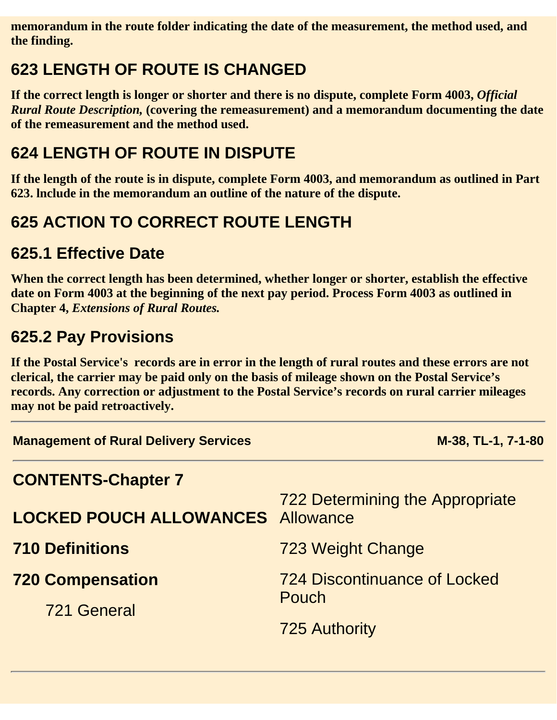**memorandum in the route folder indicating the date of the measurement, the method used, and the finding.**

### **623 LENGTH OF ROUTE IS CHANGED**

If the correct length is longer or shorter and there is no dispute, complete Form 4003, *Official Rural Route Description,* **(covering the remeasurement) and a memorandum documenting the date of the remeasurement and the method used.**

### **624 LENGTH OF ROUTE IN DISPUTE**

**If the length of the route is in dispute, complete Form 4003, and memorandum as outlined in Part 623. lnclude in the memorandum an outline of the nature of the dispute.**

## **625 ACTION TO CORRECT ROUTE LENGTH**

#### **625.1 Effective Date**

**When the correct length has been determined, whether longer or shorter, establish the effective date on Form 4003 at the beginning of the next pay period. Process Form 4003 as outlined in Chapter 4,** *Extensions of Rural Routes.*

### **625.2 Pay Provisions**

**If the Postal Service's records are in error in the length of rural routes and these errors are not clerical, the carrier may be paid only on the basis of mileage shown on the Postal Service's records. Any correction or adjustment to the Postal Service's records on rural carrier mileages may not be paid retroactively.**

| <b>Management of Rural Delivery Services</b> | M-38, TL-1, 7-1-80                           |
|----------------------------------------------|----------------------------------------------|
| <b>CONTENTS-Chapter 7</b>                    |                                              |
| <b>LOCKED POUCH ALLOWANCES</b> Allowance     | <b>722 Determining the Appropriate</b>       |
| <b>710 Definitions</b>                       | 723 Weight Change                            |
| <b>720 Compensation</b><br>721 General       | <b>724 Discontinuance of Locked</b><br>Pouch |
|                                              | <b>725 Authority</b>                         |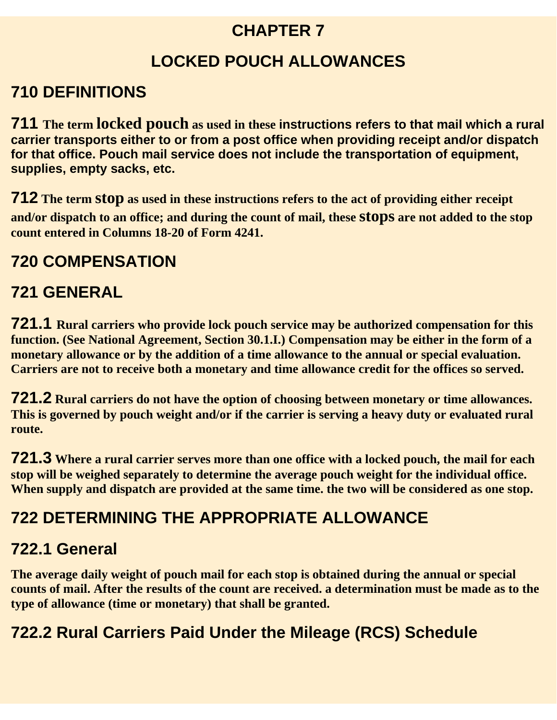#### **CHAPTER 7**

### **LOCKED POUCH ALLOWANCES**

#### **710 DEFINITIONS**

**711 The term locked pouch as used in these instructions refers to that mail which a rural carrier transports either to or from a post office when providing receipt and/or dispatch for that office. Pouch mail service does not include the transportation of equipment, supplies, empty sacks, etc.**

**712 The term stop as used in these instructions refers to the act of providing either receipt and/or dispatch to an office; and during the count of mail, these stops are not added to the stop count entered in Columns 18-20 of Form 4241.**

#### **720 COMPENSATION**

### **721 GENERAL**

**721.1 Rural carriers who provide lock pouch service may be authorized compensation for this function. (See National Agreement, Section 30.1.I.) Compensation may be either in the form of a monetary allowance or by the addition of a time allowance to the annual or special evaluation. Carriers are not to receive both a monetary and time allowance credit for the offices so served.**

**721.2 Rural carriers do not have the option of choosing between monetary or time allowances. This is governed by pouch weight and/or if the carrier is serving a heavy duty or evaluated rural route.**

**721.3 Where a rural carrier serves more than one office with a locked pouch, the mail for each stop will be weighed separately to determine the average pouch weight for the individual office. When supply and dispatch are provided at the same time. the two will be considered as one stop.**

### **722 DETERMINING THE APPROPRIATE ALLOWANCE**

#### **722.1 General**

**The average daily weight of pouch mail for each stop is obtained during the annual or special counts of mail. After the results of the count are received. a determination must be made as to the type of allowance (time or monetary) that shall be granted.**

#### **722.2 Rural Carriers Paid Under the Mileage (RCS) Schedule**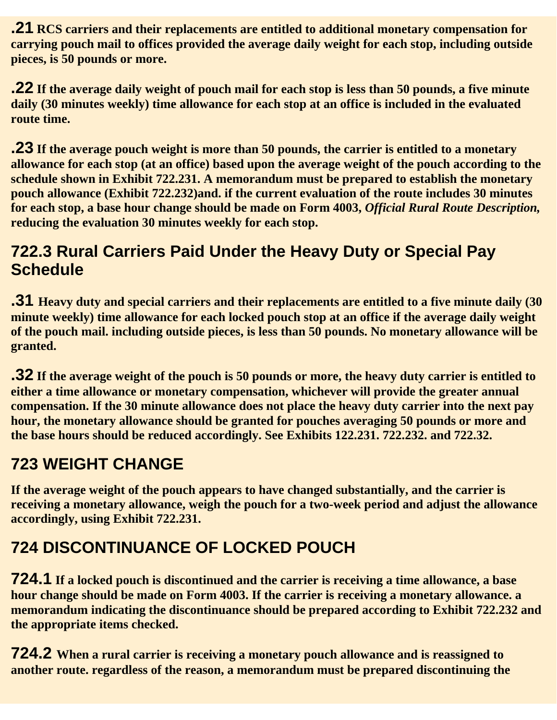**.21 RCS carriers and their replacements are entitled to additional monetary compensation for carrying pouch mail to offices provided the average daily weight for each stop, including outside pieces, is 50 pounds or more.**

**.22 If the average daily weight of pouch mail for each stop is less than 50 pounds, a five minute daily (30 minutes weekly) time allowance for each stop at an office is included in the evaluated route time.**

**.23 If the average pouch weight is more than 50 pounds, the carrier is entitled to a monetary allowance for each stop (at an office) based upon the average weight of the pouch according to the schedule shown in Exhibit 722.231. A memorandum must be prepared to establish the monetary pouch allowance (Exhibit 722.232)and. if the current evaluation of the route includes 30 minutes for each stop, a base hour change should be made on Form 4003,** *Official Rural Route Description,* **reducing the evaluation 30 minutes weekly for each stop.**

#### **722.3 Rural Carriers Paid Under the Heavy Duty or Special Pay Schedule**

**.31 Heavy duty and special carriers and their replacements are entitled to a five minute daily (30 minute weekly) time allowance for each locked pouch stop at an office if the average daily weight of the pouch mail. including outside pieces, is less than 50 pounds. No monetary allowance will be granted.**

**.32 If the average weight of the pouch is 50 pounds or more, the heavy duty carrier is entitled to either a time allowance or monetary compensation, whichever will provide the greater annual compensation. If the 30 minute allowance does not place the heavy duty carrier into the next pay hour, the monetary allowance should be granted for pouches averaging 50 pounds or more and the base hours should be reduced accordingly. See Exhibits 122.231. 722.232. and 722.32.**

### **723 WEIGHT CHANGE**

**If the average weight of the pouch appears to have changed substantially, and the carrier is receiving a monetary allowance, weigh the pouch for a two-week period and adjust the allowance accordingly, using Exhibit 722.231.**

# **724 DISCONTINUANCE OF LOCKED POUCH**

**724.1 If a locked pouch is discontinued and the carrier is receiving a time allowance, a base hour change should be made on Form 4003. If the carrier is receiving a monetary allowance. a memorandum indicating the discontinuance should be prepared according to Exhibit 722.232 and the appropriate items checked.**

**724.2 When a rural carrier is receiving a monetary pouch allowance and is reassigned to another route. regardless of the reason, a memorandum must be prepared discontinuing the**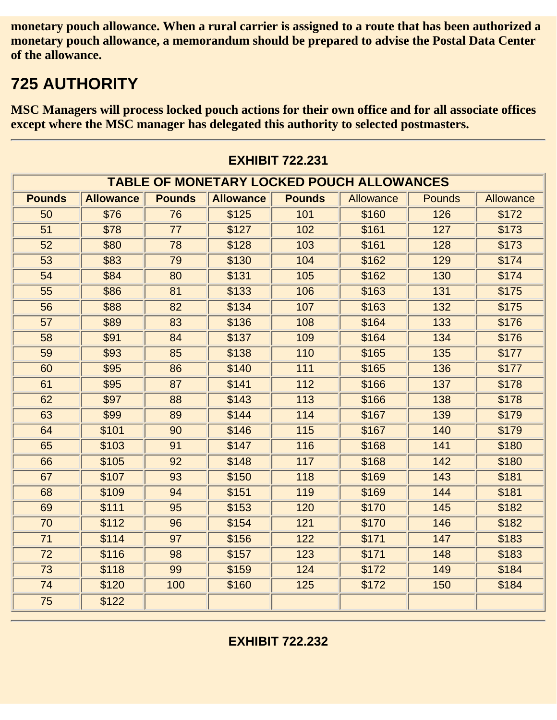**monetary pouch allowance. When a rural carrier is assigned to a route that has been authorized a monetary pouch allowance, a memorandum should be prepared to advise the Postal Data Center of the allowance.**

### **725 AUTHORITY**

**MSC Managers will process locked pouch actions for their own office and for all associate offices except where the MSC manager has delegated this authority to selected postmasters.**

| <b>TABLE OF MONETARY LOCKED POUCH ALLOWANCES</b> |                  |               |                  |               |           |               |           |  |
|--------------------------------------------------|------------------|---------------|------------------|---------------|-----------|---------------|-----------|--|
| <b>Pounds</b>                                    | <b>Allowance</b> | <b>Pounds</b> | <b>Allowance</b> | <b>Pounds</b> | Allowance | <b>Pounds</b> | Allowance |  |
| 50                                               | \$76             | 76            | \$125            | 101           | \$160     | 126           | \$172     |  |
| 51                                               | \$78             | 77            | \$127            | 102           | \$161     | 127           | \$173     |  |
| 52                                               | \$80             | 78            | \$128            | 103           | \$161     | 128           | \$173     |  |
| 53                                               | \$83             | 79            | \$130            | 104           | \$162     | 129           | \$174     |  |
| 54                                               | \$84             | 80            | \$131            | 105           | \$162     | 130           | \$174     |  |
| 55                                               | \$86             | 81            | \$133            | 106           | \$163     | 131           | \$175     |  |
| 56                                               | \$88             | 82            | \$134            | 107           | \$163     | 132           | \$175     |  |
| 57                                               | \$89             | 83            | \$136            | 108           | \$164     | 133           | \$176     |  |
| 58                                               | \$91             | 84            | \$137            | 109           | \$164     | 134           | \$176     |  |
| 59                                               | \$93             | 85            | \$138            | 110           | \$165     | 135           | \$177     |  |
| 60                                               | \$95             | 86            | \$140            | 111           | \$165     | 136           | \$177     |  |
| 61                                               | \$95             | 87            | \$141            | 112           | \$166     | 137           | \$178     |  |
| 62                                               | \$97             | 88            | \$143            | 113           | \$166     | 138           | \$178     |  |
| 63                                               | \$99             | 89            | \$144            | 114           | \$167     | 139           | \$179     |  |
| 64                                               | \$101            | 90            | \$146            | 115           | \$167     | 140           | \$179     |  |
| 65                                               | \$103            | 91            | \$147            | 116           | \$168     | 141           | \$180     |  |
| 66                                               | \$105            | 92            | \$148            | 117           | \$168     | 142           | \$180     |  |
| 67                                               | \$107            | 93            | \$150            | 118           | \$169     | 143           | \$181     |  |
| 68                                               | \$109            | 94            | \$151            | 119           | \$169     | 144           | \$181     |  |
| 69                                               | \$111            | 95            | \$153            | 120           | \$170     | 145           | \$182     |  |
| 70                                               | \$112            | 96            | \$154            | 121           | \$170     | 146           | \$182     |  |
| 71                                               | \$114            | 97            | \$156            | 122           | \$171     | 147           | \$183     |  |
| 72                                               | \$116            | 98            | \$157            | 123           | \$171     | 148           | \$183     |  |
| 73                                               | \$118            | 99            | \$159            | 124           | \$172     | 149           | \$184     |  |
| 74                                               | \$120            | 100           | \$160            | 125           | \$172     | 150           | \$184     |  |
| 75                                               | \$122            |               |                  |               |           |               |           |  |

**EXHIBIT 722.231**

**EXHIBIT 722.232**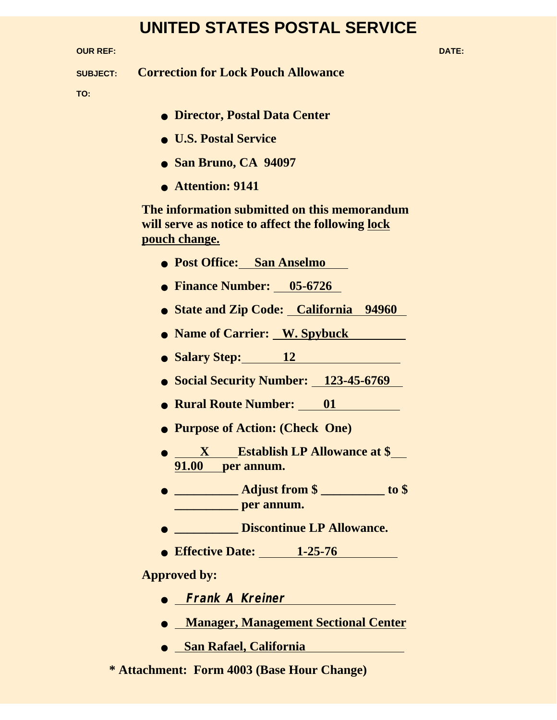#### **UNITED STATES POSTAL SERVICE**

**OUR REF: DATE:**

**SUBJECT: Correction for Lock Pouch Allowance**

**TO:** 

- **Director, Postal Data Center**
- **U.S. Postal Service**
- **San Bruno, CA 94097**
- **Attention: 9141**

**The information submitted on this memorandum will serve as notice to affect the following lock pouch change.**

- **Post Office: San Anselmo**
- **Finance Number: 05-6726**
- **State and Zip Code: California 94960**
- **Name of Carrier: W. Spybuck**
- Salary Step: 12 **12**
- **Social Security Number: 123-45-6769**
- **Rural Route Number: 01**
- **Purpose of Action: (Check One)**
- **<u>X</u>** Establish LP Allowance at \$ **91.00 per annum.**
- **\_\_\_\_\_\_\_\_\_\_ Adjust from \$ \_\_\_\_\_\_\_\_\_\_ to \$ \_\_\_\_\_\_\_\_\_\_ per annum.**
- **\_\_\_\_\_\_\_\_\_\_ Discontinue LP Allowance.**
- **Effective Date: 1-25-76**

#### **Approved by:**

- **Frank A Kreiner**
- **Manager, Management Sectional Center**
- **San Rafael, California**

**\* Attachment: Form 4003 (Base Hour Change)**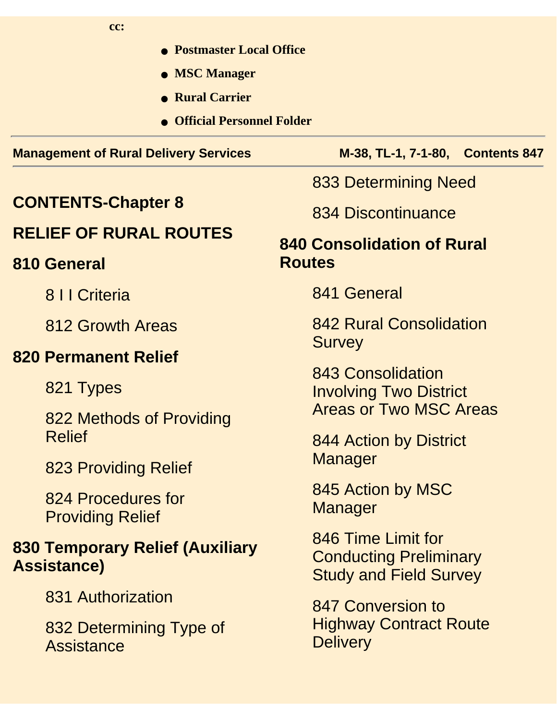| cc: |  |
|-----|--|
|     |  |

● **Postmaster Local Office** ● **MSC Manager** ● **Rural Carrier** ● **Official Personnel Folder Management of Rural Delivery Services M-38, TL-1, 7-1-80, Contents 847 CONTENTS-Chapter 8 RELIEF OF RURAL ROUTES 810 General** 8 I I Criteria 812 Growth Areas **820 Permanent Relief** 821 Types 822 Methods of Providing Relief 823 Providing Relief 824 Procedures for Providing Relief **830 Temporary Relief (Auxiliary Assistance)** 831 Authorization 832 Determining Type of **Assistance** 833 Determining Need 834 Discontinuance **840 Consolidation of Rural Routes** 841 General 842 Rural Consolidation **Survey** 843 Consolidation Involving Two District Areas or Two MSC Areas 844 Action by District **Manager** 845 Action by MSC **Manager** 846 Time Limit for Conducting Preliminary Study and Field Survey 847 Conversion to Highway Contract Route **Delivery**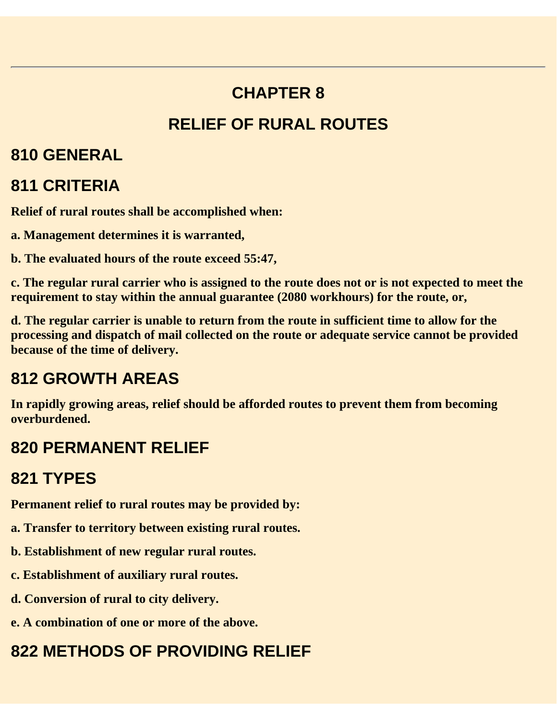# **CHAPTER 8 RELIEF OF RURAL ROUTES**

#### **810 GENERAL**

### **811 CRITERIA**

**Relief of rural routes shall be accomplished when:**

- **a. Management determines it is warranted,**
- **b. The evaluated hours of the route exceed 55:47,**

**c. The regular rural carrier who is assigned to the route does not or is not expected to meet the requirement to stay within the annual guarantee (2080 workhours) for the route, or,**

**d. The regular carrier is unable to return from the route in sufficient time to allow for the processing and dispatch of mail collected on the route or adequate service cannot be provided because of the time of delivery.**

### **812 GROWTH AREAS**

**In rapidly growing areas, relief should be afforded routes to prevent them from becoming overburdened.**

### **820 PERMANENT RELIEF**

### **821 TYPES**

**Permanent relief to rural routes may be provided by:**

- **a. Transfer to territory between existing rural routes.**
- **b. Establishment of new regular rural routes.**
- **c. Establishment of auxiliary rural routes.**
- **d. Conversion of rural to city delivery.**
- **e. A combination of one or more of the above.**

# **822 METHODS OF PROVIDING RELIEF**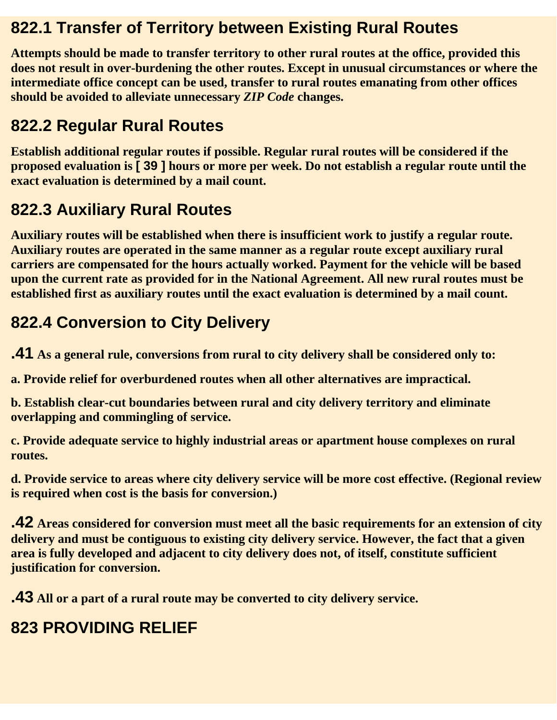#### **822.1 Transfer of Territory between Existing Rural Routes**

**Attempts should be made to transfer territory to other rural routes at the office, provided this does not result in over-burdening the other routes. Except in unusual circumstances or where the intermediate office concept can be used, transfer to rural routes emanating from other offices should be avoided to alleviate unnecessary** *ZIP Code* **changes.**

### **822.2 Regular Rural Routes**

**Establish additional regular routes if possible. Regular rural routes will be considered if the proposed evaluation is [ 39 ] hours or more per week. Do not establish a regular route until the exact evaluation is determined by a mail count.**

# **822.3 Auxiliary Rural Routes**

**Auxiliary routes will be established when there is insufficient work to justify a regular route. Auxiliary routes are operated in the same manner as a regular route except auxiliary rural carriers are compensated for the hours actually worked. Payment for the vehicle will be based upon the current rate as provided for in the National Agreement. All new rural routes must be established first as auxiliary routes until the exact evaluation is determined by a mail count.**

## **822.4 Conversion to City Delivery**

**.41 As a general rule, conversions from rural to city delivery shall be considered only to:**

**a. Provide relief for overburdened routes when all other alternatives are impractical.**

**b. Establish clear-cut boundaries between rural and city delivery territory and eliminate overlapping and commingling of service.**

**c. Provide adequate service to highly industrial areas or apartment house complexes on rural routes.**

**d. Provide service to areas where city delivery service will be more cost effective. (Regional review is required when cost is the basis for conversion.)**

**.42 Areas considered for conversion must meet all the basic requirements for an extension of city delivery and must be contiguous to existing city delivery service. However, the fact that a given area is fully developed and adjacent to city delivery does not, of itself, constitute sufficient justification for conversion.**

**.43 All or a part of a rural route may be converted to city delivery service.**

# **823 PROVIDING RELIEF**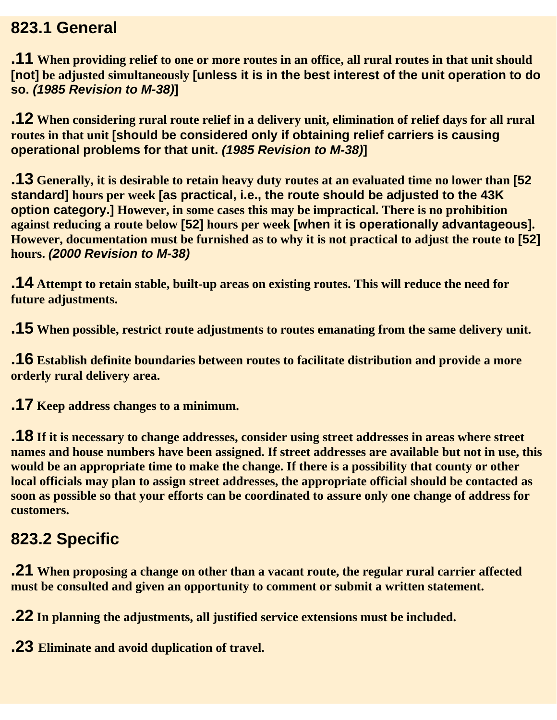#### **823.1 General**

**.11 When providing relief to one or more routes in an office, all rural routes in that unit should [not] be adjusted simultaneously [unless it is in the best interest of the unit operation to do so.** *(1985 Revision to M-38)***]** 

**.12 When considering rural route relief in a delivery unit, elimination of relief days for all rural routes in that unit [should be considered only if obtaining relief carriers is causing operational problems for that unit.** *(1985 Revision to M-38)***]**

**.13 Generally, it is desirable to retain heavy duty routes at an evaluated time no lower than [52 standard] hours per week [as practical, i.e., the route should be adjusted to the 43K option category.] However, in some cases this may be impractical. There is no prohibition against reducing a route below [52] hours per week [when it is operationally advantageous]. However, documentation must be furnished as to why it is not practical to adjust the route to [52] hours.** *(2000 Revision to M-38)*

**.14 Attempt to retain stable, built-up areas on existing routes. This will reduce the need for future adjustments.**

**.15 When possible, restrict route adjustments to routes emanating from the same delivery unit.**

**.16 Establish definite boundaries between routes to facilitate distribution and provide a more orderly rural delivery area.**

**.17 Keep address changes to a minimum.**

**.18 If it is necessary to change addresses, consider using street addresses in areas where street names and house numbers have been assigned. If street addresses are available but not in use, this would be an appropriate time to make the change. If there is a possibility that county or other local officials may plan to assign street addresses, the appropriate official should be contacted as soon as possible so that your efforts can be coordinated to assure only one change of address for customers.**

### **823.2 Specific**

**.21 When proposing a change on other than a vacant route, the regular rural carrier affected must be consulted and given an opportunity to comment or submit a written statement.**

**.22 In planning the adjustments, all justified service extensions must be included.**

**.23 Eliminate and avoid duplication of travel.**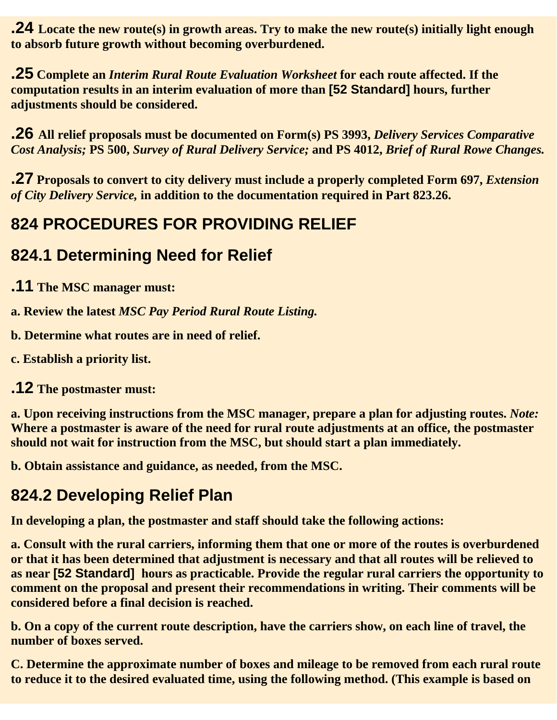**.24 Locate the new route(s) in growth areas. Try to make the new route(s) initially light enough to absorb future growth without becoming overburdened.**

**.25 Complete an** *Interim Rural Route Evaluation Worksheet* **for each route affected. If the computation results in an interim evaluation of more than [52 Standard] hours, further adjustments should be considered.**

**.26 All relief proposals must be documented on Form(s) PS 3993,** *Delivery Services Comparative Cost Analysis;* **PS 500,** *Survey of Rural Delivery Service;* **and PS 4012,** *Brief of Rural Rowe Changes.*

**.27** Proposals to convert to city delivery must include a properly completed Form 697, *Extension of City Delivery Service,* **in addition to the documentation required in Part 823.26.**

#### **824 PROCEDURES FOR PROVIDING RELIEF**

#### **824.1 Determining Need for Relief**

**.11 The MSC manager must:**

**a. Review the latest** *MSC Pay Period Rural Route Listing.*

**b. Determine what routes are in need of relief.**

**c. Establish a priority list.**

**.12 The postmaster must:**

**a. Upon receiving instructions from the MSC manager, prepare a plan for adjusting routes.** *Note:* **Where a postmaster is aware of the need for rural route adjustments at an office, the postmaster should not wait for instruction from the MSC, but should start a plan immediately.**

**b. Obtain assistance and guidance, as needed, from the MSC.**

### **824.2 Developing Relief Plan**

**In developing a plan, the postmaster and staff should take the following actions:**

**a. Consult with the rural carriers, informing them that one or more of the routes is overburdened or that it has been determined that adjustment is necessary and that all routes will be relieved to as near [52 Standard] hours as practicable. Provide the regular rural carriers the opportunity to comment on the proposal and present their recommendations in writing. Their comments will be considered before a final decision is reached.**

**b. On a copy of the current route description, have the carriers show, on each line of travel, the number of boxes served.**

**C. Determine the approximate number of boxes and mileage to be removed from each rural route to reduce it to the desired evaluated time, using the following method. (This example is based on**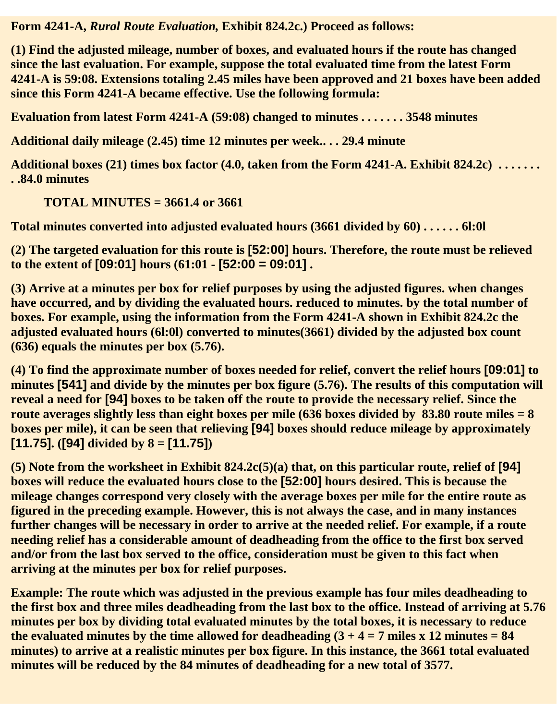**Form 4241-A,** *Rural Route Evaluation,* **Exhibit 824.2c.) Proceed as follows:**

**(1) Find the adjusted mileage, number of boxes, and evaluated hours if the route has changed since the last evaluation. For example, suppose the total evaluated time from the latest Form 4241-A is 59:08. Extensions totaling 2.45 miles have been approved and 21 boxes have been added since this Form 4241-A became effective. Use the following formula:**

**Evaluation from latest Form 4241-A (59:08) changed to minutes . . . . . . . 3548 minutes**

**Additional daily mileage (2.45) time 12 minutes per week.. . . 29.4 minute**

**Additional boxes (21) times box factor (4.0, taken from the Form 4241-A. Exhibit 824.2c) . . . . . . . . .84.0 minutes**

**TOTAL MINUTES = 3661.4 or 3661**

**Total minutes converted into adjusted evaluated hours (3661 divided by 60) . . . . . . 6l:0l**

**(2) The targeted evaluation for this route is [52:00] hours. Therefore, the route must be relieved to the extent of [09:01] hours (61:01 - [52:00 = 09:01] .**

**(3) Arrive at a minutes per box for relief purposes by using the adjusted figures. when changes have occurred, and by dividing the evaluated hours. reduced to minutes. by the total number of boxes. For example, using the information from the Form 4241-A shown in Exhibit 824.2c the adjusted evaluated hours (6l:0l) converted to minutes(3661) divided by the adjusted box count (636) equals the minutes per box (5.76).**

**(4) To find the approximate number of boxes needed for relief, convert the relief hours [09:01] to minutes [541] and divide by the minutes per box figure (5.76). The results of this computation will reveal a need for [94] boxes to be taken off the route to provide the necessary relief. Since the route averages slightly less than eight boxes per mile (636 boxes divided by 83.80 route miles = 8 boxes per mile), it can be seen that relieving [94] boxes should reduce mileage by approximately [11.75]. ([94] divided by 8 = [11.75])**

**(5) Note from the worksheet in Exhibit 824.2c(5)(a) that, on this particular route, relief of [94] boxes will reduce the evaluated hours close to the [52:00] hours desired. This is because the mileage changes correspond very closely with the average boxes per mile for the entire route as figured in the preceding example. However, this is not always the case, and in many instances further changes will be necessary in order to arrive at the needed relief. For example, if a route needing relief has a considerable amount of deadheading from the office to the first box served and/or from the last box served to the office, consideration must be given to this fact when arriving at the minutes per box for relief purposes.**

**Example: The route which was adjusted in the previous example has four miles deadheading to the first box and three miles deadheading from the last box to the office. Instead of arriving at 5.76 minutes per box by dividing total evaluated minutes by the total boxes, it is necessary to reduce** the evaluated minutes by the time allowed for deadheading  $(3 + 4 = 7$  miles x 12 minutes  $= 84$ **minutes) to arrive at a realistic minutes per box figure. In this instance, the 3661 total evaluated minutes will be reduced by the 84 minutes of deadheading for a new total of 3577.**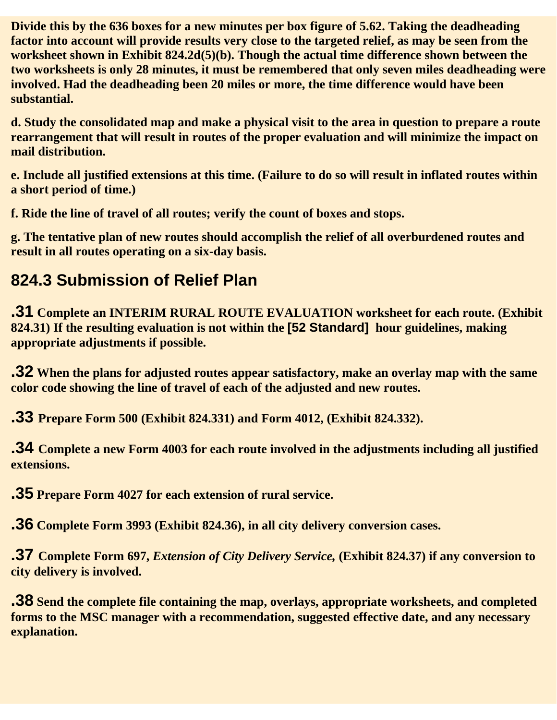**Divide this by the 636 boxes for a new minutes per box figure of 5.62. Taking the deadheading factor into account will provide results very close to the targeted relief, as may be seen from the worksheet shown in Exhibit 824.2d(5)(b). Though the actual time difference shown between the two worksheets is only 28 minutes, it must be remembered that only seven miles deadheading were involved. Had the deadheading been 20 miles or more, the time difference would have been substantial.**

**d. Study the consolidated map and make a physical visit to the area in question to prepare a route rearrangement that will result in routes of the proper evaluation and will minimize the impact on mail distribution.**

**e. Include all justified extensions at this time. (Failure to do so will result in inflated routes within a short period of time.)**

**f. Ride the line of travel of all routes; verify the count of boxes and stops.**

**g. The tentative plan of new routes should accomplish the relief of all overburdened routes and result in all routes operating on a six-day basis.**

### **824.3 Submission of Relief Plan**

**.31 Complete an INTERIM RURAL ROUTE EVALUATION worksheet for each route. (Exhibit 824.31) If the resulting evaluation is not within the [52 Standard] hour guidelines, making appropriate adjustments if possible.**

**.32 When the plans for adjusted routes appear satisfactory, make an overlay map with the same color code showing the line of travel of each of the adjusted and new routes.**

**.33 Prepare Form 500 (Exhibit 824.331) and Form 4012, (Exhibit 824.332).**

**.34 Complete a new Form 4003 for each route involved in the adjustments including all justified extensions.**

**.35 Prepare Form 4027 for each extension of rural service.**

**.36 Complete Form 3993 (Exhibit 824.36), in all city delivery conversion cases.**

**.37 Complete Form 697,** *Extension of City Delivery Service,* **(Exhibit 824.37) if any conversion to city delivery is involved.**

**.38 Send the complete file containing the map, overlays, appropriate worksheets, and completed forms to the MSC manager with a recommendation, suggested effective date, and any necessary explanation.**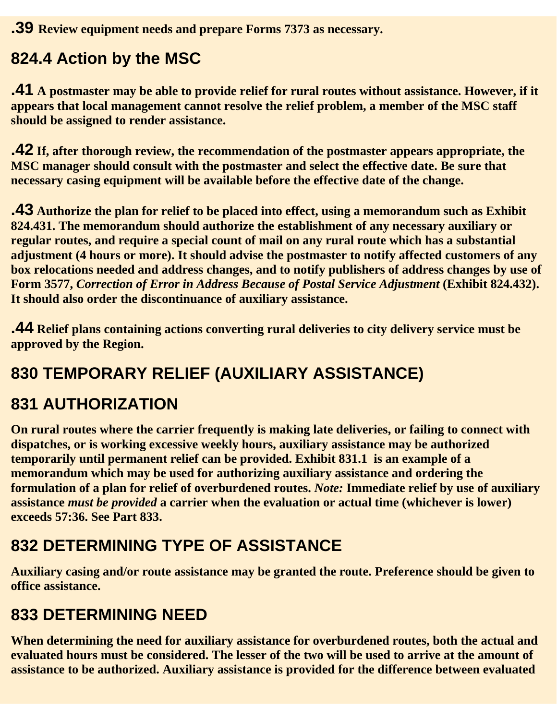**.39 Review equipment needs and prepare Forms 7373 as necessary.**

### **824.4 Action by the MSC**

**.41 A postmaster may be able to provide relief for rural routes without assistance. However, if it appears that local management cannot resolve the relief problem, a member of the MSC staff should be assigned to render assistance.**

**.42 If, after thorough review, the recommendation of the postmaster appears appropriate, the MSC manager should consult with the postmaster and select the effective date. Be sure that necessary casing equipment will be available before the effective date of the change.**

**.43 Authorize the plan for relief to be placed into effect, using a memorandum such as Exhibit 824.431. The memorandum should authorize the establishment of any necessary auxiliary or regular routes, and require a special count of mail on any rural route which has a substantial adjustment (4 hours or more). It should advise the postmaster to notify affected customers of any box relocations needed and address changes, and to notify publishers of address changes by use of Form 3577,** *Correction of Error in Address Because of Postal Service Adjustment* **(Exhibit 824.432). It should also order the discontinuance of auxiliary assistance.**

**.44 Relief plans containing actions converting rural deliveries to city delivery service must be approved by the Region.** 

# **830 TEMPORARY RELIEF (AUXILIARY ASSISTANCE)**

### **831 AUTHORIZATION**

**On rural routes where the carrier frequently is making late deliveries, or failing to connect with dispatches, or is working excessive weekly hours, auxiliary assistance may be authorized temporarily until permanent relief can be provided. Exhibit 831.1 is an example of a memorandum which may be used for authorizing auxiliary assistance and ordering the formulation of a plan for relief of overburdened routes.** *Note:* **Immediate relief by use of auxiliary assistance** *must be provided* **a carrier when the evaluation or actual time (whichever is lower) exceeds 57:36. See Part 833.**

# **832 DETERMINING TYPE OF ASSISTANCE**

**Auxiliary casing and/or route assistance may be granted the route. Preference should be given to office assistance.**

### **833 DETERMINING NEED**

**When determining the need for auxiliary assistance for overburdened routes, both the actual and evaluated hours must be considered. The lesser of the two will be used to arrive at the amount of assistance to be authorized. Auxiliary assistance is provided for the difference between evaluated**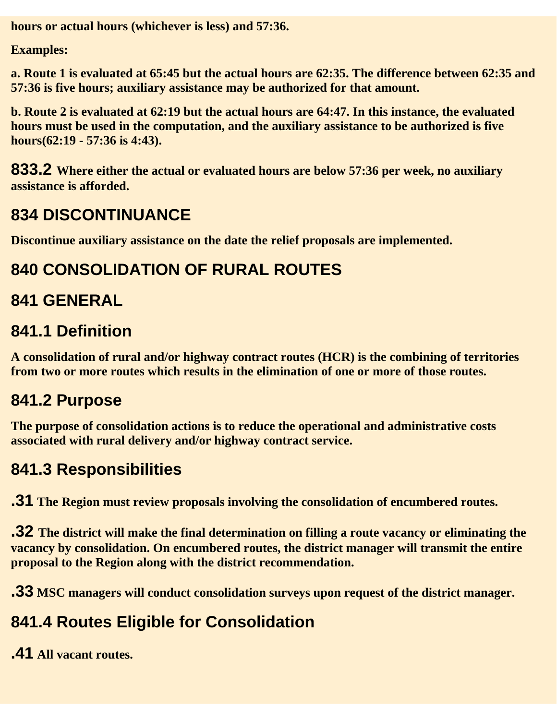**hours or actual hours (whichever is less) and 57:36.**

**Examples:**

**a. Route 1 is evaluated at 65:45 but the actual hours are 62:35. The difference between 62:35 and 57:36 is five hours; auxiliary assistance may be authorized for that amount.**

**b. Route 2 is evaluated at 62:19 but the actual hours are 64:47. In this instance, the evaluated hours must be used in the computation, and the auxiliary assistance to be authorized is five hours(62:19 - 57:36 is 4:43).**

**833.2 Where either the actual or evaluated hours are below 57:36 per week, no auxiliary assistance is afforded.**

### **834 DISCONTINUANCE**

**Discontinue auxiliary assistance on the date the relief proposals are implemented.**

## **840 CONSOLIDATION OF RURAL ROUTES**

## **841 GENERAL**

#### **841.1 Definition**

**A consolidation of rural and/or highway contract routes (HCR) is the combining of territories from two or more routes which results in the elimination of one or more of those routes.**

### **841.2 Purpose**

**The purpose of consolidation actions is to reduce the operational and administrative costs associated with rural delivery and/or highway contract service.**

### **841.3 Responsibilities**

**.31 The Region must review proposals involving the consolidation of encumbered routes.**

**.32 The district will make the final determination on filling a route vacancy or eliminating the vacancy by consolidation. On encumbered routes, the district manager will transmit the entire proposal to the Region along with the district recommendation.**

**.33 MSC managers will conduct consolidation surveys upon request of the district manager.**

# **841.4 Routes Eligible for Consolidation**

**.41 All vacant routes.**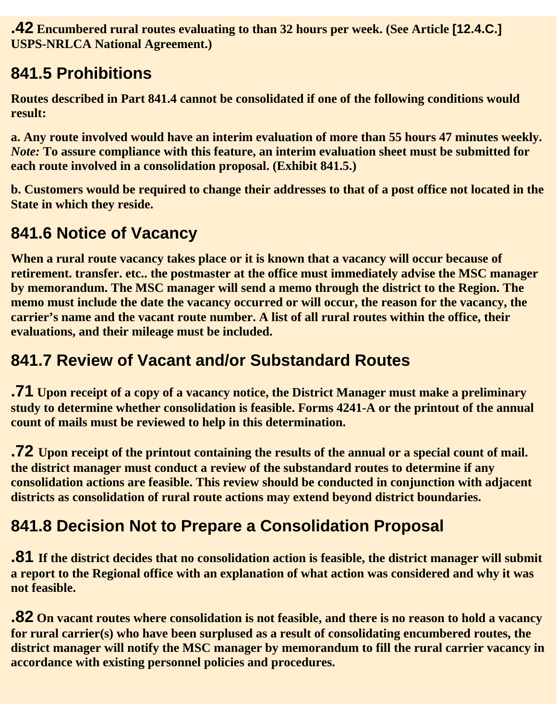**.42 Encumbered rural routes evaluating to than 32 hours per week. (See Article [12.4.C.] USPS-NRLCA National Agreement.)**

### **841.5 Prohibitions**

**Routes described in Part 841.4 cannot be consolidated if one of the following conditions would result:**

**a. Any route involved would have an interim evaluation of more than 55 hours 47 minutes weekly.** *Note:* **To assure compliance with this feature, an interim evaluation sheet must be submitted for each route involved in a consolidation proposal. (Exhibit 841.5.)**

**b. Customers would be required to change their addresses to that of a post office not located in the State in which they reside.**

#### **841.6 Notice of Vacancy**

**When a rural route vacancy takes place or it is known that a vacancy will occur because of retirement. transfer. etc.. the postmaster at the office must immediately advise the MSC manager by memorandum. The MSC manager will send a memo through the district to the Region. The memo must include the date the vacancy occurred or will occur, the reason for the vacancy, the carrier's name and the vacant route number. A list of all rural routes within the office, their evaluations, and their mileage must be included.**

#### **841.7 Review of Vacant and/or Substandard Routes**

**.71 Upon receipt of a copy of a vacancy notice, the District Manager must make a preliminary study to determine whether consolidation is feasible. Forms 4241-A or the printout of the annual count of mails must be reviewed to help in this determination.**

**.72 Upon receipt of the printout containing the results of the annual or a special count of mail. the district manager must conduct a review of the substandard routes to determine if any consolidation actions are feasible. This review should be conducted in conjunction with adjacent districts as consolidation of rural route actions may extend beyond district boundaries.**

### **841.8 Decision Not to Prepare a Consolidation Proposal**

**.81 If the district decides that no consolidation action is feasible, the district manager will submit a report to the Regional office with an explanation of what action was considered and why it was not feasible.**

**.82 On vacant routes where consolidation is not feasible, and there is no reason to hold a vacancy for rural carrier(s) who have been surplused as a result of consolidating encumbered routes, the district manager will notify the MSC manager by memorandum to fill the rural carrier vacancy in accordance with existing personnel policies and procedures.**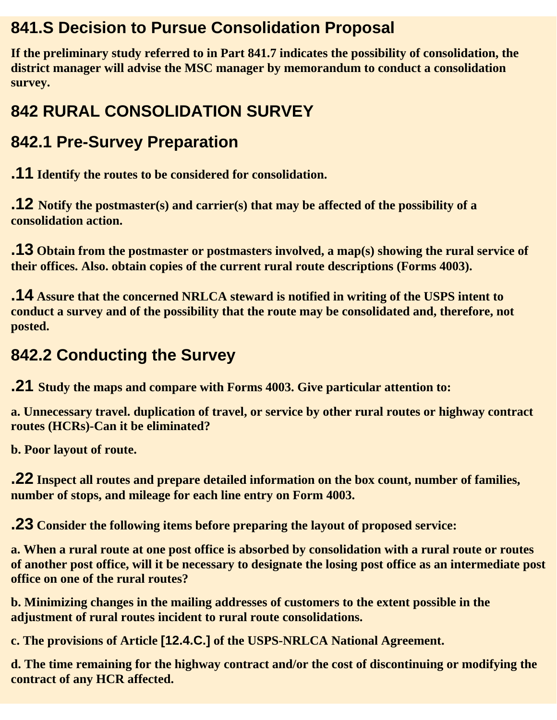#### **841.S Decision to Pursue Consolidation Proposal**

**If the preliminary study referred to in Part 841.7 indicates the possibility of consolidation, the district manager will advise the MSC manager by memorandum to conduct a consolidation survey.**

# **842 RURAL CONSOLIDATION SURVEY**

### **842.1 Pre-Survey Preparation**

**.11 Identify the routes to be considered for consolidation.**

**.12 Notify the postmaster(s) and carrier(s) that may be affected of the possibility of a consolidation action.**

**.13 Obtain from the postmaster or postmasters involved, a map(s) showing the rural service of their offices. Also. obtain copies of the current rural route descriptions (Forms 4003).**

**.14 Assure that the concerned NRLCA steward is notified in writing of the USPS intent to conduct a survey and of the possibility that the route may be consolidated and, therefore, not posted.**

#### **842.2 Conducting the Survey**

**.21 Study the maps and compare with Forms 4003. Give particular attention to:**

**a. Unnecessary travel. duplication of travel, or service by other rural routes or highway contract routes (HCRs)-Can it be eliminated?**

**b. Poor layout of route.**

**.22 Inspect all routes and prepare detailed information on the box count, number of families, number of stops, and mileage for each line entry on Form 4003.**

**.23 Consider the following items before preparing the layout of proposed service:**

**a. When a rural route at one post office is absorbed by consolidation with a rural route or routes of another post office, will it be necessary to designate the losing post office as an intermediate post office on one of the rural routes?**

**b. Minimizing changes in the mailing addresses of customers to the extent possible in the adjustment of rural routes incident to rural route consolidations.**

**c. The provisions of Article [12.4.C.] of the USPS-NRLCA National Agreement.**

**d. The time remaining for the highway contract and/or the cost of discontinuing or modifying the contract of any HCR affected.**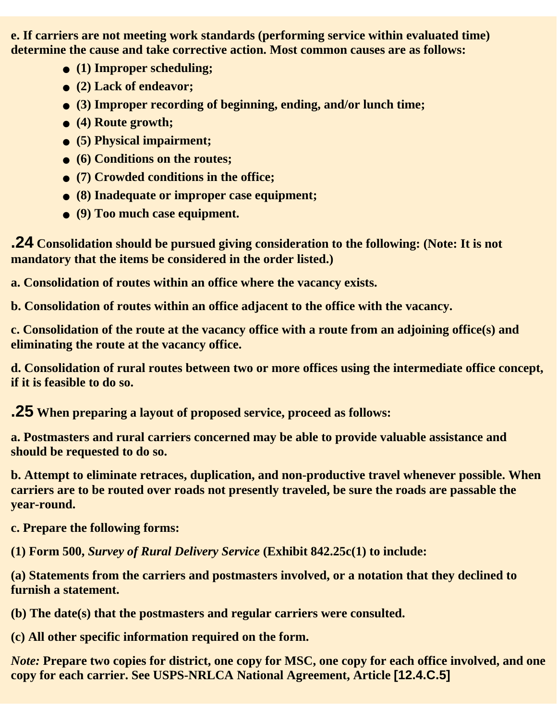**e. If carriers are not meeting work standards (performing service within evaluated time) determine the cause and take corrective action. Most common causes are as follows:**

- **(1) Improper scheduling;**
- **(2) Lack of endeavor;**
- **(3) Improper recording of beginning, ending, and/or lunch time;**
- **(4) Route growth;**
- **(5) Physical impairment;**
- **(6) Conditions on the routes;**
- **(7) Crowded conditions in the office;**
- **(8) Inadequate or improper case equipment;**
- **(9) Too much case equipment.**

**.24 Consolidation should be pursued giving consideration to the following: (Note: It is not mandatory that the items be considered in the order listed.)**

**a. Consolidation of routes within an office where the vacancy exists.**

**b. Consolidation of routes within an office adjacent to the office with the vacancy.**

**c. Consolidation of the route at the vacancy office with a route from an adjoining office(s) and eliminating the route at the vacancy office.**

**d. Consolidation of rural routes between two or more offices using the intermediate office concept, if it is feasible to do so.**

**.25 When preparing a layout of proposed service, proceed as follows:**

**a. Postmasters and rural carriers concerned may be able to provide valuable assistance and should be requested to do so.**

**b. Attempt to eliminate retraces, duplication, and non-productive travel whenever possible. When carriers are to be routed over roads not presently traveled, be sure the roads are passable the year-round.**

**c. Prepare the following forms:**

**(1) Form 500,** *Survey of Rural Delivery Service* **(Exhibit 842.25c(1) to include:**

**(a) Statements from the carriers and postmasters involved, or a notation that they declined to furnish a statement.**

**(b) The date(s) that the postmasters and regular carriers were consulted.**

**(c) All other specific information required on the form.**

*Note:* **Prepare two copies for district, one copy for MSC, one copy for each office involved, and one copy for each carrier. See USPS-NRLCA National Agreement, Article [12.4.C.5]**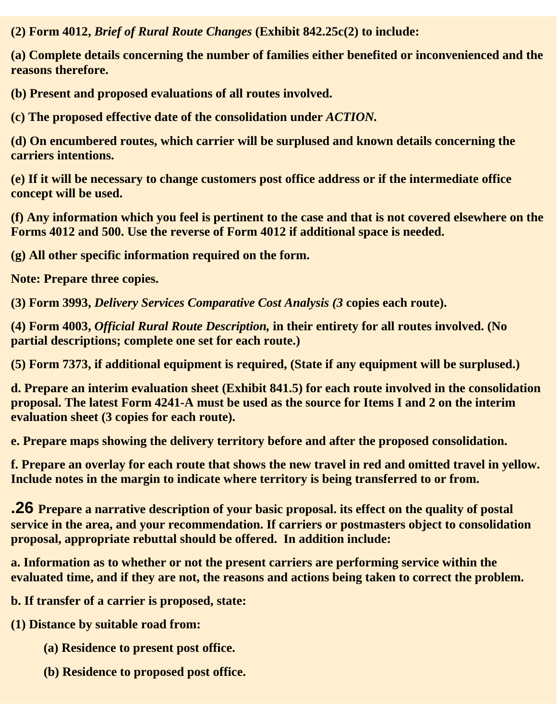**(2) Form 4012,** *Brief of Rural Route Changes* **(Exhibit 842.25c(2) to include:**

**(a) Complete details concerning the number of families either benefited or inconvenienced and the reasons therefore.**

**(b) Present and proposed evaluations of all routes involved.** 

**(c) The proposed effective date of the consolidation under** *ACTION.*

**(d) On encumbered routes, which carrier will be surplused and known details concerning the carriers intentions.**

**(e) If it will be necessary to change customers post office address or if the intermediate office concept will be used.**

**(f) Any information which you feel is pertinent to the case and that is not covered elsewhere on the Forms 4012 and 500. Use the reverse of Form 4012 if additional space is needed.**

**(g) All other specific information required on the form.**

**Note: Prepare three copies.**

**(3) Form 3993,** *Delivery Services Comparative Cost Analysis (3* **copies each route).**

**(4) Form 4003,** *Official Rural Route Description,* **in their entirety for all routes involved. (No partial descriptions; complete one set for each route.)**

**(5) Form 7373, if additional equipment is required, (State if any equipment will be surplused.)**

**d. Prepare an interim evaluation sheet (Exhibit 841.5) for each route involved in the consolidation proposal. The latest Form 4241-A must be used as the source for Items I and 2 on the interim evaluation sheet (3 copies for each route).**

**e. Prepare maps showing the delivery territory before and after the proposed consolidation.**

**f. Prepare an overlay for each route that shows the new travel in red and omitted travel in yellow. Include notes in the margin to indicate where territory is being transferred to or from.**

**.26 Prepare a narrative description of your basic proposal. its effect on the quality of postal service in the area, and your recommendation. If carriers or postmasters object to consolidation proposal, appropriate rebuttal should be offered. In addition include:**

**a. Information as to whether or not the present carriers are performing service within the evaluated time, and if they are not, the reasons and actions being taken to correct the problem.**

**b. If transfer of a carrier is proposed, state:**

**(1) Distance by suitable road from:**

- **(a) Residence to present post office.**
- **(b) Residence to proposed post office.**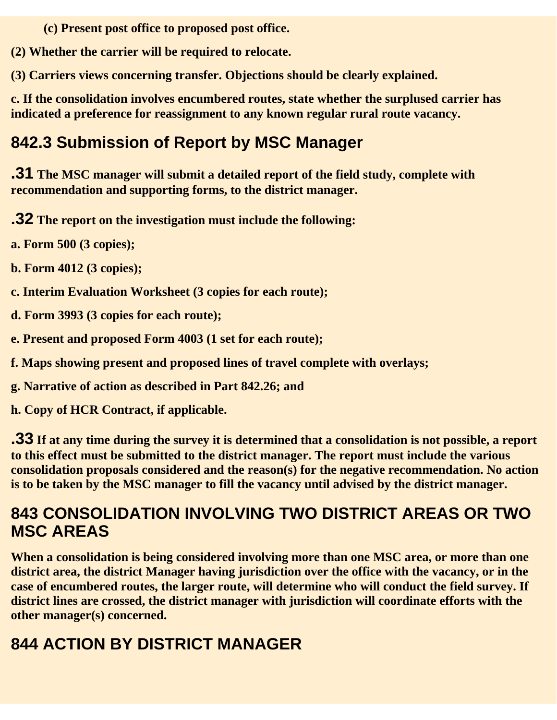**(c) Present post office to proposed post office.**

**(2) Whether the carrier will be required to relocate.**

**(3) Carriers views concerning transfer. Objections should be clearly explained.**

**c. If the consolidation involves encumbered routes, state whether the surplused carrier has indicated a preference for reassignment to any known regular rural route vacancy.**

### **842.3 Submission of Report by MSC Manager**

**.31 The MSC manager will submit a detailed report of the field study, complete with recommendation and supporting forms, to the district manager.**

**.32 The report on the investigation must include the following:**

**a. Form 500 (3 copies);**

**b. Form 4012 (3 copies);**

**c. Interim Evaluation Worksheet (3 copies for each route);**

**d. Form 3993 (3 copies for each route);**

**e. Present and proposed Form 4003 (1 set for each route);**

**f. Maps showing present and proposed lines of travel complete with overlays;** 

**g. Narrative of action as described in Part 842.26; and**

**h. Copy of HCR Contract, if applicable.**

**.33 If at any time during the survey it is determined that a consolidation is not possible, a report to this effect must be submitted to the district manager. The report must include the various consolidation proposals considered and the reason(s) for the negative recommendation. No action is to be taken by the MSC manager to fill the vacancy until advised by the district manager.**

#### **843 CONSOLIDATION INVOLVING TWO DISTRICT AREAS OR TWO MSC AREAS**

**When a consolidation is being considered involving more than one MSC area, or more than one district area, the district Manager having jurisdiction over the office with the vacancy, or in the case of encumbered routes, the larger route, will determine who will conduct the field survey. If district lines are crossed, the district manager with jurisdiction will coordinate efforts with the other manager(s) concerned.**

# **844 ACTION BY DISTRICT MANAGER**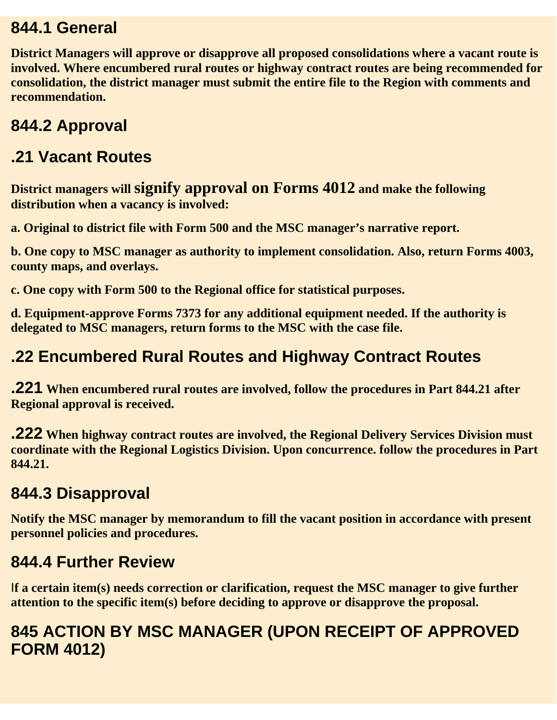#### **844.1 General**

**District Managers will approve or disapprove all proposed consolidations where a vacant route is involved. Where encumbered rural routes or highway contract routes are being recommended for consolidation, the district manager must submit the entire file to the Region with comments and recommendation.**

### **844.2 Approval**

#### **.21 Vacant Routes**

**District managers will signify approval on Forms 4012 and make the following distribution when a vacancy is involved:**

**a. Original to district file with Form 500 and the MSC manager's narrative report.**

**b. One copy to MSC manager as authority to implement consolidation. Also, return Forms 4003, county maps, and overlays.**

**c. One copy with Form 500 to the Regional office for statistical purposes.**

**d. Equipment-approve Forms 7373 for any additional equipment needed. If the authority is delegated to MSC managers, return forms to the MSC with the case file.**

#### **.22 Encumbered Rural Routes and Highway Contract Routes**

**.221 When encumbered rural routes are involved, follow the procedures in Part 844.21 after Regional approval is received.**

**.222 When highway contract routes are involved, the Regional Delivery Services Division must coordinate with the Regional Logistics Division. Upon concurrence. follow the procedures in Part 844.21.**

### **844.3 Disapproval**

**Notify the MSC manager by memorandum to fill the vacant position in accordance with present personnel policies and procedures.**

#### **844.4 Further Review**

I**f a certain item(s) needs correction or clarification, request the MSC manager to give further attention to the specific item(s) before deciding to approve or disapprove the proposal.**

#### **845 ACTION BY MSC MANAGER (UPON RECEIPT OF APPROVED FORM 4012)**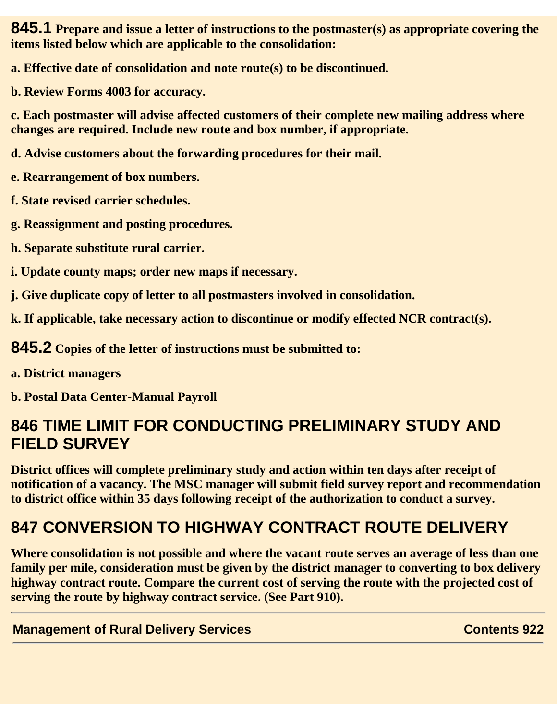**845.1 Prepare and issue a letter of instructions to the postmaster(s) as appropriate covering the items listed below which are applicable to the consolidation:**

**a. Effective date of consolidation and note route(s) to be discontinued.**

**b. Review Forms 4003 for accuracy.**

**c. Each postmaster will advise affected customers of their complete new mailing address where changes are required. Include new route and box number, if appropriate.**

**d. Advise customers about the forwarding procedures for their mail.**

**e. Rearrangement of box numbers.**

**f. State revised carrier schedules.**

**g. Reassignment and posting procedures.**

**h. Separate substitute rural carrier.**

**i. Update county maps; order new maps if necessary.**

**j. Give duplicate copy of letter to all postmasters involved in consolidation.**

**k. If applicable, take necessary action to discontinue or modify effected NCR contract(s).**

**845.2 Copies of the letter of instructions must be submitted to:**

**a. District managers**

**b. Postal Data Center-Manual Payroll**

#### **846 TIME LIMIT FOR CONDUCTING PRELIMINARY STUDY AND FIELD SURVEY**

**District offices will complete preliminary study and action within ten days after receipt of notification of a vacancy. The MSC manager will submit field survey report and recommendation to district office within 35 days following receipt of the authorization to conduct a survey.**

# **847 CONVERSION TO HIGHWAY CONTRACT ROUTE DELIVERY**

**Where consolidation is not possible and where the vacant route serves an average of less than one family per mile, consideration must be given by the district manager to converting to box delivery highway contract route. Compare the current cost of serving the route with the projected cost of serving the route by highway contract service. (See Part 910).**

**Management of Rural Delivery Services Contents 922**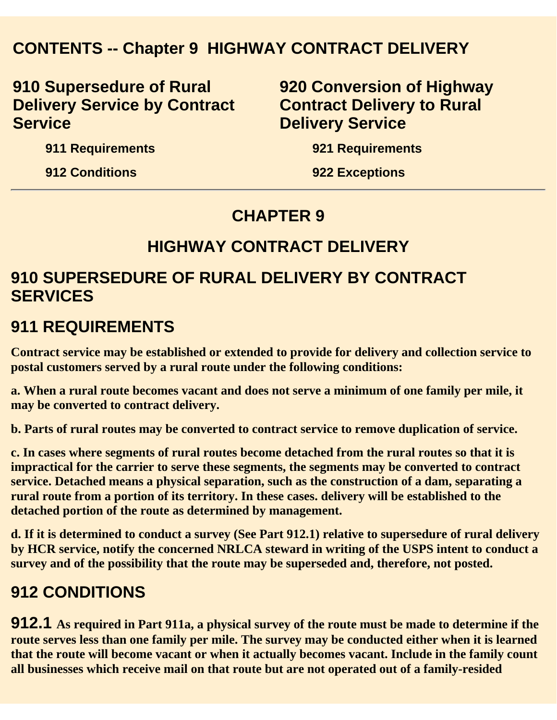#### **CONTENTS -- Chapter 9 HIGHWAY CONTRACT DELIVERY**

**910 Supersedure of Rural Delivery Service by Contract Service**

**920 Conversion of Highway Contract Delivery to Rural Delivery Service**

**911 Requirements**

**912 Conditions**

**921 Requirements**

**922 Exceptions**

#### **CHAPTER 9**

#### **HIGHWAY CONTRACT DELIVERY**

#### **910 SUPERSEDURE OF RURAL DELIVERY BY CONTRACT SERVICES**

#### **911 REQUIREMENTS**

**Contract service may be established or extended to provide for delivery and collection service to postal customers served by a rural route under the following conditions:**

**a. When a rural route becomes vacant and does not serve a minimum of one family per mile, it may be converted to contract delivery.**

**b. Parts of rural routes may be converted to contract service to remove duplication of service.**

**c. In cases where segments of rural routes become detached from the rural routes so that it is impractical for the carrier to serve these segments, the segments may be converted to contract service. Detached means a physical separation, such as the construction of a dam, separating a rural route from a portion of its territory. In these cases. delivery will be established to the detached portion of the route as determined by management.**

**d. If it is determined to conduct a survey (See Part 912.1) relative to supersedure of rural delivery by HCR service, notify the concerned NRLCA steward in writing of the USPS intent to conduct a survey and of the possibility that the route may be superseded and, therefore, not posted.**

#### **912 CONDITIONS**

**912.1 As required in Part 911a, a physical survey of the route must be made to determine if the route serves less than one family per mile. The survey may be conducted either when it is learned that the route will become vacant or when it actually becomes vacant. Include in the family count all businesses which receive mail on that route but are not operated out of a family-resided**